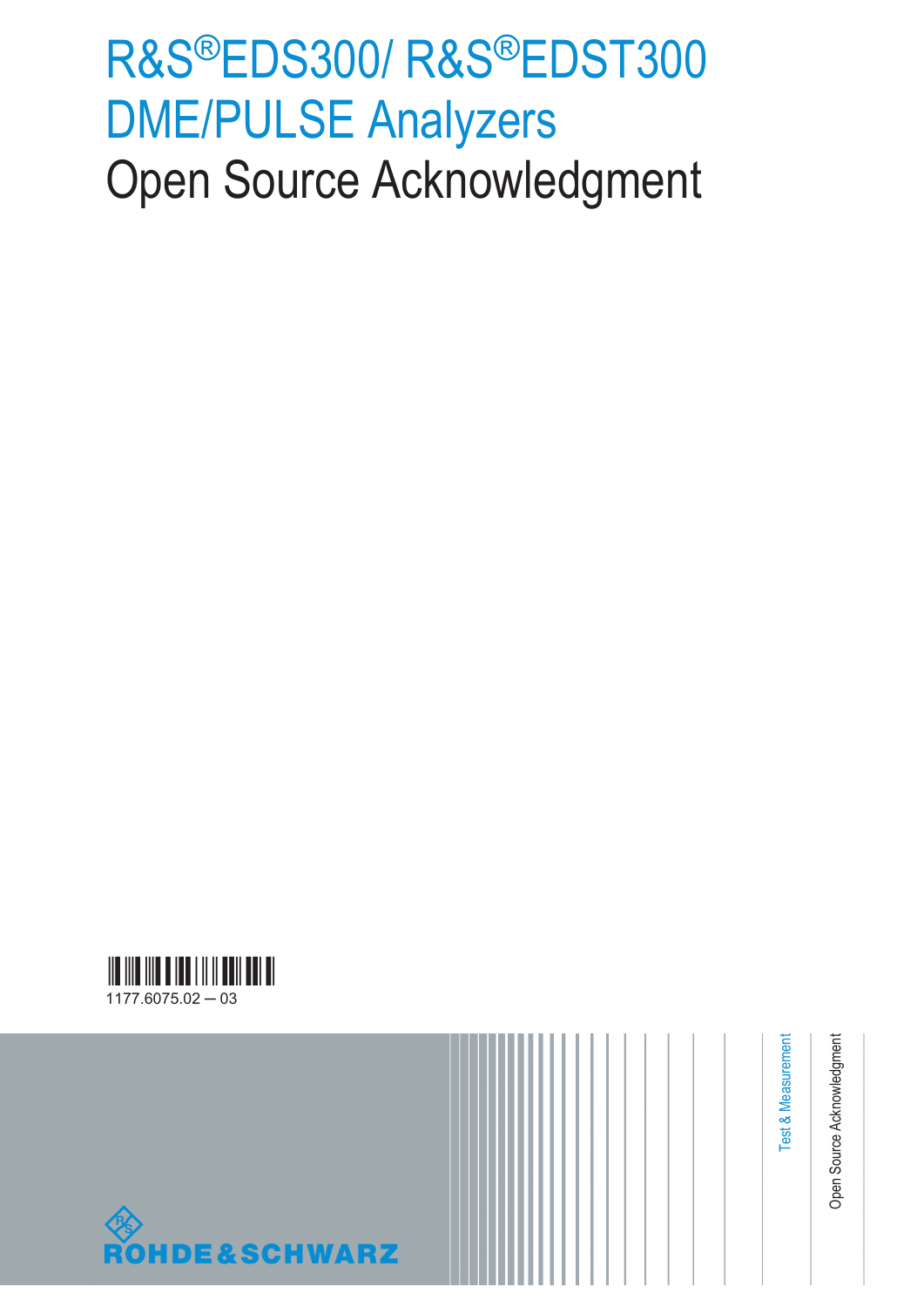# R&S®EDS300/ R&S®EDST300 DME/PULSE Analyzers Open Source Acknowledgment





Test & Measurement

Test & Measurement

Open Source Acknowledgment

Open Source Acknowledgment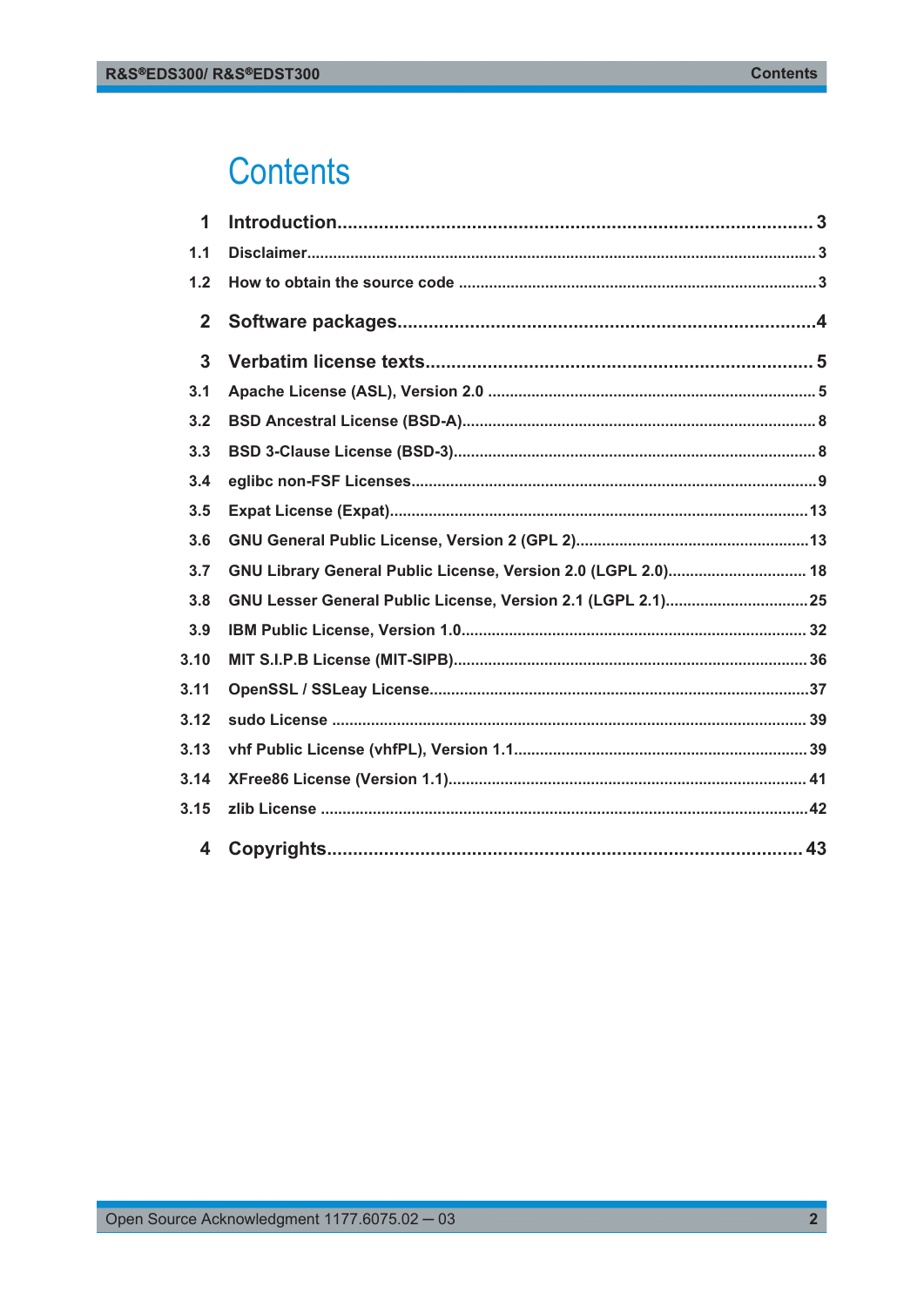## **Contents**

| 1            |                                                               |
|--------------|---------------------------------------------------------------|
| 1.1          |                                                               |
| 1.2          |                                                               |
| $\mathbf{2}$ |                                                               |
| $\mathbf{3}$ |                                                               |
| 3.1          |                                                               |
| 3.2          |                                                               |
| 3.3          |                                                               |
| 3.4          |                                                               |
| 3.5          |                                                               |
| 3.6          |                                                               |
| 3.7          | GNU Library General Public License, Version 2.0 (LGPL 2.0) 18 |
| 3.8          |                                                               |
| 3.9          |                                                               |
| 3.10         |                                                               |
| 3.11         |                                                               |
| 3.12         |                                                               |
| 3.13         |                                                               |
| 3.14         |                                                               |
| 3.15         |                                                               |
| 4            |                                                               |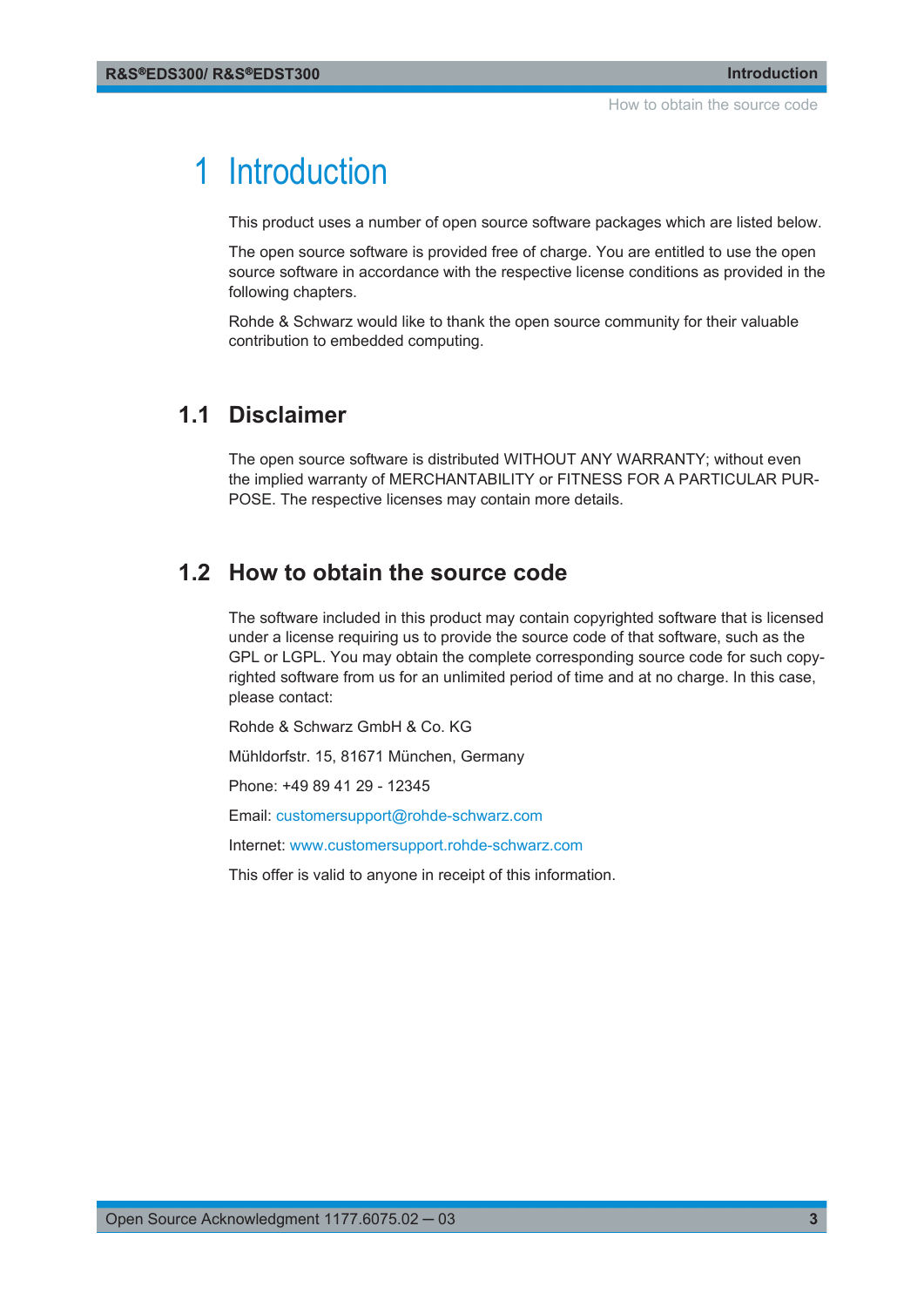## <span id="page-2-0"></span>1 Introduction

This product uses a number of open source software packages which are listed below.

The open source software is provided free of charge. You are entitled to use the open source software in accordance with the respective license conditions as provided in the following chapters.

Rohde & Schwarz would like to thank the open source community for their valuable contribution to embedded computing.

## **1.1 Disclaimer**

The open source software is distributed WITHOUT ANY WARRANTY; without even the implied warranty of MERCHANTABILITY or FITNESS FOR A PARTICULAR PUR-POSE. The respective licenses may contain more details.

### **1.2 How to obtain the source code**

The software included in this product may contain copyrighted software that is licensed under a license requiring us to provide the source code of that software, such as the GPL or LGPL. You may obtain the complete corresponding source code for such copyrighted software from us for an unlimited period of time and at no charge. In this case, please contact:

Rohde & Schwarz GmbH & Co. KG

Mühldorfstr. 15, 81671 München, Germany

Phone: +49 89 41 29 - 12345

Email: [customersupport@rohde-schwarz.com](mailto:customersupport@rohde-schwarz.com)

Internet: [www.customersupport.rohde-schwarz.com](http://www.customersupport.rohde-schwarz.com)

This offer is valid to anyone in receipt of this information.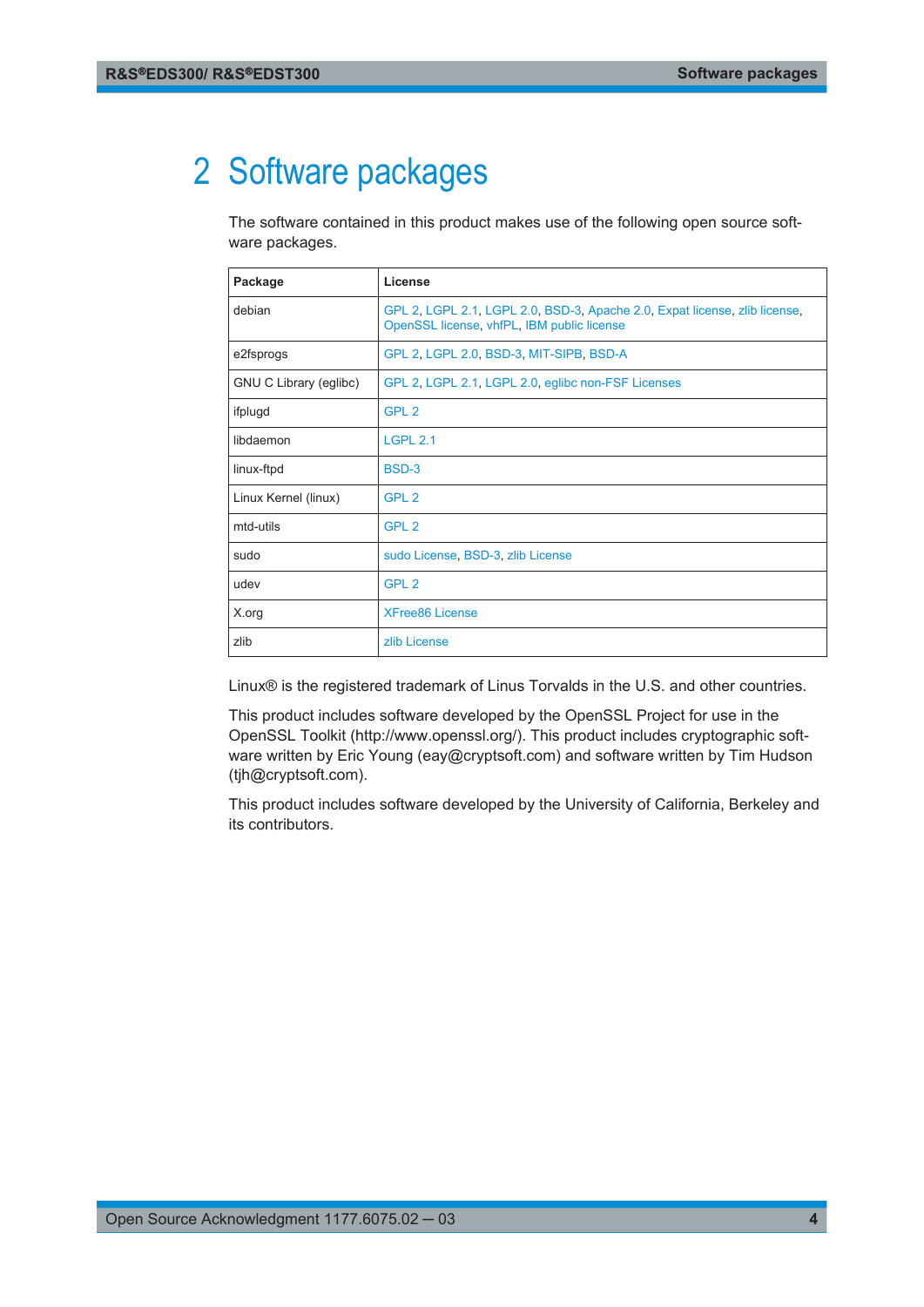## <span id="page-3-0"></span>2 Software packages

The software contained in this product makes use of the following open source software packages.

| Package                | License                                                                                                                  |
|------------------------|--------------------------------------------------------------------------------------------------------------------------|
| debian                 | GPL 2, LGPL 2.1, LGPL 2.0, BSD-3, Apache 2.0, Expat license, zlib license,<br>OpenSSL license, vhfPL, IBM public license |
| e2fsprogs              | GPL 2, LGPL 2.0, BSD-3, MIT-SIPB, BSD-A                                                                                  |
| GNU C Library (eglibc) | GPL 2, LGPL 2.1, LGPL 2.0, eglibc non-FSF Licenses                                                                       |
| ifplugd                | GPL <sub>2</sub>                                                                                                         |
| libdaemon              | <b>LGPL 2.1</b>                                                                                                          |
| linux-ftpd             | BSD-3                                                                                                                    |
| Linux Kernel (linux)   | GPL <sub>2</sub>                                                                                                         |
| mtd-utils              | GPL <sub>2</sub>                                                                                                         |
| sudo                   | sudo License, BSD-3, zlib License                                                                                        |
| udev                   | GPL <sub>2</sub>                                                                                                         |
| X.org                  | <b>XFree86 License</b>                                                                                                   |
| zlib                   | zlib License                                                                                                             |

Linux® is the registered trademark of Linus Torvalds in the U.S. and other countries.

This product includes software developed by the OpenSSL Project for use in the OpenSSL Toolkit (http://www.openssl.org/). This product includes cryptographic software written by Eric Young (eay@cryptsoft.com) and software written by Tim Hudson (tjh@cryptsoft.com).

This product includes software developed by the University of California, Berkeley and its contributors.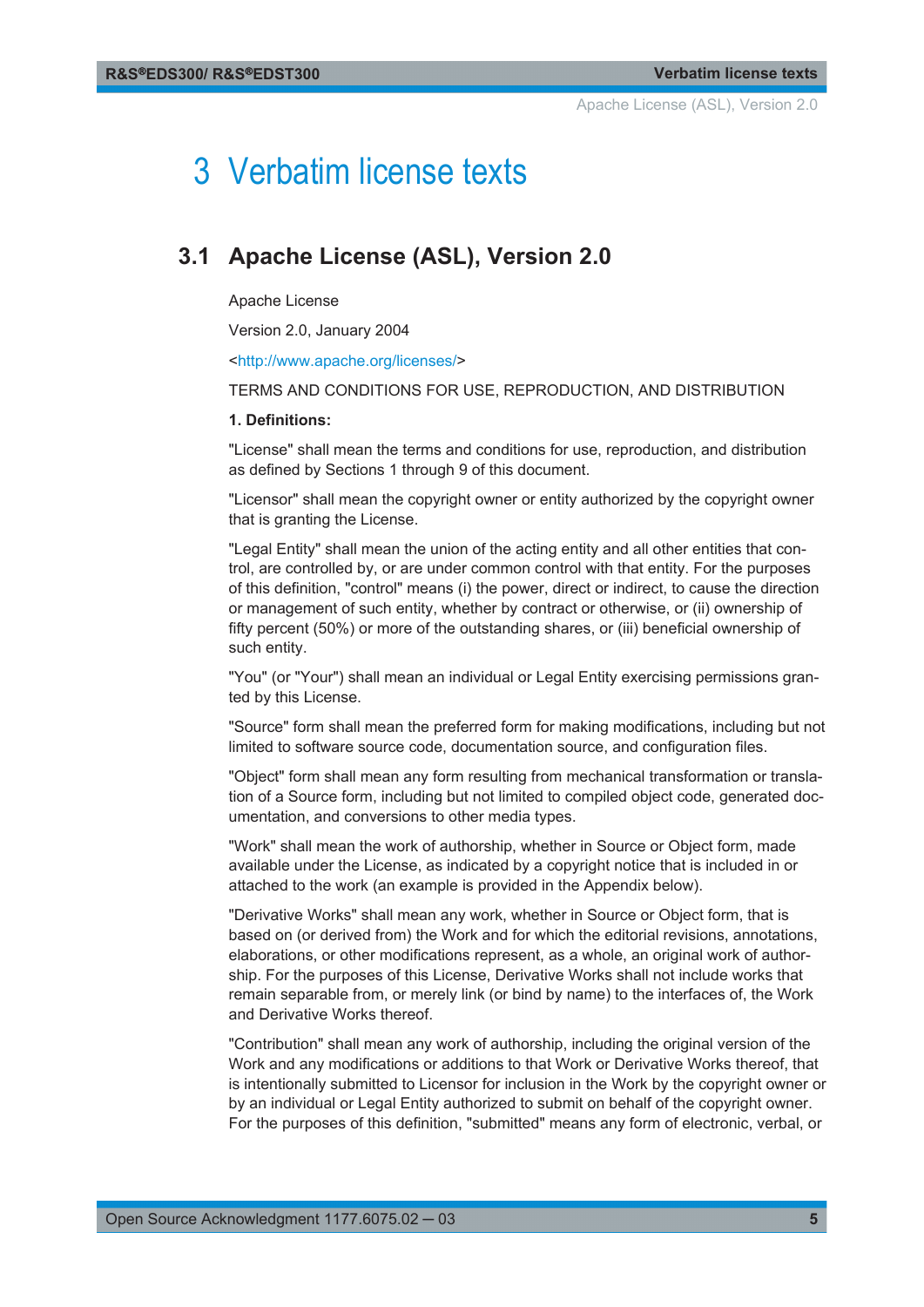Apache License (ASL), Version 2.0

## <span id="page-4-0"></span>3 Verbatim license texts

## **3.1 Apache License (ASL), Version 2.0**

Apache License

Version 2.0, January 2004

[<http://www.apache.org/licenses/](http://www.apache.org/licenses/)>

TERMS AND CONDITIONS FOR USE, REPRODUCTION, AND DISTRIBUTION

#### **1. Definitions:**

"License" shall mean the terms and conditions for use, reproduction, and distribution as defined by Sections 1 through 9 of this document.

"Licensor" shall mean the copyright owner or entity authorized by the copyright owner that is granting the License.

"Legal Entity" shall mean the union of the acting entity and all other entities that control, are controlled by, or are under common control with that entity. For the purposes of this definition, "control" means (i) the power, direct or indirect, to cause the direction or management of such entity, whether by contract or otherwise, or (ii) ownership of fifty percent (50%) or more of the outstanding shares, or (iii) beneficial ownership of such entity.

"You" (or "Your") shall mean an individual or Legal Entity exercising permissions granted by this License.

"Source" form shall mean the preferred form for making modifications, including but not limited to software source code, documentation source, and configuration files.

"Object" form shall mean any form resulting from mechanical transformation or translation of a Source form, including but not limited to compiled object code, generated documentation, and conversions to other media types.

"Work" shall mean the work of authorship, whether in Source or Object form, made available under the License, as indicated by a copyright notice that is included in or attached to the work (an example is provided in the Appendix below).

"Derivative Works" shall mean any work, whether in Source or Object form, that is based on (or derived from) the Work and for which the editorial revisions, annotations, elaborations, or other modifications represent, as a whole, an original work of authorship. For the purposes of this License, Derivative Works shall not include works that remain separable from, or merely link (or bind by name) to the interfaces of, the Work and Derivative Works thereof.

"Contribution" shall mean any work of authorship, including the original version of the Work and any modifications or additions to that Work or Derivative Works thereof, that is intentionally submitted to Licensor for inclusion in the Work by the copyright owner or by an individual or Legal Entity authorized to submit on behalf of the copyright owner. For the purposes of this definition, "submitted" means any form of electronic, verbal, or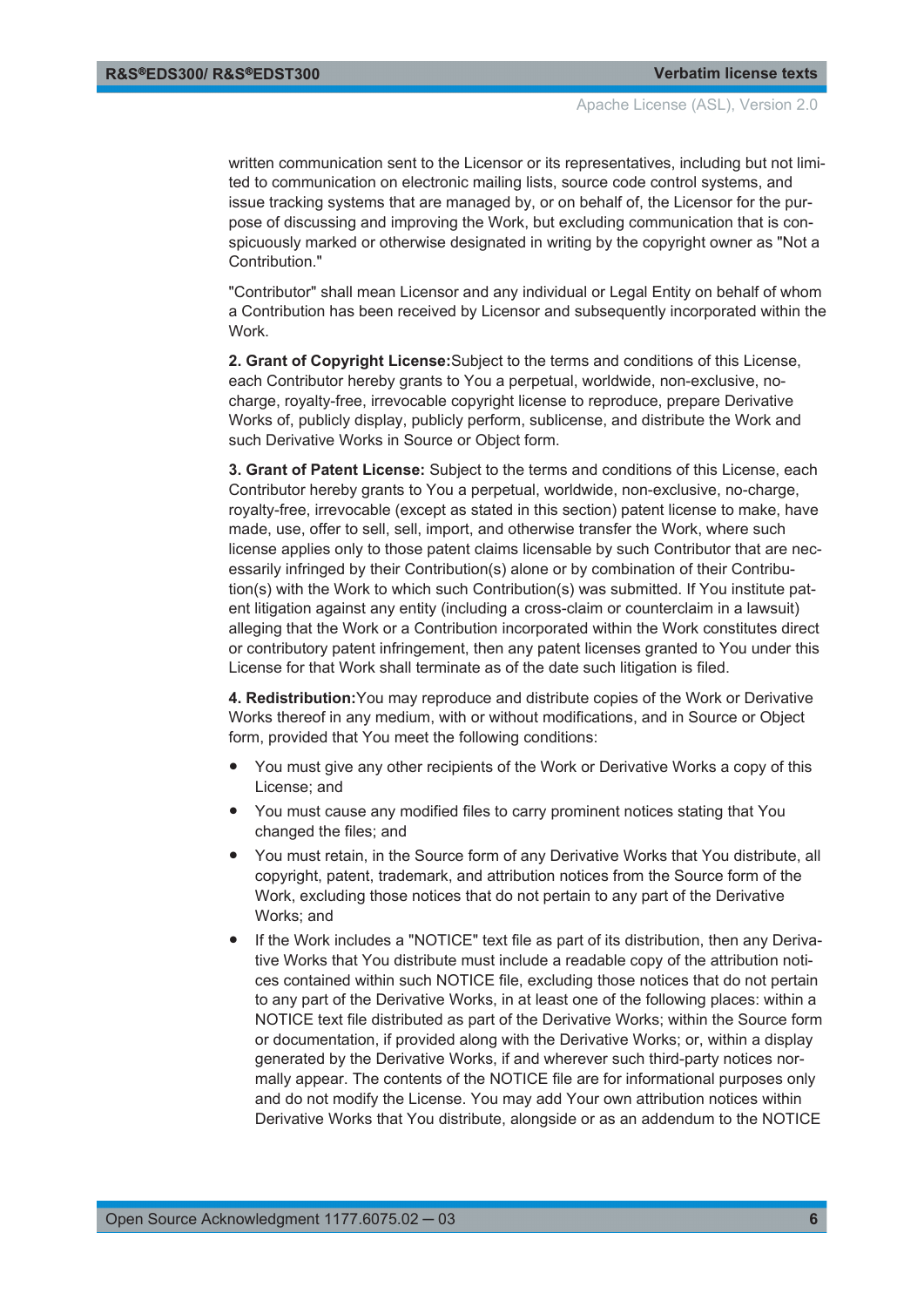written communication sent to the Licensor or its representatives, including but not limited to communication on electronic mailing lists, source code control systems, and issue tracking systems that are managed by, or on behalf of, the Licensor for the purpose of discussing and improving the Work, but excluding communication that is conspicuously marked or otherwise designated in writing by the copyright owner as "Not a Contribution."

"Contributor" shall mean Licensor and any individual or Legal Entity on behalf of whom a Contribution has been received by Licensor and subsequently incorporated within the **Work** 

**2. Grant of Copyright License:**Subject to the terms and conditions of this License, each Contributor hereby grants to You a perpetual, worldwide, non-exclusive, nocharge, royalty-free, irrevocable copyright license to reproduce, prepare Derivative Works of, publicly display, publicly perform, sublicense, and distribute the Work and such Derivative Works in Source or Object form.

**3. Grant of Patent License:** Subject to the terms and conditions of this License, each Contributor hereby grants to You a perpetual, worldwide, non-exclusive, no-charge, royalty-free, irrevocable (except as stated in this section) patent license to make, have made, use, offer to sell, sell, import, and otherwise transfer the Work, where such license applies only to those patent claims licensable by such Contributor that are necessarily infringed by their Contribution(s) alone or by combination of their Contribution(s) with the Work to which such Contribution(s) was submitted. If You institute patent litigation against any entity (including a cross-claim or counterclaim in a lawsuit) alleging that the Work or a Contribution incorporated within the Work constitutes direct or contributory patent infringement, then any patent licenses granted to You under this License for that Work shall terminate as of the date such litigation is filed.

**4. Redistribution:**You may reproduce and distribute copies of the Work or Derivative Works thereof in any medium, with or without modifications, and in Source or Object form, provided that You meet the following conditions:

- You must give any other recipients of the Work or Derivative Works a copy of this License; and
- You must cause any modified files to carry prominent notices stating that You changed the files; and
- You must retain, in the Source form of any Derivative Works that You distribute, all copyright, patent, trademark, and attribution notices from the Source form of the Work, excluding those notices that do not pertain to any part of the Derivative Works; and
- If the Work includes a "NOTICE" text file as part of its distribution, then any Derivative Works that You distribute must include a readable copy of the attribution notices contained within such NOTICE file, excluding those notices that do not pertain to any part of the Derivative Works, in at least one of the following places: within a NOTICE text file distributed as part of the Derivative Works; within the Source form or documentation, if provided along with the Derivative Works; or, within a display generated by the Derivative Works, if and wherever such third-party notices normally appear. The contents of the NOTICE file are for informational purposes only and do not modify the License. You may add Your own attribution notices within Derivative Works that You distribute, alongside or as an addendum to the NOTICE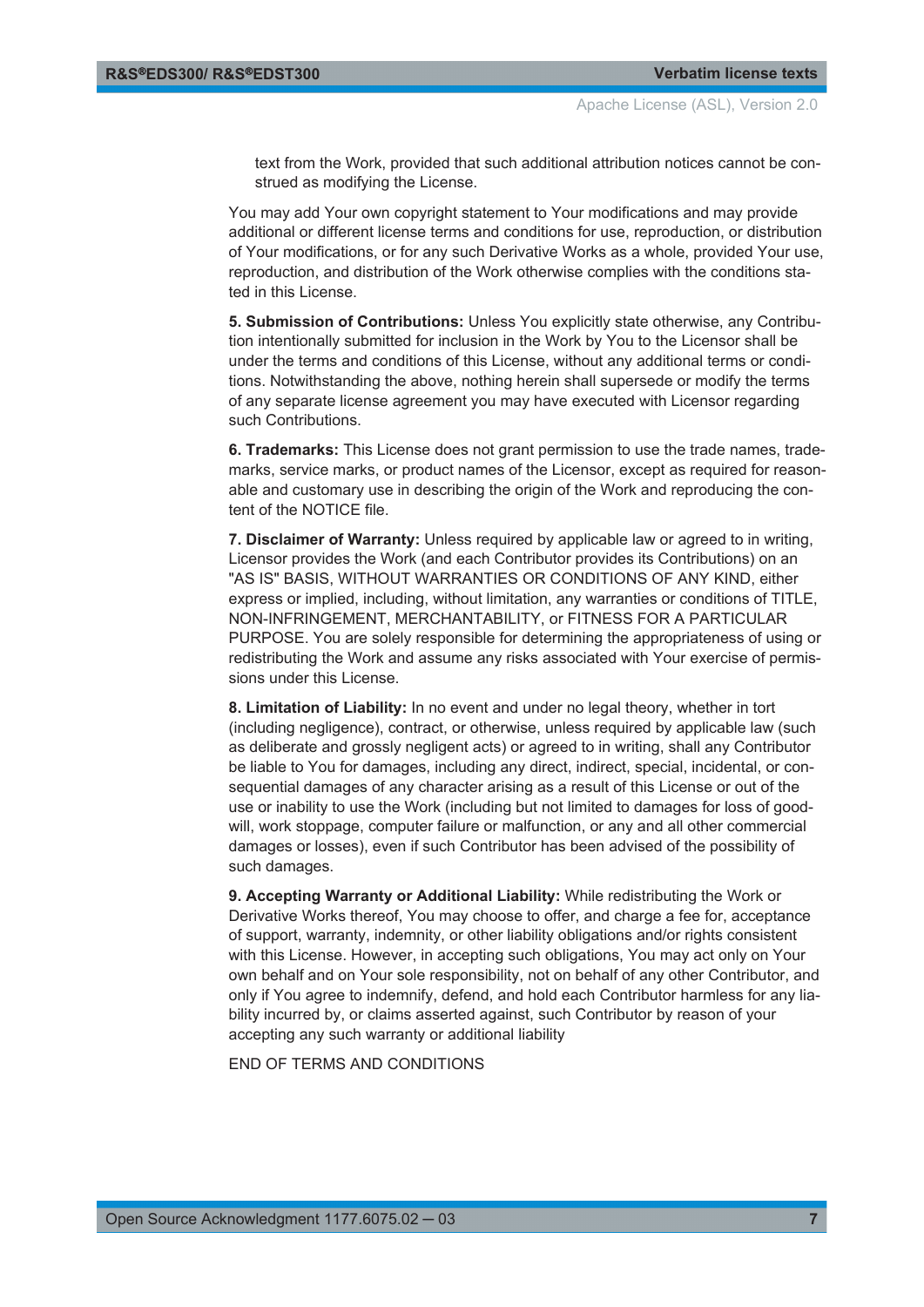text from the Work, provided that such additional attribution notices cannot be construed as modifying the License.

You may add Your own copyright statement to Your modifications and may provide additional or different license terms and conditions for use, reproduction, or distribution of Your modifications, or for any such Derivative Works as a whole, provided Your use, reproduction, and distribution of the Work otherwise complies with the conditions stated in this License.

**5. Submission of Contributions:** Unless You explicitly state otherwise, any Contribution intentionally submitted for inclusion in the Work by You to the Licensor shall be under the terms and conditions of this License, without any additional terms or conditions. Notwithstanding the above, nothing herein shall supersede or modify the terms of any separate license agreement you may have executed with Licensor regarding such Contributions.

**6. Trademarks:** This License does not grant permission to use the trade names, trademarks, service marks, or product names of the Licensor, except as required for reasonable and customary use in describing the origin of the Work and reproducing the content of the NOTICE file.

**7. Disclaimer of Warranty:** Unless required by applicable law or agreed to in writing, Licensor provides the Work (and each Contributor provides its Contributions) on an "AS IS" BASIS, WITHOUT WARRANTIES OR CONDITIONS OF ANY KIND, either express or implied, including, without limitation, any warranties or conditions of TITLE, NON-INFRINGEMENT, MERCHANTABILITY, or FITNESS FOR A PARTICULAR PURPOSE. You are solely responsible for determining the appropriateness of using or redistributing the Work and assume any risks associated with Your exercise of permissions under this License.

**8. Limitation of Liability:** In no event and under no legal theory, whether in tort (including negligence), contract, or otherwise, unless required by applicable law (such as deliberate and grossly negligent acts) or agreed to in writing, shall any Contributor be liable to You for damages, including any direct, indirect, special, incidental, or consequential damages of any character arising as a result of this License or out of the use or inability to use the Work (including but not limited to damages for loss of goodwill, work stoppage, computer failure or malfunction, or any and all other commercial damages or losses), even if such Contributor has been advised of the possibility of such damages.

**9. Accepting Warranty or Additional Liability:** While redistributing the Work or Derivative Works thereof, You may choose to offer, and charge a fee for, acceptance of support, warranty, indemnity, or other liability obligations and/or rights consistent with this License. However, in accepting such obligations, You may act only on Your own behalf and on Your sole responsibility, not on behalf of any other Contributor, and only if You agree to indemnify, defend, and hold each Contributor harmless for any liability incurred by, or claims asserted against, such Contributor by reason of your accepting any such warranty or additional liability

END OF TERMS AND CONDITIONS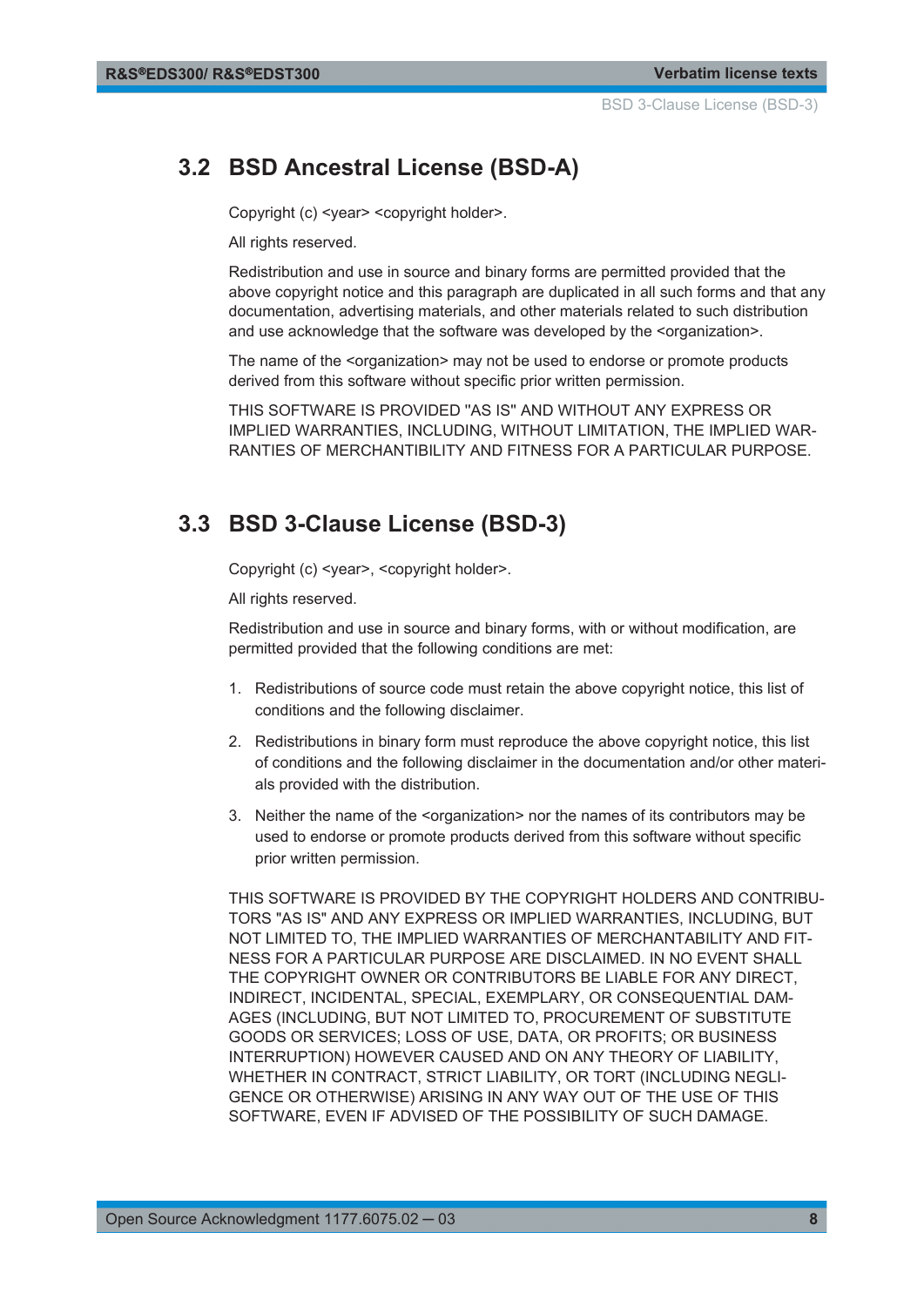BSD 3-Clause License (BSD-3)

## <span id="page-7-0"></span>**3.2 BSD Ancestral License (BSD-A)**

Copyright (c) <year> <copyright holder>.

All rights reserved.

Redistribution and use in source and binary forms are permitted provided that the above copyright notice and this paragraph are duplicated in all such forms and that any documentation, advertising materials, and other materials related to such distribution and use acknowledge that the software was developed by the <organization>.

The name of the <organization> may not be used to endorse or promote products derived from this software without specific prior written permission.

THIS SOFTWARE IS PROVIDED ''AS IS'' AND WITHOUT ANY EXPRESS OR IMPLIED WARRANTIES, INCLUDING, WITHOUT LIMITATION, THE IMPLIED WAR-RANTIES OF MERCHANTIBILITY AND FITNESS FOR A PARTICULAR PURPOSE.

## **3.3 BSD 3-Clause License (BSD-3)**

Copyright (c) <year>, <copyright holder>.

All rights reserved.

Redistribution and use in source and binary forms, with or without modification, are permitted provided that the following conditions are met:

- 1. Redistributions of source code must retain the above copyright notice, this list of conditions and the following disclaimer.
- 2. Redistributions in binary form must reproduce the above copyright notice, this list of conditions and the following disclaimer in the documentation and/or other materials provided with the distribution.
- 3. Neither the name of the <organization> nor the names of its contributors may be used to endorse or promote products derived from this software without specific prior written permission.

THIS SOFTWARE IS PROVIDED BY THE COPYRIGHT HOLDERS AND CONTRIBU-TORS "AS IS" AND ANY EXPRESS OR IMPLIED WARRANTIES, INCLUDING, BUT NOT LIMITED TO, THE IMPLIED WARRANTIES OF MERCHANTABILITY AND FIT-NESS FOR A PARTICULAR PURPOSE ARE DISCLAIMED. IN NO EVENT SHALL THE COPYRIGHT OWNER OR CONTRIBUTORS BE LIABLE FOR ANY DIRECT, INDIRECT, INCIDENTAL, SPECIAL, EXEMPLARY, OR CONSEQUENTIAL DAM-AGES (INCLUDING, BUT NOT LIMITED TO, PROCUREMENT OF SUBSTITUTE GOODS OR SERVICES; LOSS OF USE, DATA, OR PROFITS; OR BUSINESS INTERRUPTION) HOWEVER CAUSED AND ON ANY THEORY OF LIABILITY, WHETHER IN CONTRACT, STRICT LIABILITY, OR TORT (INCLUDING NEGLI-GENCE OR OTHERWISE) ARISING IN ANY WAY OUT OF THE USE OF THIS SOFTWARE, EVEN IF ADVISED OF THE POSSIBILITY OF SUCH DAMAGE.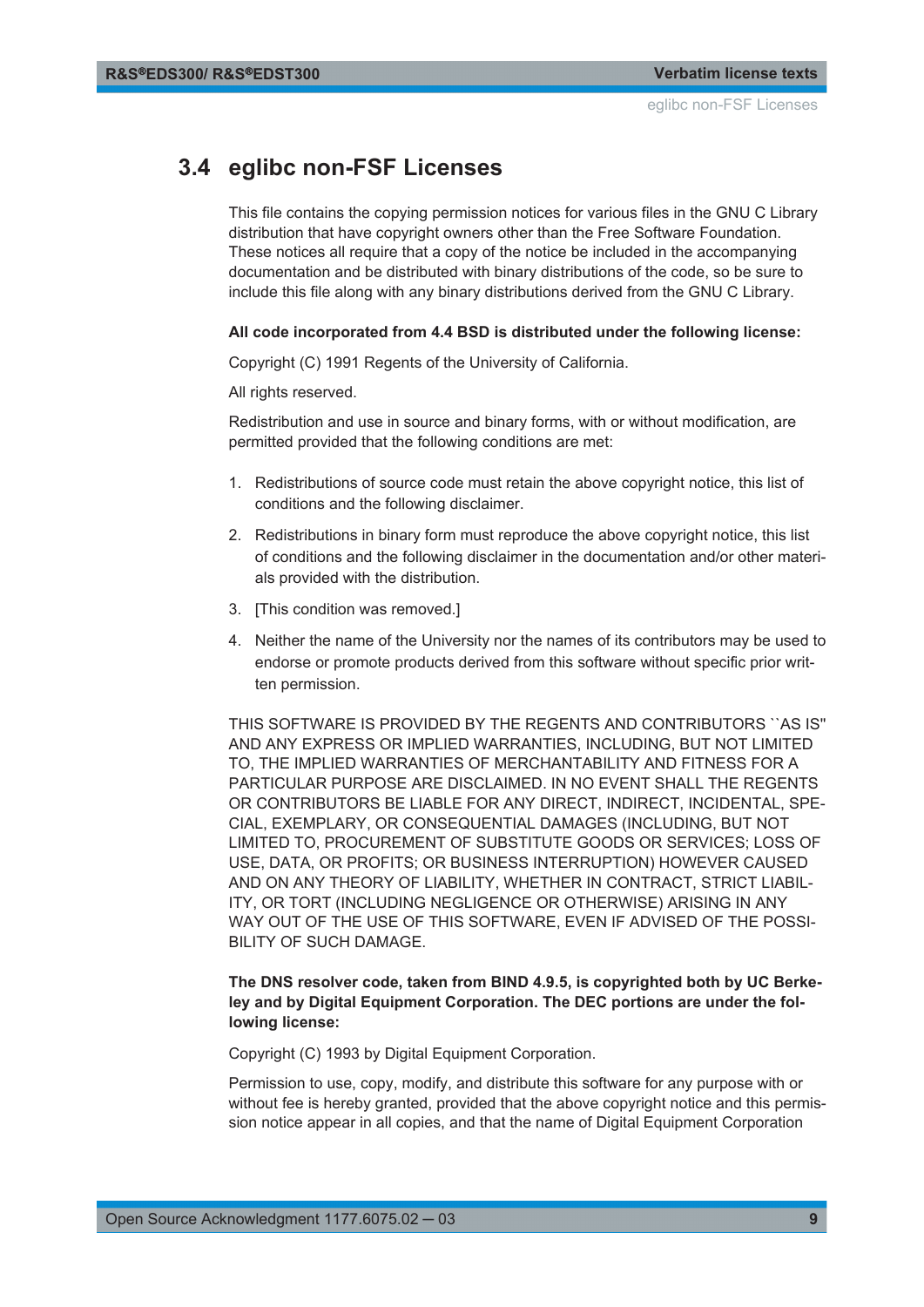## <span id="page-8-0"></span>**3.4 eglibc non-FSF Licenses**

This file contains the copying permission notices for various files in the GNU C Library distribution that have copyright owners other than the Free Software Foundation. These notices all require that a copy of the notice be included in the accompanying documentation and be distributed with binary distributions of the code, so be sure to include this file along with any binary distributions derived from the GNU C Library.

#### **All code incorporated from 4.4 BSD is distributed under the following license:**

Copyright (C) 1991 Regents of the University of California.

All rights reserved.

Redistribution and use in source and binary forms, with or without modification, are permitted provided that the following conditions are met:

- 1. Redistributions of source code must retain the above copyright notice, this list of conditions and the following disclaimer.
- 2. Redistributions in binary form must reproduce the above copyright notice, this list of conditions and the following disclaimer in the documentation and/or other materials provided with the distribution.
- 3. [This condition was removed.]
- 4. Neither the name of the University nor the names of its contributors may be used to endorse or promote products derived from this software without specific prior written permission.

THIS SOFTWARE IS PROVIDED BY THE REGENTS AND CONTRIBUTORS ``AS IS'' AND ANY EXPRESS OR IMPLIED WARRANTIES, INCLUDING, BUT NOT LIMITED TO, THE IMPLIED WARRANTIES OF MERCHANTABILITY AND FITNESS FOR A PARTICULAR PURPOSE ARE DISCLAIMED. IN NO EVENT SHALL THE REGENTS OR CONTRIBUTORS BE LIABLE FOR ANY DIRECT, INDIRECT, INCIDENTAL, SPE-CIAL, EXEMPLARY, OR CONSEQUENTIAL DAMAGES (INCLUDING, BUT NOT LIMITED TO, PROCUREMENT OF SUBSTITUTE GOODS OR SERVICES; LOSS OF USE, DATA, OR PROFITS; OR BUSINESS INTERRUPTION) HOWEVER CAUSED AND ON ANY THEORY OF LIABILITY, WHETHER IN CONTRACT, STRICT LIABIL-ITY, OR TORT (INCLUDING NEGLIGENCE OR OTHERWISE) ARISING IN ANY WAY OUT OF THE USE OF THIS SOFTWARE, EVEN IF ADVISED OF THE POSSI-BILITY OF SUCH DAMAGE.

#### **The DNS resolver code, taken from BIND 4.9.5, is copyrighted both by UC Berkeley and by Digital Equipment Corporation. The DEC portions are under the following license:**

Copyright (C) 1993 by Digital Equipment Corporation.

Permission to use, copy, modify, and distribute this software for any purpose with or without fee is hereby granted, provided that the above copyright notice and this permission notice appear in all copies, and that the name of Digital Equipment Corporation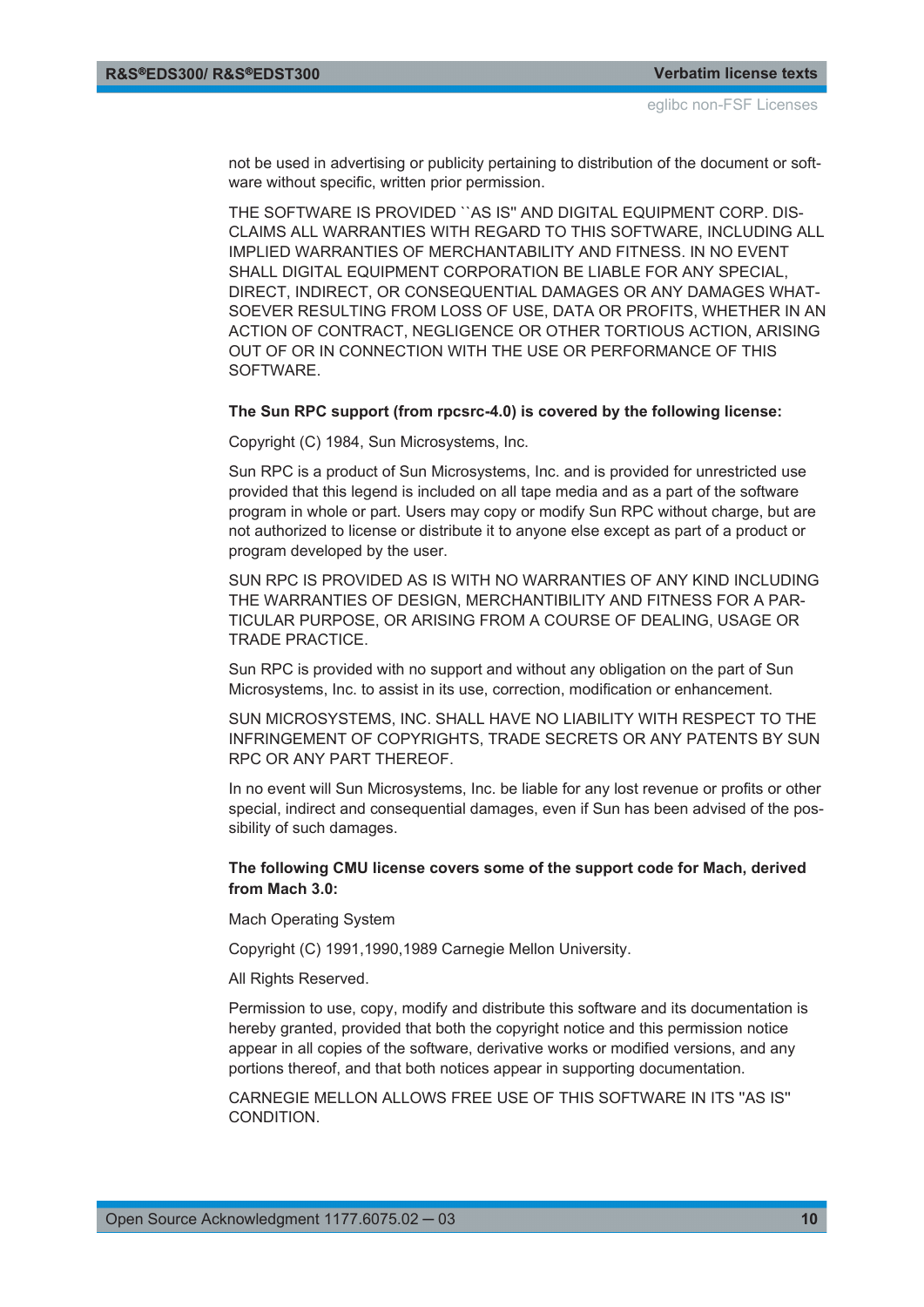not be used in advertising or publicity pertaining to distribution of the document or software without specific, written prior permission.

THE SOFTWARE IS PROVIDED ``AS IS'' AND DIGITAL EQUIPMENT CORP. DIS-CLAIMS ALL WARRANTIES WITH REGARD TO THIS SOFTWARE, INCLUDING ALL IMPLIED WARRANTIES OF MERCHANTABILITY AND FITNESS. IN NO EVENT SHALL DIGITAL EQUIPMENT CORPORATION BE LIABLE FOR ANY SPECIAL, DIRECT, INDIRECT, OR CONSEQUENTIAL DAMAGES OR ANY DAMAGES WHAT-SOEVER RESULTING FROM LOSS OF USE, DATA OR PROFITS, WHETHER IN AN ACTION OF CONTRACT, NEGLIGENCE OR OTHER TORTIOUS ACTION, ARISING OUT OF OR IN CONNECTION WITH THE USE OR PERFORMANCE OF THIS **SOFTWARE** 

#### **The Sun RPC support (from rpcsrc-4.0) is covered by the following license:**

Copyright (C) 1984, Sun Microsystems, Inc.

Sun RPC is a product of Sun Microsystems, Inc. and is provided for unrestricted use provided that this legend is included on all tape media and as a part of the software program in whole or part. Users may copy or modify Sun RPC without charge, but are not authorized to license or distribute it to anyone else except as part of a product or program developed by the user.

SUN RPC IS PROVIDED AS IS WITH NO WARRANTIES OF ANY KIND INCLUDING THE WARRANTIES OF DESIGN, MERCHANTIBILITY AND FITNESS FOR A PAR-TICULAR PURPOSE, OR ARISING FROM A COURSE OF DEALING, USAGE OR TRADE PRACTICE.

Sun RPC is provided with no support and without any obligation on the part of Sun Microsystems, Inc. to assist in its use, correction, modification or enhancement.

SUN MICROSYSTEMS, INC. SHALL HAVE NO LIABILITY WITH RESPECT TO THE INFRINGEMENT OF COPYRIGHTS, TRADE SECRETS OR ANY PATENTS BY SUN RPC OR ANY PART THEREOF.

In no event will Sun Microsystems, Inc. be liable for any lost revenue or profits or other special, indirect and consequential damages, even if Sun has been advised of the possibility of such damages.

#### **The following CMU license covers some of the support code for Mach, derived from Mach 3.0:**

Mach Operating System

Copyright (C) 1991,1990,1989 Carnegie Mellon University.

All Rights Reserved.

Permission to use, copy, modify and distribute this software and its documentation is hereby granted, provided that both the copyright notice and this permission notice appear in all copies of the software, derivative works or modified versions, and any portions thereof, and that both notices appear in supporting documentation.

CARNEGIE MELLON ALLOWS FREE USE OF THIS SOFTWARE IN ITS ''AS IS'' **CONDITION**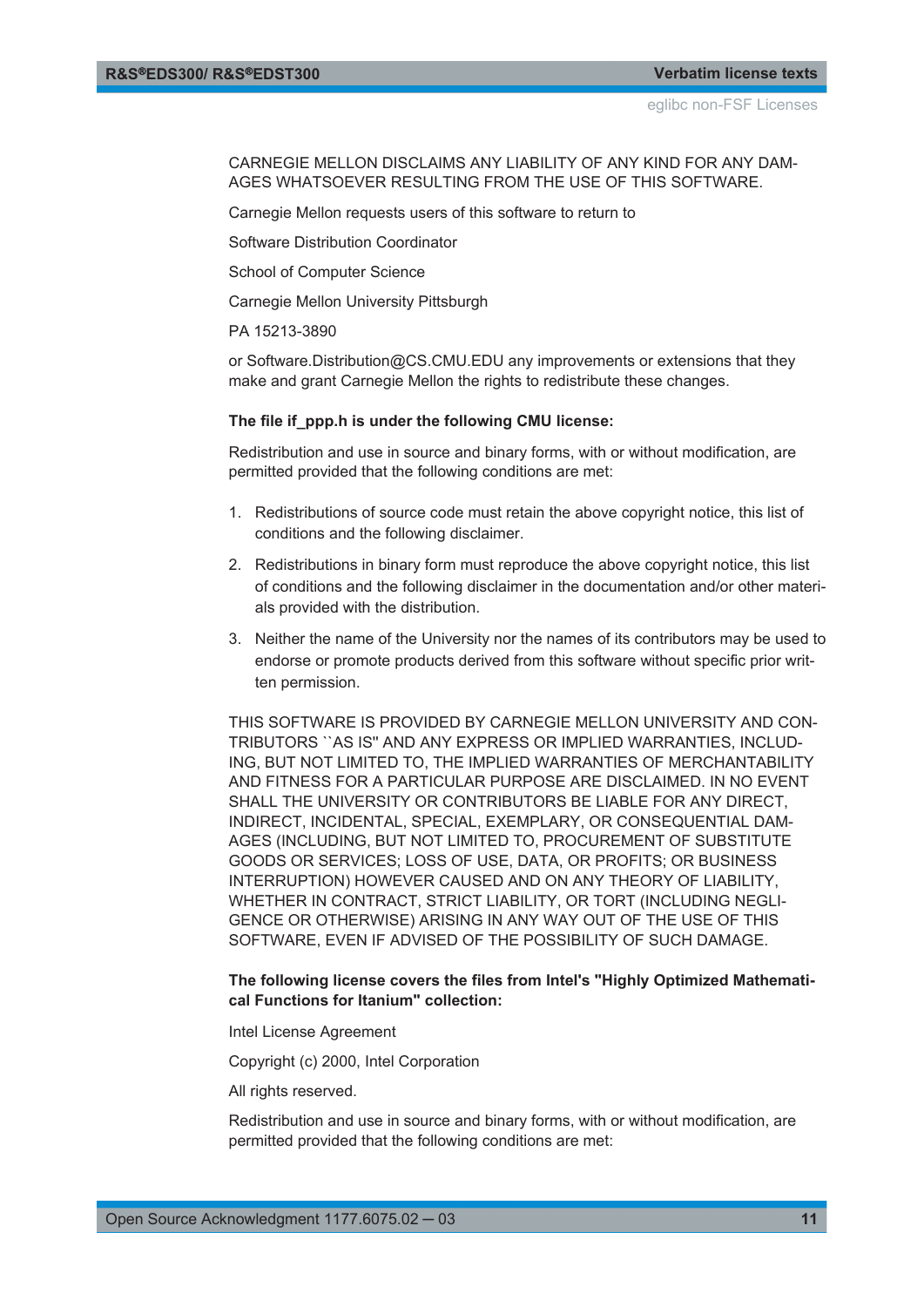CARNEGIE MELLON DISCLAIMS ANY LIABILITY OF ANY KIND FOR ANY DAM-AGES WHATSOEVER RESULTING FROM THE USE OF THIS SOFTWARE.

Carnegie Mellon requests users of this software to return to

Software Distribution Coordinator

School of Computer Science

Carnegie Mellon University Pittsburgh

PA 15213-3890

or Software.Distribution@CS.CMU.EDU any improvements or extensions that they make and grant Carnegie Mellon the rights to redistribute these changes.

#### **The file if\_ppp.h is under the following CMU license:**

Redistribution and use in source and binary forms, with or without modification, are permitted provided that the following conditions are met:

- 1. Redistributions of source code must retain the above copyright notice, this list of conditions and the following disclaimer.
- 2. Redistributions in binary form must reproduce the above copyright notice, this list of conditions and the following disclaimer in the documentation and/or other materials provided with the distribution.
- 3. Neither the name of the University nor the names of its contributors may be used to endorse or promote products derived from this software without specific prior written permission.

THIS SOFTWARE IS PROVIDED BY CARNEGIE MELLON UNIVERSITY AND CON-TRIBUTORS ``AS IS'' AND ANY EXPRESS OR IMPLIED WARRANTIES, INCLUD-ING, BUT NOT LIMITED TO, THE IMPLIED WARRANTIES OF MERCHANTABILITY AND FITNESS FOR A PARTICULAR PURPOSE ARE DISCLAIMED. IN NO EVENT SHALL THE UNIVERSITY OR CONTRIBUTORS BE LIABLE FOR ANY DIRECT, INDIRECT, INCIDENTAL, SPECIAL, EXEMPLARY, OR CONSEQUENTIAL DAM-AGES (INCLUDING, BUT NOT LIMITED TO, PROCUREMENT OF SUBSTITUTE GOODS OR SERVICES; LOSS OF USE, DATA, OR PROFITS; OR BUSINESS INTERRUPTION) HOWEVER CAUSED AND ON ANY THEORY OF LIABILITY, WHETHER IN CONTRACT, STRICT LIABILITY, OR TORT (INCLUDING NEGLI-GENCE OR OTHERWISE) ARISING IN ANY WAY OUT OF THE USE OF THIS SOFTWARE, EVEN IF ADVISED OF THE POSSIBILITY OF SUCH DAMAGE.

#### **The following license covers the files from Intel's "Highly Optimized Mathematical Functions for Itanium" collection:**

Intel License Agreement

Copyright (c) 2000, Intel Corporation

All rights reserved.

Redistribution and use in source and binary forms, with or without modification, are permitted provided that the following conditions are met: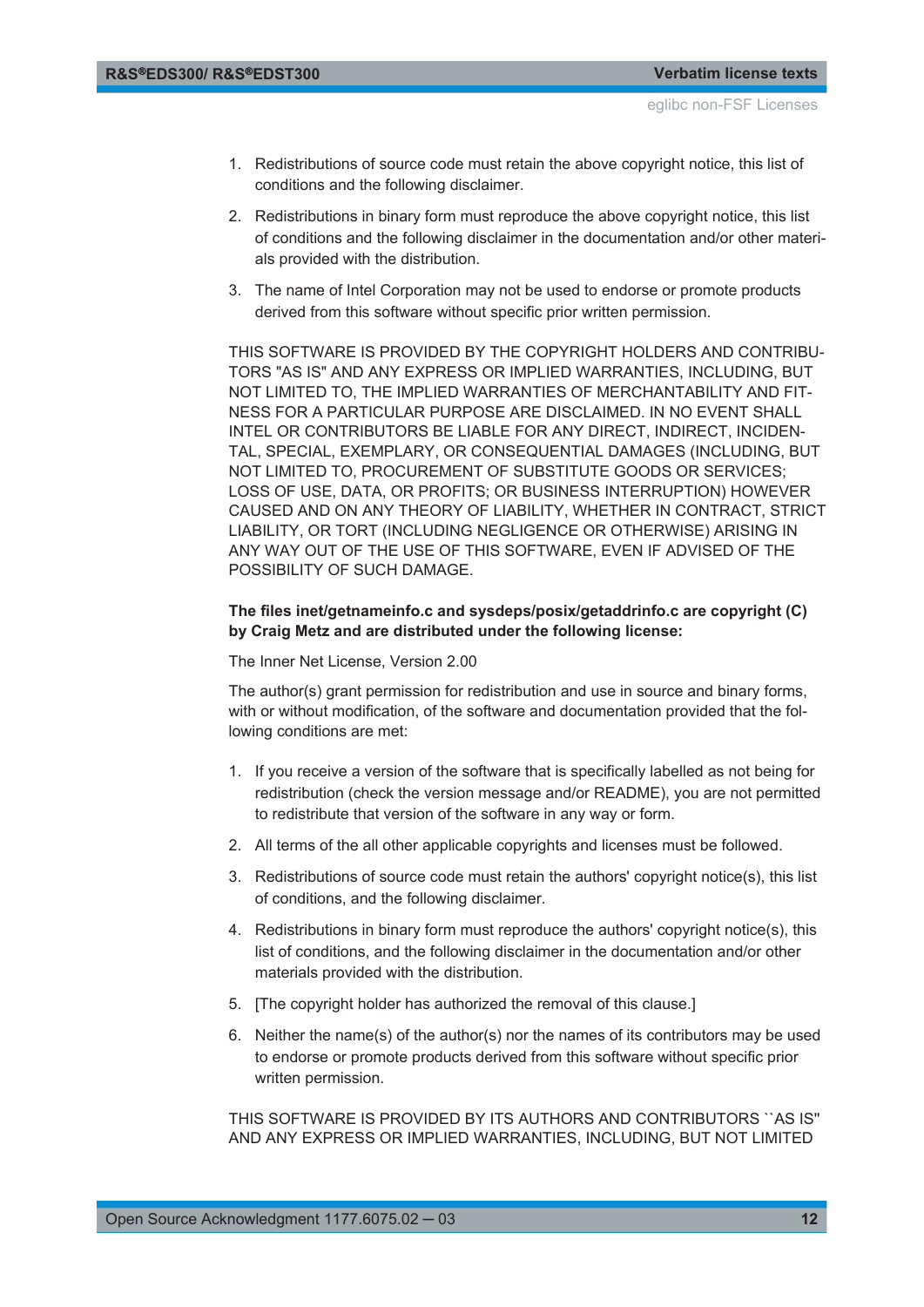- 1. Redistributions of source code must retain the above copyright notice, this list of conditions and the following disclaimer.
- 2. Redistributions in binary form must reproduce the above copyright notice, this list of conditions and the following disclaimer in the documentation and/or other materials provided with the distribution.
- 3. The name of Intel Corporation may not be used to endorse or promote products derived from this software without specific prior written permission.

THIS SOFTWARE IS PROVIDED BY THE COPYRIGHT HOLDERS AND CONTRIBU-TORS "AS IS" AND ANY EXPRESS OR IMPLIED WARRANTIES, INCLUDING, BUT NOT LIMITED TO, THE IMPLIED WARRANTIES OF MERCHANTABILITY AND FIT-NESS FOR A PARTICULAR PURPOSE ARE DISCLAIMED. IN NO EVENT SHALL INTEL OR CONTRIBUTORS BE LIABLE FOR ANY DIRECT, INDIRECT, INCIDEN-TAL, SPECIAL, EXEMPLARY, OR CONSEQUENTIAL DAMAGES (INCLUDING, BUT NOT LIMITED TO, PROCUREMENT OF SUBSTITUTE GOODS OR SERVICES; LOSS OF USE, DATA, OR PROFITS; OR BUSINESS INTERRUPTION) HOWEVER CAUSED AND ON ANY THEORY OF LIABILITY, WHETHER IN CONTRACT, STRICT LIABILITY, OR TORT (INCLUDING NEGLIGENCE OR OTHERWISE) ARISING IN ANY WAY OUT OF THE USE OF THIS SOFTWARE, EVEN IF ADVISED OF THE POSSIBILITY OF SUCH DAMAGE.

#### **The files inet/getnameinfo.c and sysdeps/posix/getaddrinfo.c are copyright (C) by Craig Metz and are distributed under the following license:**

The Inner Net License, Version 2.00

The author(s) grant permission for redistribution and use in source and binary forms, with or without modification, of the software and documentation provided that the following conditions are met:

- 1. If you receive a version of the software that is specifically labelled as not being for redistribution (check the version message and/or README), you are not permitted to redistribute that version of the software in any way or form.
- 2. All terms of the all other applicable copyrights and licenses must be followed.
- 3. Redistributions of source code must retain the authors' copyright notice(s), this list of conditions, and the following disclaimer.
- 4. Redistributions in binary form must reproduce the authors' copyright notice(s), this list of conditions, and the following disclaimer in the documentation and/or other materials provided with the distribution.
- 5. [The copyright holder has authorized the removal of this clause.]
- 6. Neither the name(s) of the author(s) nor the names of its contributors may be used to endorse or promote products derived from this software without specific prior written permission.

THIS SOFTWARE IS PROVIDED BY ITS AUTHORS AND CONTRIBUTORS ``AS IS'' AND ANY EXPRESS OR IMPLIED WARRANTIES, INCLUDING, BUT NOT LIMITED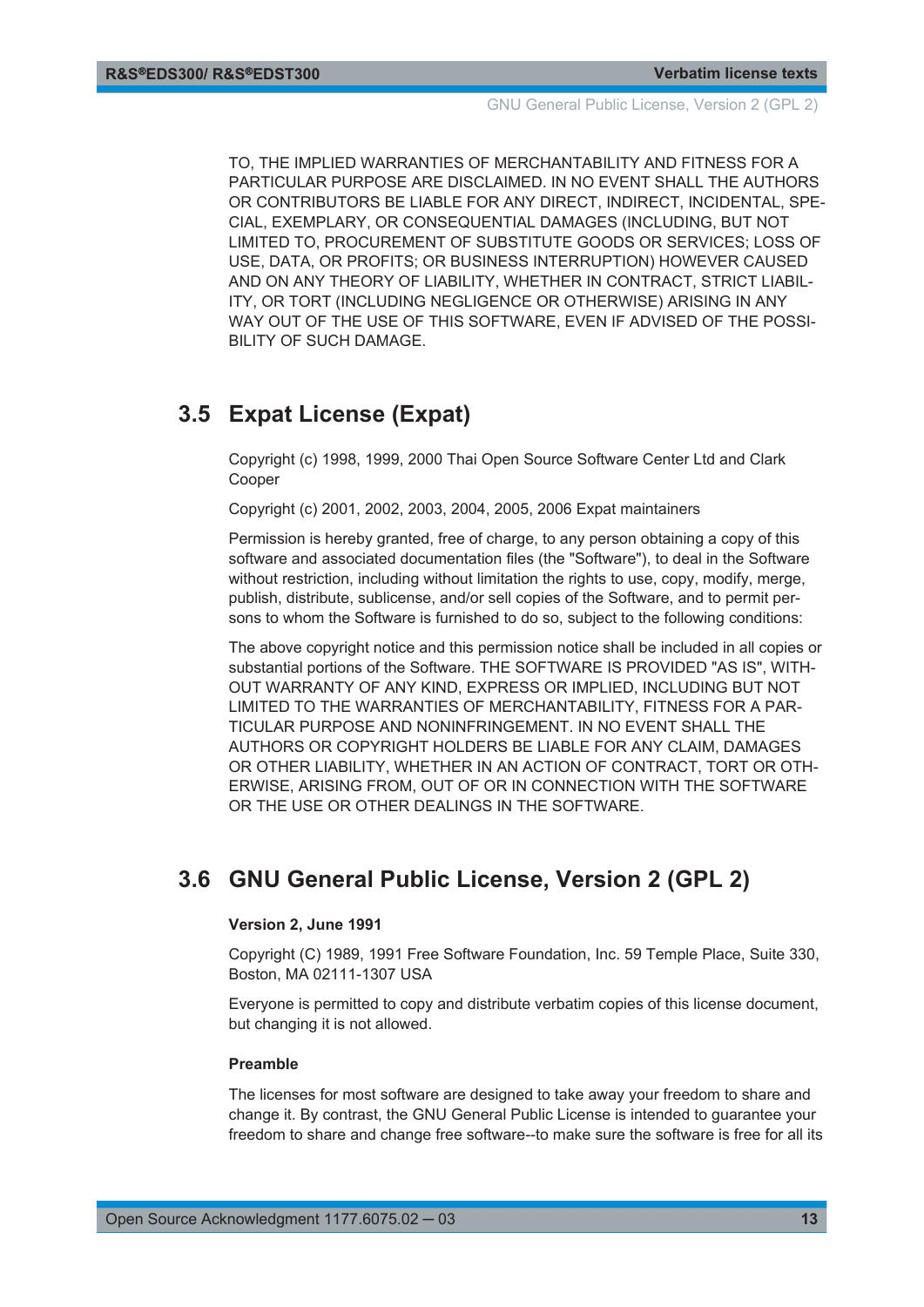<span id="page-12-0"></span>TO, THE IMPLIED WARRANTIES OF MERCHANTABILITY AND FITNESS FOR A PARTICULAR PURPOSE ARE DISCLAIMED. IN NO EVENT SHALL THE AUTHORS OR CONTRIBUTORS BE LIABLE FOR ANY DIRECT, INDIRECT, INCIDENTAL, SPE-CIAL, EXEMPLARY, OR CONSEQUENTIAL DAMAGES (INCLUDING, BUT NOT LIMITED TO, PROCUREMENT OF SUBSTITUTE GOODS OR SERVICES; LOSS OF USE, DATA, OR PROFITS; OR BUSINESS INTERRUPTION) HOWEVER CAUSED AND ON ANY THEORY OF LIABILITY, WHETHER IN CONTRACT, STRICT LIABIL-ITY, OR TORT (INCLUDING NEGLIGENCE OR OTHERWISE) ARISING IN ANY WAY OUT OF THE USE OF THIS SOFTWARE, EVEN IF ADVISED OF THE POSSI-BILITY OF SUCH DAMAGE.

## **3.5 Expat License (Expat)**

Copyright (c) 1998, 1999, 2000 Thai Open Source Software Center Ltd and Clark Cooper

Copyright (c) 2001, 2002, 2003, 2004, 2005, 2006 Expat maintainers

Permission is hereby granted, free of charge, to any person obtaining a copy of this software and associated documentation files (the "Software"), to deal in the Software without restriction, including without limitation the rights to use, copy, modify, merge, publish, distribute, sublicense, and/or sell copies of the Software, and to permit persons to whom the Software is furnished to do so, subject to the following conditions:

The above copyright notice and this permission notice shall be included in all copies or substantial portions of the Software. THE SOFTWARE IS PROVIDED "AS IS", WITH-OUT WARRANTY OF ANY KIND, EXPRESS OR IMPLIED, INCLUDING BUT NOT LIMITED TO THE WARRANTIES OF MERCHANTABILITY, FITNESS FOR A PAR-TICULAR PURPOSE AND NONINFRINGEMENT. IN NO EVENT SHALL THE AUTHORS OR COPYRIGHT HOLDERS BE LIABLE FOR ANY CLAIM, DAMAGES OR OTHER LIABILITY, WHETHER IN AN ACTION OF CONTRACT, TORT OR OTH-ERWISE, ARISING FROM, OUT OF OR IN CONNECTION WITH THE SOFTWARE OR THE USE OR OTHER DEALINGS IN THE SOFTWARE.

## **3.6 GNU General Public License, Version 2 (GPL 2)**

#### **Version 2, June 1991**

Copyright (C) 1989, 1991 Free Software Foundation, Inc. 59 Temple Place, Suite 330, Boston, MA 02111-1307 USA

Everyone is permitted to copy and distribute verbatim copies of this license document, but changing it is not allowed.

#### **Preamble**

The licenses for most software are designed to take away your freedom to share and change it. By contrast, the GNU General Public License is intended to guarantee your freedom to share and change free software--to make sure the software is free for all its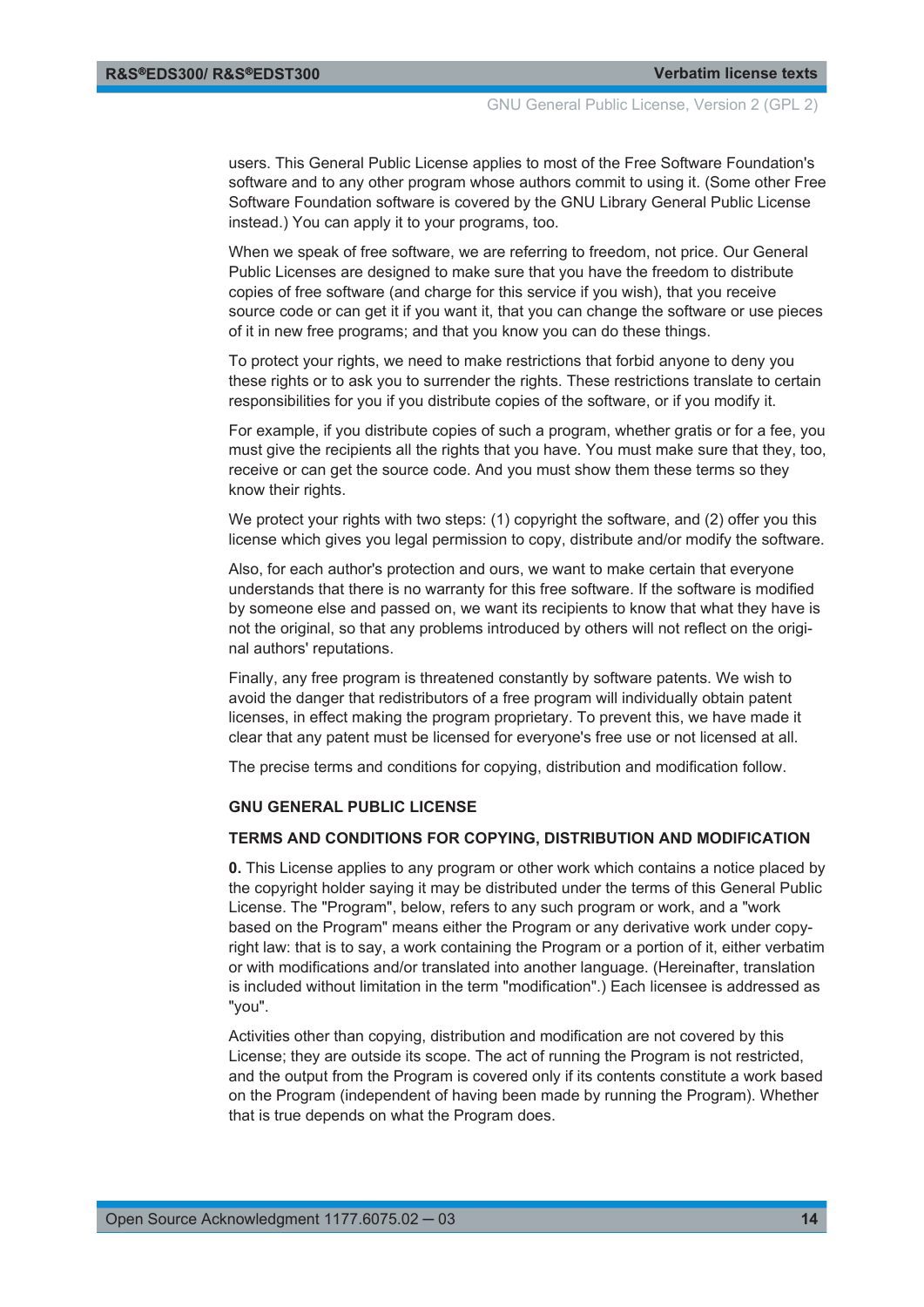users. This General Public License applies to most of the Free Software Foundation's software and to any other program whose authors commit to using it. (Some other Free Software Foundation software is covered by the GNU Library General Public License instead.) You can apply it to your programs, too.

When we speak of free software, we are referring to freedom, not price. Our General Public Licenses are designed to make sure that you have the freedom to distribute copies of free software (and charge for this service if you wish), that you receive source code or can get it if you want it, that you can change the software or use pieces of it in new free programs; and that you know you can do these things.

To protect your rights, we need to make restrictions that forbid anyone to deny you these rights or to ask you to surrender the rights. These restrictions translate to certain responsibilities for you if you distribute copies of the software, or if you modify it.

For example, if you distribute copies of such a program, whether gratis or for a fee, you must give the recipients all the rights that you have. You must make sure that they, too, receive or can get the source code. And you must show them these terms so they know their rights.

We protect your rights with two steps: (1) copyright the software, and (2) offer you this license which gives you legal permission to copy, distribute and/or modify the software.

Also, for each author's protection and ours, we want to make certain that everyone understands that there is no warranty for this free software. If the software is modified by someone else and passed on, we want its recipients to know that what they have is not the original, so that any problems introduced by others will not reflect on the original authors' reputations.

Finally, any free program is threatened constantly by software patents. We wish to avoid the danger that redistributors of a free program will individually obtain patent licenses, in effect making the program proprietary. To prevent this, we have made it clear that any patent must be licensed for everyone's free use or not licensed at all.

The precise terms and conditions for copying, distribution and modification follow.

#### **GNU GENERAL PUBLIC LICENSE**

#### **TERMS AND CONDITIONS FOR COPYING, DISTRIBUTION AND MODIFICATION**

**0.** This License applies to any program or other work which contains a notice placed by the copyright holder saying it may be distributed under the terms of this General Public License. The "Program", below, refers to any such program or work, and a "work based on the Program" means either the Program or any derivative work under copyright law: that is to say, a work containing the Program or a portion of it, either verbatim or with modifications and/or translated into another language. (Hereinafter, translation is included without limitation in the term "modification".) Each licensee is addressed as "you".

Activities other than copying, distribution and modification are not covered by this License; they are outside its scope. The act of running the Program is not restricted, and the output from the Program is covered only if its contents constitute a work based on the Program (independent of having been made by running the Program). Whether that is true depends on what the Program does.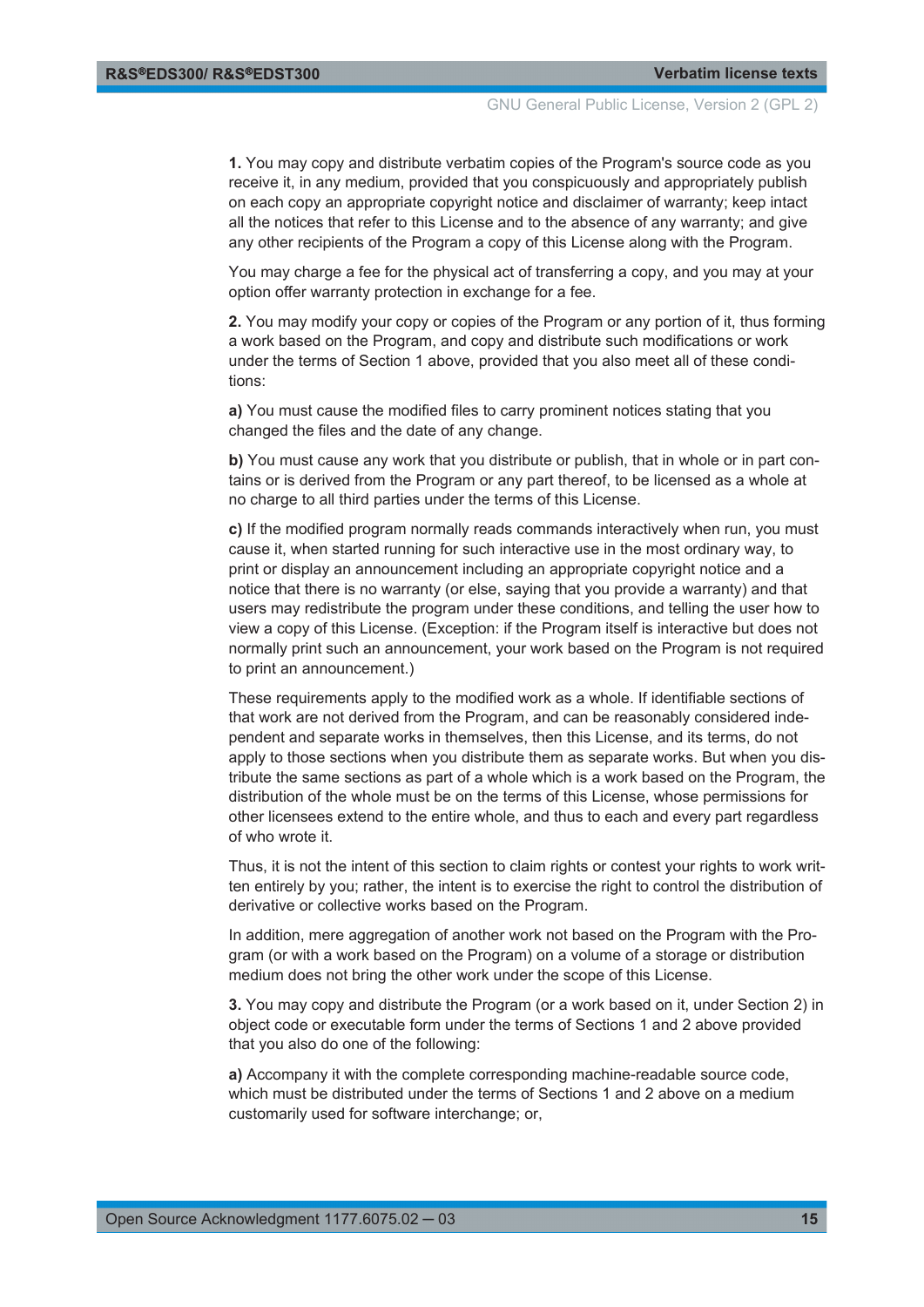**1.** You may copy and distribute verbatim copies of the Program's source code as you receive it, in any medium, provided that you conspicuously and appropriately publish on each copy an appropriate copyright notice and disclaimer of warranty; keep intact all the notices that refer to this License and to the absence of any warranty; and give any other recipients of the Program a copy of this License along with the Program.

You may charge a fee for the physical act of transferring a copy, and you may at your option offer warranty protection in exchange for a fee.

**2.** You may modify your copy or copies of the Program or any portion of it, thus forming a work based on the Program, and copy and distribute such modifications or work under the terms of Section 1 above, provided that you also meet all of these conditions:

**a)** You must cause the modified files to carry prominent notices stating that you changed the files and the date of any change.

**b)** You must cause any work that you distribute or publish, that in whole or in part contains or is derived from the Program or any part thereof, to be licensed as a whole at no charge to all third parties under the terms of this License.

**c)** If the modified program normally reads commands interactively when run, you must cause it, when started running for such interactive use in the most ordinary way, to print or display an announcement including an appropriate copyright notice and a notice that there is no warranty (or else, saying that you provide a warranty) and that users may redistribute the program under these conditions, and telling the user how to view a copy of this License. (Exception: if the Program itself is interactive but does not normally print such an announcement, your work based on the Program is not required to print an announcement.)

These requirements apply to the modified work as a whole. If identifiable sections of that work are not derived from the Program, and can be reasonably considered independent and separate works in themselves, then this License, and its terms, do not apply to those sections when you distribute them as separate works. But when you distribute the same sections as part of a whole which is a work based on the Program, the distribution of the whole must be on the terms of this License, whose permissions for other licensees extend to the entire whole, and thus to each and every part regardless of who wrote it.

Thus, it is not the intent of this section to claim rights or contest your rights to work written entirely by you; rather, the intent is to exercise the right to control the distribution of derivative or collective works based on the Program.

In addition, mere aggregation of another work not based on the Program with the Program (or with a work based on the Program) on a volume of a storage or distribution medium does not bring the other work under the scope of this License.

**3.** You may copy and distribute the Program (or a work based on it, under Section 2) in object code or executable form under the terms of Sections 1 and 2 above provided that you also do one of the following:

**a)** Accompany it with the complete corresponding machine-readable source code, which must be distributed under the terms of Sections 1 and 2 above on a medium customarily used for software interchange; or,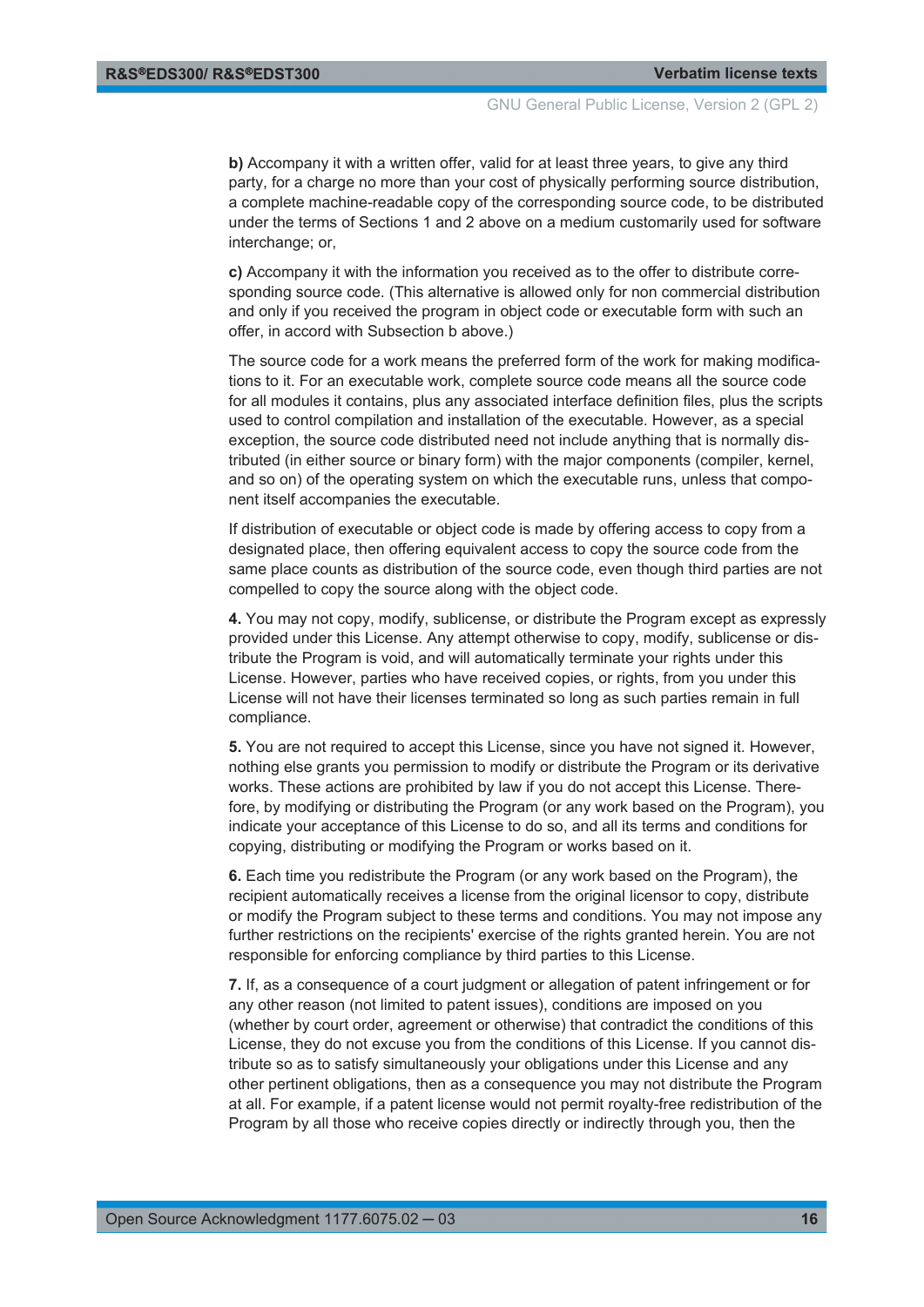**b)** Accompany it with a written offer, valid for at least three years, to give any third party, for a charge no more than your cost of physically performing source distribution, a complete machine-readable copy of the corresponding source code, to be distributed under the terms of Sections 1 and 2 above on a medium customarily used for software interchange; or,

**c)** Accompany it with the information you received as to the offer to distribute corresponding source code. (This alternative is allowed only for non commercial distribution and only if you received the program in object code or executable form with such an offer, in accord with Subsection b above.)

The source code for a work means the preferred form of the work for making modifications to it. For an executable work, complete source code means all the source code for all modules it contains, plus any associated interface definition files, plus the scripts used to control compilation and installation of the executable. However, as a special exception, the source code distributed need not include anything that is normally distributed (in either source or binary form) with the major components (compiler, kernel, and so on) of the operating system on which the executable runs, unless that component itself accompanies the executable.

If distribution of executable or object code is made by offering access to copy from a designated place, then offering equivalent access to copy the source code from the same place counts as distribution of the source code, even though third parties are not compelled to copy the source along with the object code.

**4.** You may not copy, modify, sublicense, or distribute the Program except as expressly provided under this License. Any attempt otherwise to copy, modify, sublicense or distribute the Program is void, and will automatically terminate your rights under this License. However, parties who have received copies, or rights, from you under this License will not have their licenses terminated so long as such parties remain in full compliance.

**5.** You are not required to accept this License, since you have not signed it. However, nothing else grants you permission to modify or distribute the Program or its derivative works. These actions are prohibited by law if you do not accept this License. Therefore, by modifying or distributing the Program (or any work based on the Program), you indicate your acceptance of this License to do so, and all its terms and conditions for copying, distributing or modifying the Program or works based on it.

**6.** Each time you redistribute the Program (or any work based on the Program), the recipient automatically receives a license from the original licensor to copy, distribute or modify the Program subject to these terms and conditions. You may not impose any further restrictions on the recipients' exercise of the rights granted herein. You are not responsible for enforcing compliance by third parties to this License.

**7.** If, as a consequence of a court judgment or allegation of patent infringement or for any other reason (not limited to patent issues), conditions are imposed on you (whether by court order, agreement or otherwise) that contradict the conditions of this License, they do not excuse you from the conditions of this License. If you cannot distribute so as to satisfy simultaneously your obligations under this License and any other pertinent obligations, then as a consequence you may not distribute the Program at all. For example, if a patent license would not permit royalty-free redistribution of the Program by all those who receive copies directly or indirectly through you, then the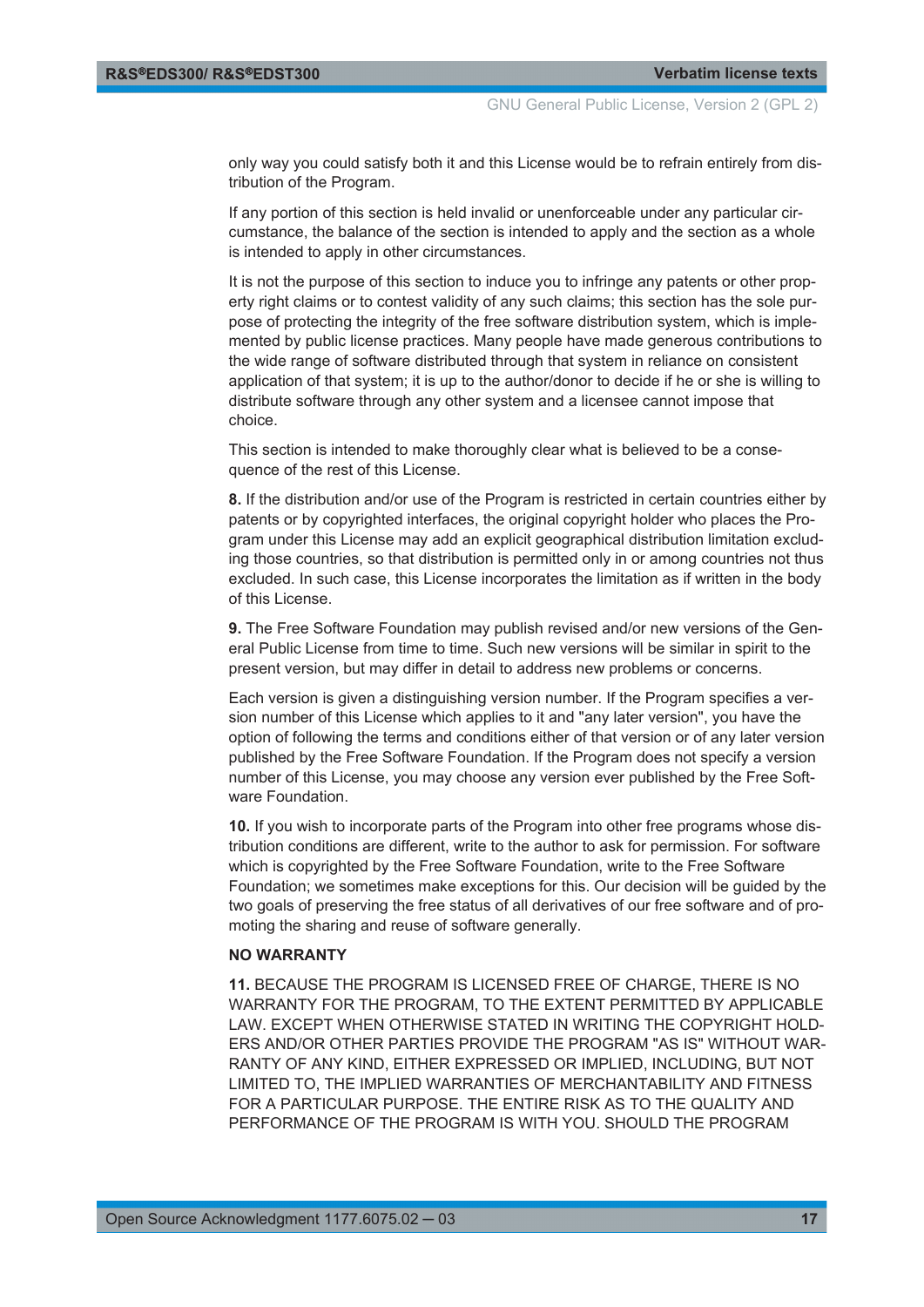only way you could satisfy both it and this License would be to refrain entirely from distribution of the Program.

If any portion of this section is held invalid or unenforceable under any particular circumstance, the balance of the section is intended to apply and the section as a whole is intended to apply in other circumstances.

It is not the purpose of this section to induce you to infringe any patents or other property right claims or to contest validity of any such claims; this section has the sole purpose of protecting the integrity of the free software distribution system, which is implemented by public license practices. Many people have made generous contributions to the wide range of software distributed through that system in reliance on consistent application of that system; it is up to the author/donor to decide if he or she is willing to distribute software through any other system and a licensee cannot impose that choice.

This section is intended to make thoroughly clear what is believed to be a consequence of the rest of this License.

**8.** If the distribution and/or use of the Program is restricted in certain countries either by patents or by copyrighted interfaces, the original copyright holder who places the Program under this License may add an explicit geographical distribution limitation excluding those countries, so that distribution is permitted only in or among countries not thus excluded. In such case, this License incorporates the limitation as if written in the body of this License.

**9.** The Free Software Foundation may publish revised and/or new versions of the General Public License from time to time. Such new versions will be similar in spirit to the present version, but may differ in detail to address new problems or concerns.

Each version is given a distinguishing version number. If the Program specifies a version number of this License which applies to it and "any later version", you have the option of following the terms and conditions either of that version or of any later version published by the Free Software Foundation. If the Program does not specify a version number of this License, you may choose any version ever published by the Free Software Foundation.

**10.** If you wish to incorporate parts of the Program into other free programs whose distribution conditions are different, write to the author to ask for permission. For software which is copyrighted by the Free Software Foundation, write to the Free Software Foundation; we sometimes make exceptions for this. Our decision will be guided by the two goals of preserving the free status of all derivatives of our free software and of promoting the sharing and reuse of software generally.

#### **NO WARRANTY**

**11.** BECAUSE THE PROGRAM IS LICENSED FREE OF CHARGE, THERE IS NO WARRANTY FOR THE PROGRAM, TO THE EXTENT PERMITTED BY APPLICABLE LAW. EXCEPT WHEN OTHERWISE STATED IN WRITING THE COPYRIGHT HOLD-ERS AND/OR OTHER PARTIES PROVIDE THE PROGRAM "AS IS" WITHOUT WAR-RANTY OF ANY KIND, EITHER EXPRESSED OR IMPLIED, INCLUDING, BUT NOT LIMITED TO, THE IMPLIED WARRANTIES OF MERCHANTABILITY AND FITNESS FOR A PARTICULAR PURPOSE. THE ENTIRE RISK AS TO THE QUALITY AND PERFORMANCE OF THE PROGRAM IS WITH YOU. SHOULD THE PROGRAM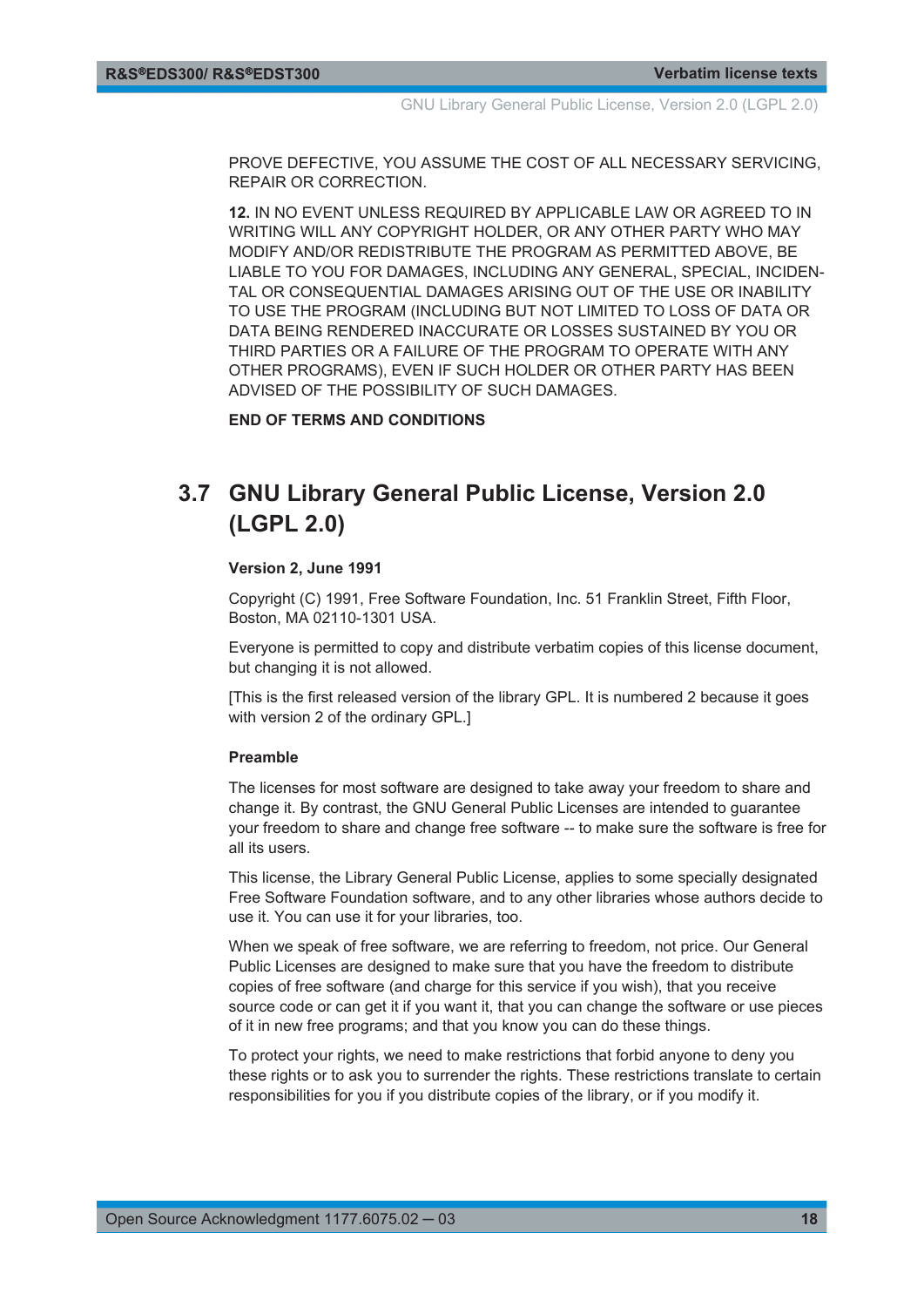<span id="page-17-0"></span>PROVE DEFECTIVE, YOU ASSUME THE COST OF ALL NECESSARY SERVICING, REPAIR OR CORRECTION.

**12.** IN NO EVENT UNLESS REQUIRED BY APPLICABLE LAW OR AGREED TO IN WRITING WILL ANY COPYRIGHT HOLDER, OR ANY OTHER PARTY WHO MAY MODIFY AND/OR REDISTRIBUTE THE PROGRAM AS PERMITTED ABOVE, BE LIABLE TO YOU FOR DAMAGES, INCLUDING ANY GENERAL, SPECIAL, INCIDEN-TAL OR CONSEQUENTIAL DAMAGES ARISING OUT OF THE USE OR INABILITY TO USE THE PROGRAM (INCLUDING BUT NOT LIMITED TO LOSS OF DATA OR DATA BEING RENDERED INACCURATE OR LOSSES SUSTAINED BY YOU OR THIRD PARTIES OR A FAILURE OF THE PROGRAM TO OPERATE WITH ANY OTHER PROGRAMS), EVEN IF SUCH HOLDER OR OTHER PARTY HAS BEEN ADVISED OF THE POSSIBILITY OF SUCH DAMAGES.

**END OF TERMS AND CONDITIONS**

## **3.7 GNU Library General Public License, Version 2.0 (LGPL 2.0)**

#### **Version 2, June 1991**

Copyright (C) 1991, Free Software Foundation, Inc. 51 Franklin Street, Fifth Floor, Boston, MA 02110-1301 USA.

Everyone is permitted to copy and distribute verbatim copies of this license document, but changing it is not allowed.

[This is the first released version of the library GPL. It is numbered 2 because it goes with version 2 of the ordinary GPL.]

#### **Preamble**

The licenses for most software are designed to take away your freedom to share and change it. By contrast, the GNU General Public Licenses are intended to guarantee your freedom to share and change free software -- to make sure the software is free for all its users.

This license, the Library General Public License, applies to some specially designated Free Software Foundation software, and to any other libraries whose authors decide to use it. You can use it for your libraries, too.

When we speak of free software, we are referring to freedom, not price. Our General Public Licenses are designed to make sure that you have the freedom to distribute copies of free software (and charge for this service if you wish), that you receive source code or can get it if you want it, that you can change the software or use pieces of it in new free programs; and that you know you can do these things.

To protect your rights, we need to make restrictions that forbid anyone to deny you these rights or to ask you to surrender the rights. These restrictions translate to certain responsibilities for you if you distribute copies of the library, or if you modify it.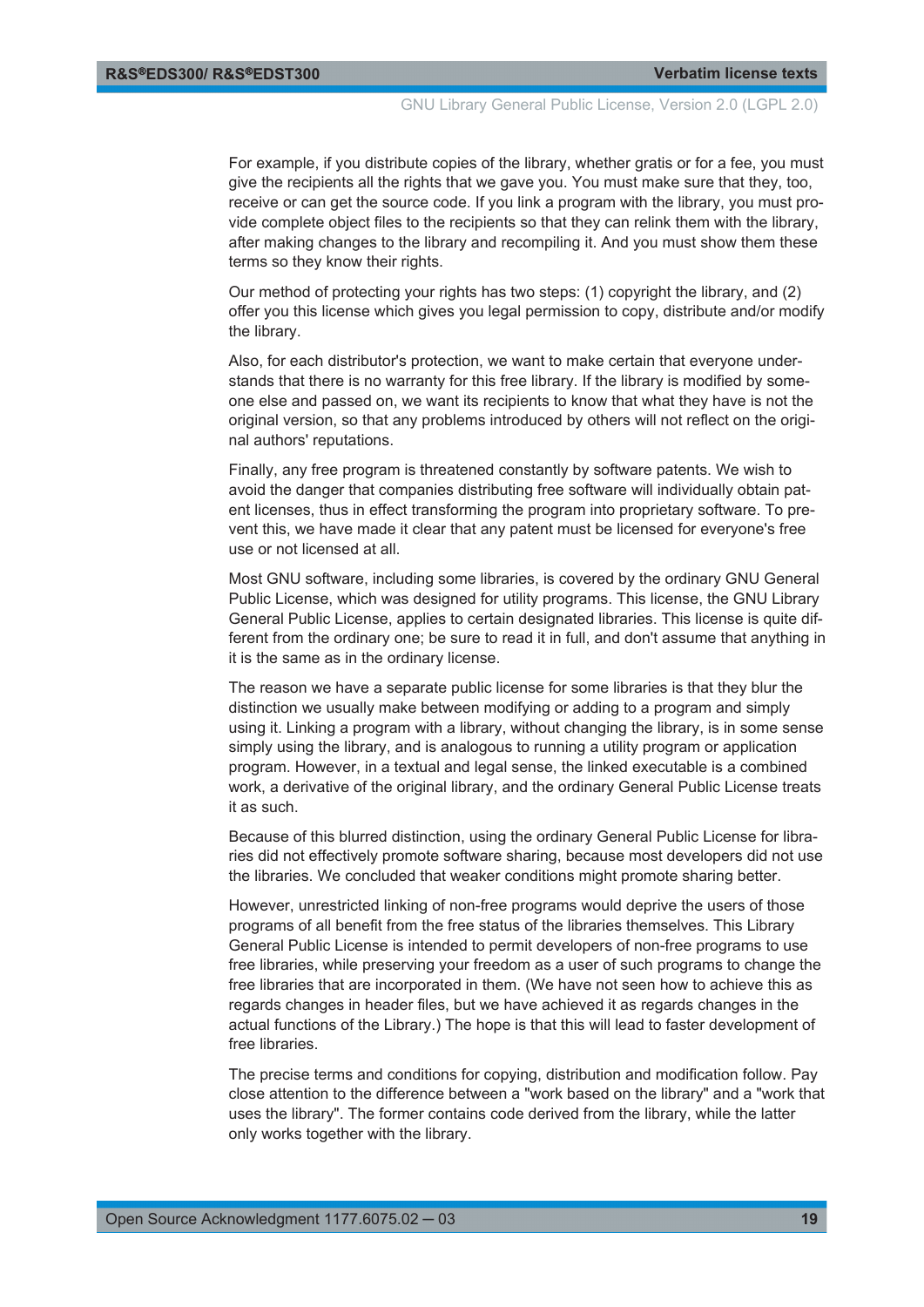GNU Library General Public License, Version 2.0 (LGPL 2.0)

For example, if you distribute copies of the library, whether gratis or for a fee, you must give the recipients all the rights that we gave you. You must make sure that they, too, receive or can get the source code. If you link a program with the library, you must provide complete object files to the recipients so that they can relink them with the library, after making changes to the library and recompiling it. And you must show them these terms so they know their rights.

Our method of protecting your rights has two steps: (1) copyright the library, and (2) offer you this license which gives you legal permission to copy, distribute and/or modify the library.

Also, for each distributor's protection, we want to make certain that everyone understands that there is no warranty for this free library. If the library is modified by someone else and passed on, we want its recipients to know that what they have is not the original version, so that any problems introduced by others will not reflect on the original authors' reputations.

Finally, any free program is threatened constantly by software patents. We wish to avoid the danger that companies distributing free software will individually obtain patent licenses, thus in effect transforming the program into proprietary software. To prevent this, we have made it clear that any patent must be licensed for everyone's free use or not licensed at all.

Most GNU software, including some libraries, is covered by the ordinary GNU General Public License, which was designed for utility programs. This license, the GNU Library General Public License, applies to certain designated libraries. This license is quite different from the ordinary one; be sure to read it in full, and don't assume that anything in it is the same as in the ordinary license.

The reason we have a separate public license for some libraries is that they blur the distinction we usually make between modifying or adding to a program and simply using it. Linking a program with a library, without changing the library, is in some sense simply using the library, and is analogous to running a utility program or application program. However, in a textual and legal sense, the linked executable is a combined work, a derivative of the original library, and the ordinary General Public License treats it as such.

Because of this blurred distinction, using the ordinary General Public License for libraries did not effectively promote software sharing, because most developers did not use the libraries. We concluded that weaker conditions might promote sharing better.

However, unrestricted linking of non-free programs would deprive the users of those programs of all benefit from the free status of the libraries themselves. This Library General Public License is intended to permit developers of non-free programs to use free libraries, while preserving your freedom as a user of such programs to change the free libraries that are incorporated in them. (We have not seen how to achieve this as regards changes in header files, but we have achieved it as regards changes in the actual functions of the Library.) The hope is that this will lead to faster development of free libraries.

The precise terms and conditions for copying, distribution and modification follow. Pay close attention to the difference between a "work based on the library" and a "work that uses the library". The former contains code derived from the library, while the latter only works together with the library.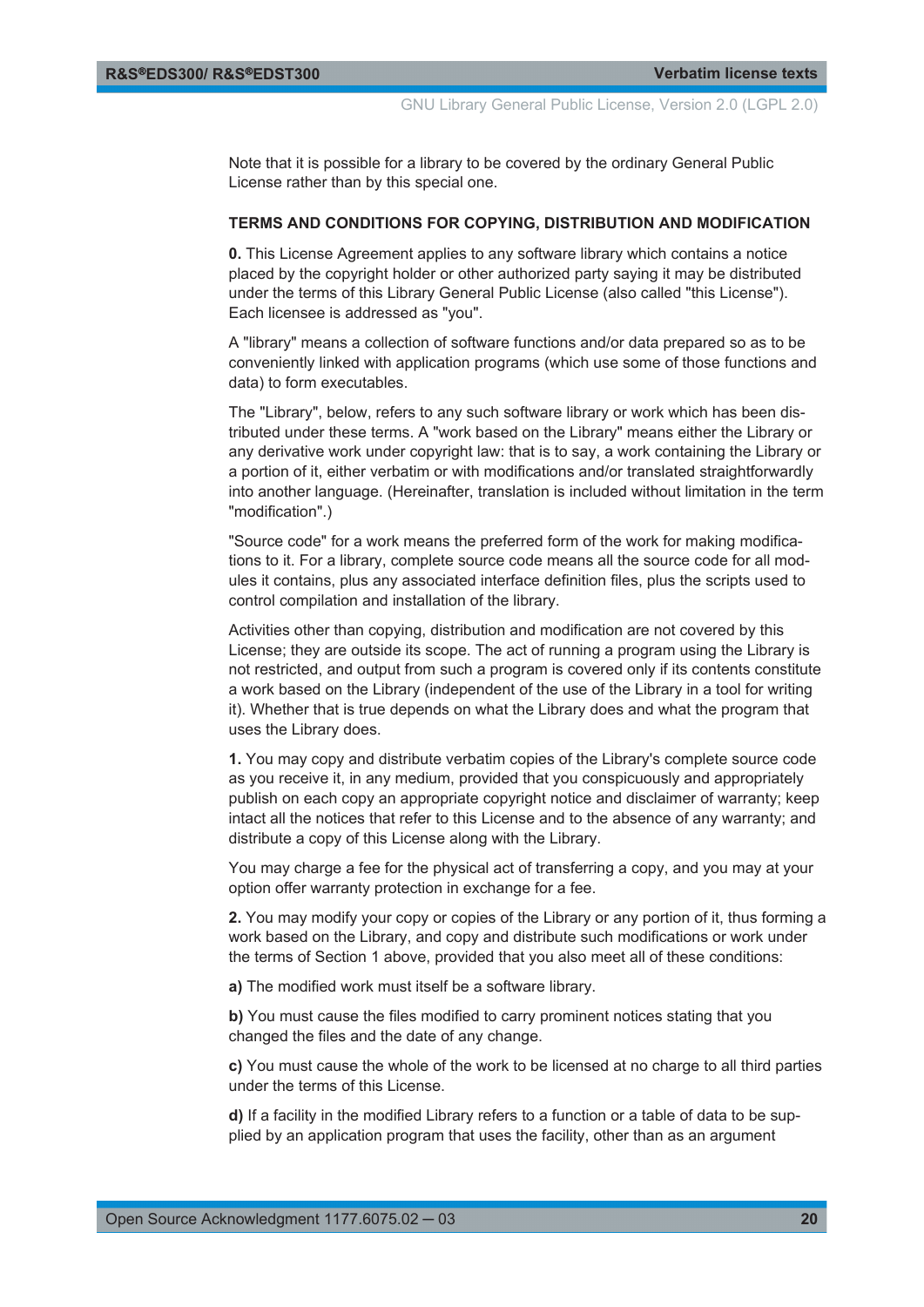Note that it is possible for a library to be covered by the ordinary General Public License rather than by this special one.

#### **TERMS AND CONDITIONS FOR COPYING, DISTRIBUTION AND MODIFICATION**

**0.** This License Agreement applies to any software library which contains a notice placed by the copyright holder or other authorized party saying it may be distributed under the terms of this Library General Public License (also called "this License"). Each licensee is addressed as "you".

A "library" means a collection of software functions and/or data prepared so as to be conveniently linked with application programs (which use some of those functions and data) to form executables.

The "Library", below, refers to any such software library or work which has been distributed under these terms. A "work based on the Library" means either the Library or any derivative work under copyright law: that is to say, a work containing the Library or a portion of it, either verbatim or with modifications and/or translated straightforwardly into another language. (Hereinafter, translation is included without limitation in the term "modification".)

"Source code" for a work means the preferred form of the work for making modifications to it. For a library, complete source code means all the source code for all modules it contains, plus any associated interface definition files, plus the scripts used to control compilation and installation of the library.

Activities other than copying, distribution and modification are not covered by this License; they are outside its scope. The act of running a program using the Library is not restricted, and output from such a program is covered only if its contents constitute a work based on the Library (independent of the use of the Library in a tool for writing it). Whether that is true depends on what the Library does and what the program that uses the Library does.

**1.** You may copy and distribute verbatim copies of the Library's complete source code as you receive it, in any medium, provided that you conspicuously and appropriately publish on each copy an appropriate copyright notice and disclaimer of warranty; keep intact all the notices that refer to this License and to the absence of any warranty; and distribute a copy of this License along with the Library.

You may charge a fee for the physical act of transferring a copy, and you may at your option offer warranty protection in exchange for a fee.

**2.** You may modify your copy or copies of the Library or any portion of it, thus forming a work based on the Library, and copy and distribute such modifications or work under the terms of Section 1 above, provided that you also meet all of these conditions:

**a)** The modified work must itself be a software library.

**b)** You must cause the files modified to carry prominent notices stating that you changed the files and the date of any change.

**c)** You must cause the whole of the work to be licensed at no charge to all third parties under the terms of this License.

**d)** If a facility in the modified Library refers to a function or a table of data to be supplied by an application program that uses the facility, other than as an argument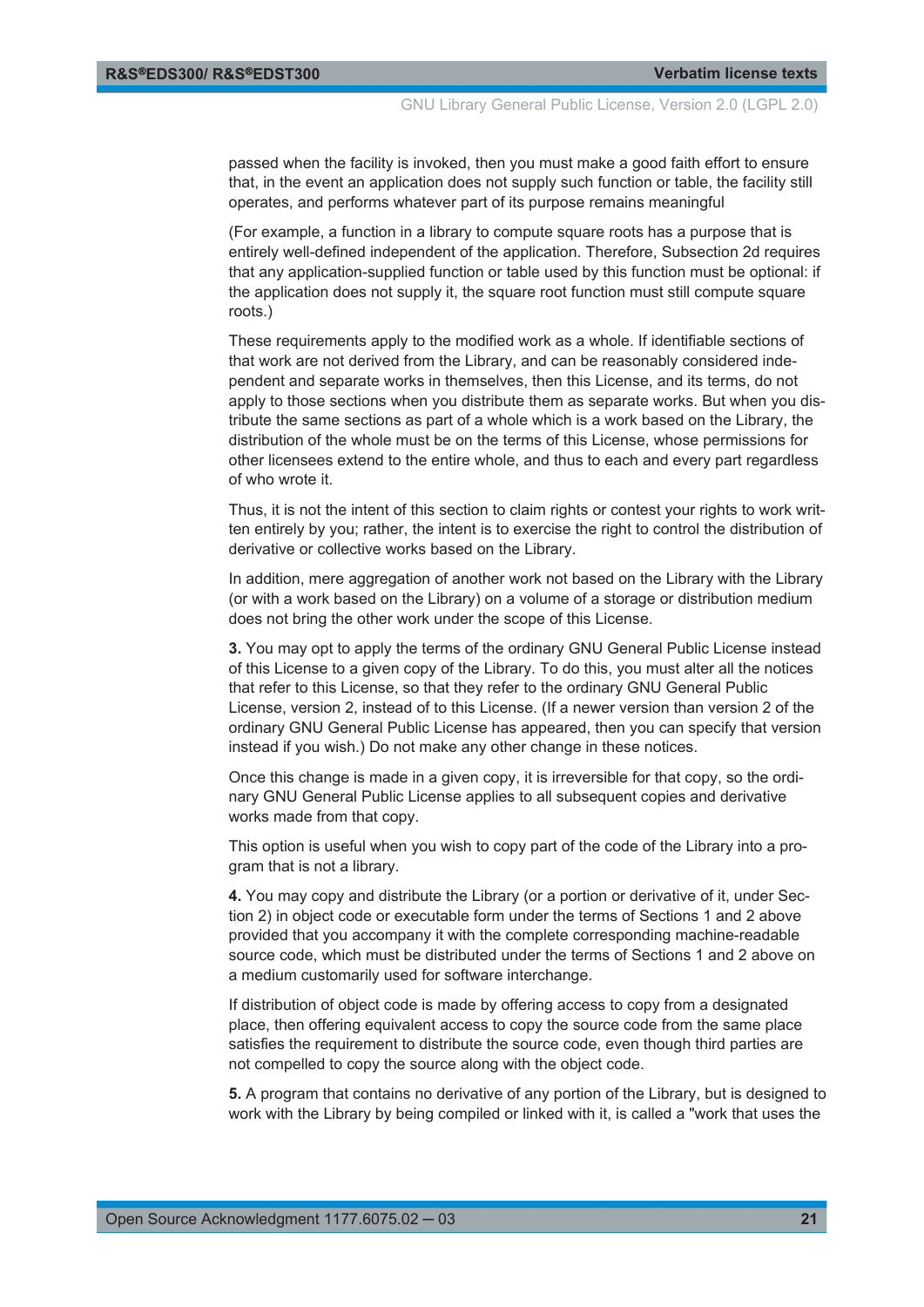passed when the facility is invoked, then you must make a good faith effort to ensure that, in the event an application does not supply such function or table, the facility still operates, and performs whatever part of its purpose remains meaningful

(For example, a function in a library to compute square roots has a purpose that is entirely well-defined independent of the application. Therefore, Subsection 2d requires that any application-supplied function or table used by this function must be optional: if the application does not supply it, the square root function must still compute square roots.)

These requirements apply to the modified work as a whole. If identifiable sections of that work are not derived from the Library, and can be reasonably considered independent and separate works in themselves, then this License, and its terms, do not apply to those sections when you distribute them as separate works. But when you distribute the same sections as part of a whole which is a work based on the Library, the distribution of the whole must be on the terms of this License, whose permissions for other licensees extend to the entire whole, and thus to each and every part regardless of who wrote it.

Thus, it is not the intent of this section to claim rights or contest your rights to work written entirely by you; rather, the intent is to exercise the right to control the distribution of derivative or collective works based on the Library.

In addition, mere aggregation of another work not based on the Library with the Library (or with a work based on the Library) on a volume of a storage or distribution medium does not bring the other work under the scope of this License.

**3.** You may opt to apply the terms of the ordinary GNU General Public License instead of this License to a given copy of the Library. To do this, you must alter all the notices that refer to this License, so that they refer to the ordinary GNU General Public License, version 2, instead of to this License. (If a newer version than version 2 of the ordinary GNU General Public License has appeared, then you can specify that version instead if you wish.) Do not make any other change in these notices.

Once this change is made in a given copy, it is irreversible for that copy, so the ordinary GNU General Public License applies to all subsequent copies and derivative works made from that copy.

This option is useful when you wish to copy part of the code of the Library into a program that is not a library.

**4.** You may copy and distribute the Library (or a portion or derivative of it, under Section 2) in object code or executable form under the terms of Sections 1 and 2 above provided that you accompany it with the complete corresponding machine-readable source code, which must be distributed under the terms of Sections 1 and 2 above on a medium customarily used for software interchange.

If distribution of object code is made by offering access to copy from a designated place, then offering equivalent access to copy the source code from the same place satisfies the requirement to distribute the source code, even though third parties are not compelled to copy the source along with the object code.

**5.** A program that contains no derivative of any portion of the Library, but is designed to work with the Library by being compiled or linked with it, is called a "work that uses the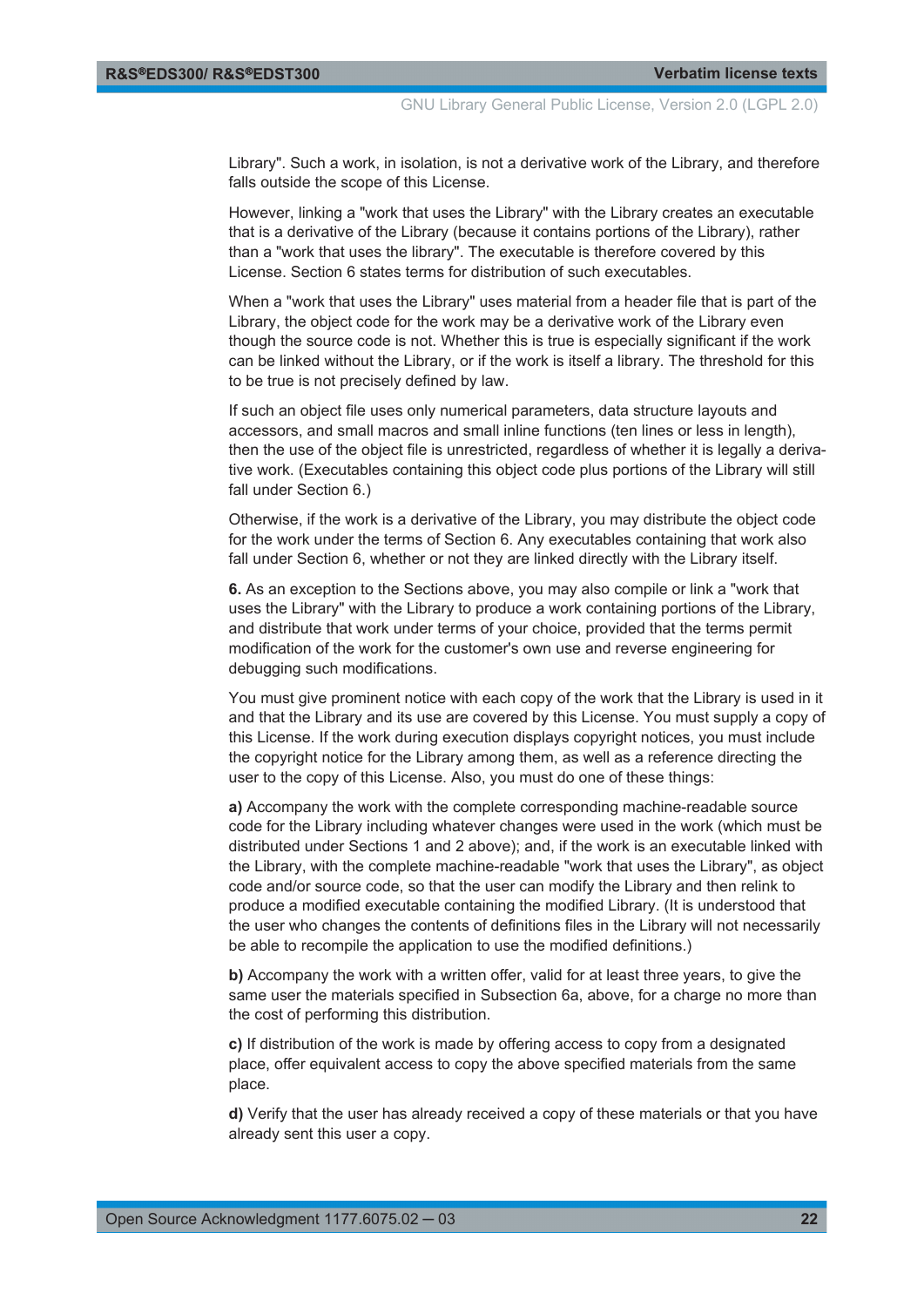Library". Such a work, in isolation, is not a derivative work of the Library, and therefore falls outside the scope of this License.

However, linking a "work that uses the Library" with the Library creates an executable that is a derivative of the Library (because it contains portions of the Library), rather than a "work that uses the library". The executable is therefore covered by this License. Section 6 states terms for distribution of such executables.

When a "work that uses the Library" uses material from a header file that is part of the Library, the object code for the work may be a derivative work of the Library even though the source code is not. Whether this is true is especially significant if the work can be linked without the Library, or if the work is itself a library. The threshold for this to be true is not precisely defined by law.

If such an object file uses only numerical parameters, data structure layouts and accessors, and small macros and small inline functions (ten lines or less in length), then the use of the object file is unrestricted, regardless of whether it is legally a derivative work. (Executables containing this object code plus portions of the Library will still fall under Section 6.)

Otherwise, if the work is a derivative of the Library, you may distribute the object code for the work under the terms of Section 6. Any executables containing that work also fall under Section 6, whether or not they are linked directly with the Library itself.

**6.** As an exception to the Sections above, you may also compile or link a "work that uses the Library" with the Library to produce a work containing portions of the Library, and distribute that work under terms of your choice, provided that the terms permit modification of the work for the customer's own use and reverse engineering for debugging such modifications.

You must give prominent notice with each copy of the work that the Library is used in it and that the Library and its use are covered by this License. You must supply a copy of this License. If the work during execution displays copyright notices, you must include the copyright notice for the Library among them, as well as a reference directing the user to the copy of this License. Also, you must do one of these things:

**a)** Accompany the work with the complete corresponding machine-readable source code for the Library including whatever changes were used in the work (which must be distributed under Sections 1 and 2 above); and, if the work is an executable linked with the Library, with the complete machine-readable "work that uses the Library", as object code and/or source code, so that the user can modify the Library and then relink to produce a modified executable containing the modified Library. (It is understood that the user who changes the contents of definitions files in the Library will not necessarily be able to recompile the application to use the modified definitions.)

**b)** Accompany the work with a written offer, valid for at least three years, to give the same user the materials specified in Subsection 6a, above, for a charge no more than the cost of performing this distribution.

**c)** If distribution of the work is made by offering access to copy from a designated place, offer equivalent access to copy the above specified materials from the same place.

**d)** Verify that the user has already received a copy of these materials or that you have already sent this user a copy.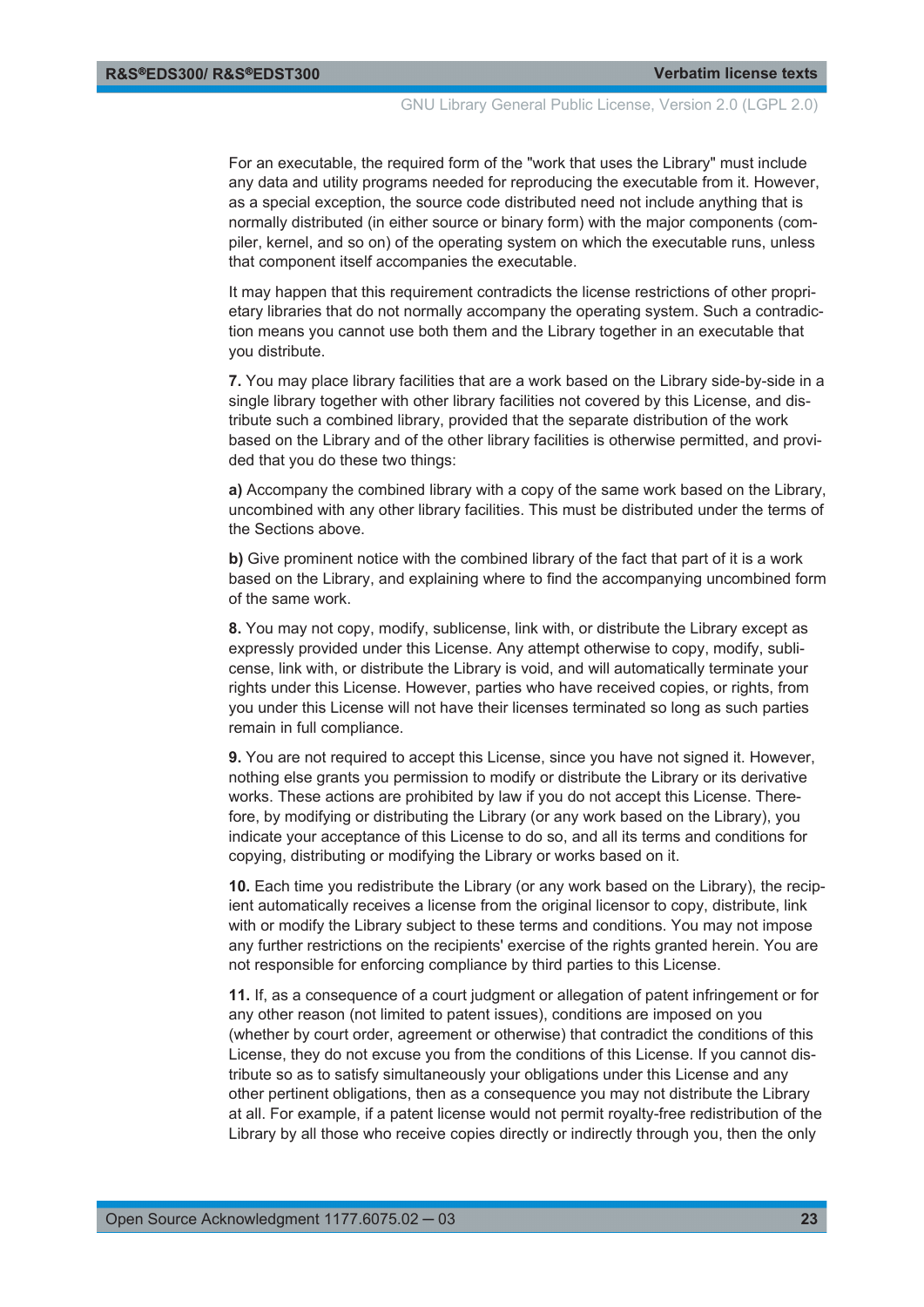GNU Library General Public License, Version 2.0 (LGPL 2.0)

For an executable, the required form of the "work that uses the Library" must include any data and utility programs needed for reproducing the executable from it. However, as a special exception, the source code distributed need not include anything that is normally distributed (in either source or binary form) with the major components (compiler, kernel, and so on) of the operating system on which the executable runs, unless that component itself accompanies the executable.

It may happen that this requirement contradicts the license restrictions of other proprietary libraries that do not normally accompany the operating system. Such a contradiction means you cannot use both them and the Library together in an executable that you distribute.

**7.** You may place library facilities that are a work based on the Library side-by-side in a single library together with other library facilities not covered by this License, and distribute such a combined library, provided that the separate distribution of the work based on the Library and of the other library facilities is otherwise permitted, and provided that you do these two things:

**a)** Accompany the combined library with a copy of the same work based on the Library, uncombined with any other library facilities. This must be distributed under the terms of the Sections above.

**b)** Give prominent notice with the combined library of the fact that part of it is a work based on the Library, and explaining where to find the accompanying uncombined form of the same work.

**8.** You may not copy, modify, sublicense, link with, or distribute the Library except as expressly provided under this License. Any attempt otherwise to copy, modify, sublicense, link with, or distribute the Library is void, and will automatically terminate your rights under this License. However, parties who have received copies, or rights, from you under this License will not have their licenses terminated so long as such parties remain in full compliance.

**9.** You are not required to accept this License, since you have not signed it. However, nothing else grants you permission to modify or distribute the Library or its derivative works. These actions are prohibited by law if you do not accept this License. Therefore, by modifying or distributing the Library (or any work based on the Library), you indicate your acceptance of this License to do so, and all its terms and conditions for copying, distributing or modifying the Library or works based on it.

**10.** Each time you redistribute the Library (or any work based on the Library), the recipient automatically receives a license from the original licensor to copy, distribute, link with or modify the Library subject to these terms and conditions. You may not impose any further restrictions on the recipients' exercise of the rights granted herein. You are not responsible for enforcing compliance by third parties to this License.

**11.** If, as a consequence of a court judgment or allegation of patent infringement or for any other reason (not limited to patent issues), conditions are imposed on you (whether by court order, agreement or otherwise) that contradict the conditions of this License, they do not excuse you from the conditions of this License. If you cannot distribute so as to satisfy simultaneously your obligations under this License and any other pertinent obligations, then as a consequence you may not distribute the Library at all. For example, if a patent license would not permit royalty-free redistribution of the Library by all those who receive copies directly or indirectly through you, then the only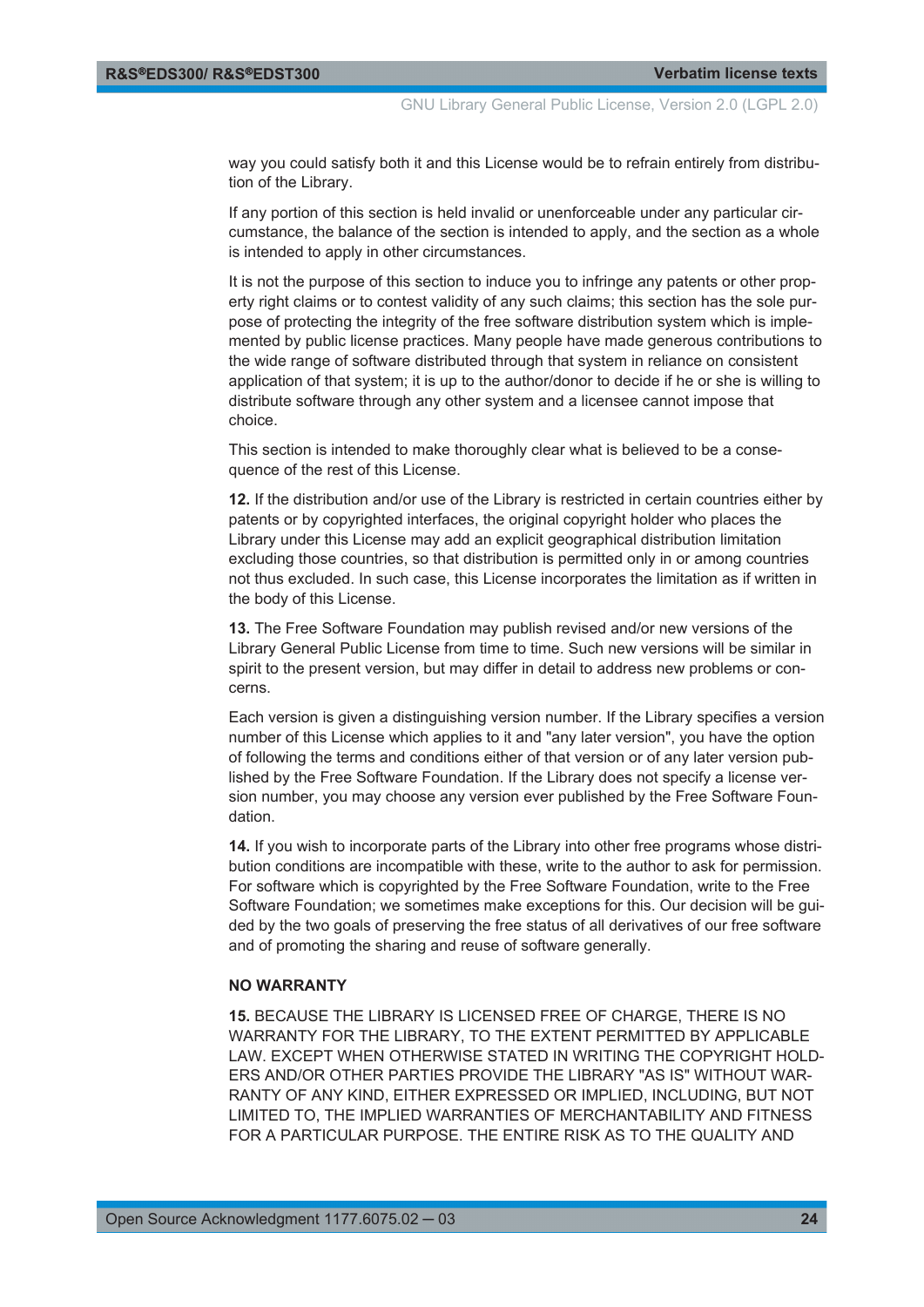way you could satisfy both it and this License would be to refrain entirely from distribution of the Library.

If any portion of this section is held invalid or unenforceable under any particular circumstance, the balance of the section is intended to apply, and the section as a whole is intended to apply in other circumstances.

It is not the purpose of this section to induce you to infringe any patents or other property right claims or to contest validity of any such claims; this section has the sole purpose of protecting the integrity of the free software distribution system which is implemented by public license practices. Many people have made generous contributions to the wide range of software distributed through that system in reliance on consistent application of that system; it is up to the author/donor to decide if he or she is willing to distribute software through any other system and a licensee cannot impose that choice.

This section is intended to make thoroughly clear what is believed to be a consequence of the rest of this License.

**12.** If the distribution and/or use of the Library is restricted in certain countries either by patents or by copyrighted interfaces, the original copyright holder who places the Library under this License may add an explicit geographical distribution limitation excluding those countries, so that distribution is permitted only in or among countries not thus excluded. In such case, this License incorporates the limitation as if written in the body of this License.

**13.** The Free Software Foundation may publish revised and/or new versions of the Library General Public License from time to time. Such new versions will be similar in spirit to the present version, but may differ in detail to address new problems or concerns.

Each version is given a distinguishing version number. If the Library specifies a version number of this License which applies to it and "any later version", you have the option of following the terms and conditions either of that version or of any later version published by the Free Software Foundation. If the Library does not specify a license version number, you may choose any version ever published by the Free Software Foundation.

**14.** If you wish to incorporate parts of the Library into other free programs whose distribution conditions are incompatible with these, write to the author to ask for permission. For software which is copyrighted by the Free Software Foundation, write to the Free Software Foundation; we sometimes make exceptions for this. Our decision will be guided by the two goals of preserving the free status of all derivatives of our free software and of promoting the sharing and reuse of software generally.

#### **NO WARRANTY**

**15.** BECAUSE THE LIBRARY IS LICENSED FREE OF CHARGE, THERE IS NO WARRANTY FOR THE LIBRARY, TO THE EXTENT PERMITTED BY APPLICABLE LAW. EXCEPT WHEN OTHERWISE STATED IN WRITING THE COPYRIGHT HOLD-ERS AND/OR OTHER PARTIES PROVIDE THE LIBRARY "AS IS" WITHOUT WAR-RANTY OF ANY KIND, EITHER EXPRESSED OR IMPLIED, INCLUDING, BUT NOT LIMITED TO, THE IMPLIED WARRANTIES OF MERCHANTABILITY AND FITNESS FOR A PARTICULAR PURPOSE. THE ENTIRE RISK AS TO THE QUALITY AND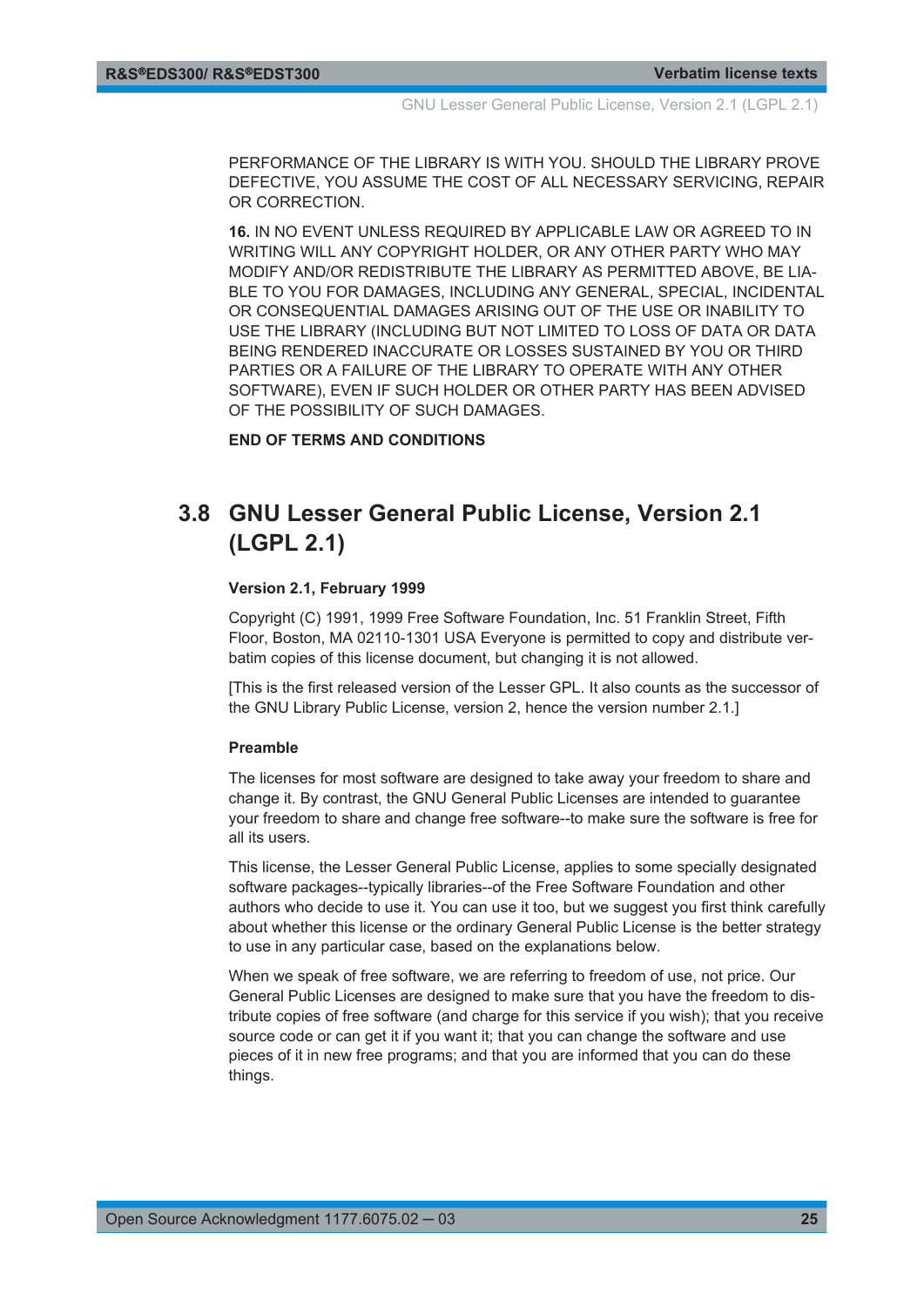<span id="page-24-0"></span>PERFORMANCE OF THE LIBRARY IS WITH YOU. SHOULD THE LIBRARY PROVE DEFECTIVE, YOU ASSUME THE COST OF ALL NECESSARY SERVICING, REPAIR OR CORRECTION.

**16.** IN NO EVENT UNLESS REQUIRED BY APPLICABLE LAW OR AGREED TO IN WRITING WILL ANY COPYRIGHT HOLDER, OR ANY OTHER PARTY WHO MAY MODIFY AND/OR REDISTRIBUTE THE LIBRARY AS PERMITTED ABOVE, BE LIA-BLE TO YOU FOR DAMAGES, INCLUDING ANY GENERAL, SPECIAL, INCIDENTAL OR CONSEQUENTIAL DAMAGES ARISING OUT OF THE USE OR INABILITY TO USE THE LIBRARY (INCLUDING BUT NOT LIMITED TO LOSS OF DATA OR DATA BEING RENDERED INACCURATE OR LOSSES SUSTAINED BY YOU OR THIRD PARTIES OR A FAILURE OF THE LIBRARY TO OPERATE WITH ANY OTHER SOFTWARE), EVEN IF SUCH HOLDER OR OTHER PARTY HAS BEEN ADVISED OF THE POSSIBILITY OF SUCH DAMAGES.

**END OF TERMS AND CONDITIONS**

## **3.8 GNU Lesser General Public License, Version 2.1 (LGPL 2.1)**

#### **Version 2.1, February 1999**

Copyright (C) 1991, 1999 Free Software Foundation, Inc. 51 Franklin Street, Fifth Floor, Boston, MA 02110-1301 USA Everyone is permitted to copy and distribute verbatim copies of this license document, but changing it is not allowed.

[This is the first released version of the Lesser GPL. It also counts as the successor of the GNU Library Public License, version 2, hence the version number 2.1.]

#### **Preamble**

The licenses for most software are designed to take away your freedom to share and change it. By contrast, the GNU General Public Licenses are intended to guarantee your freedom to share and change free software--to make sure the software is free for all its users.

This license, the Lesser General Public License, applies to some specially designated software packages--typically libraries--of the Free Software Foundation and other authors who decide to use it. You can use it too, but we suggest you first think carefully about whether this license or the ordinary General Public License is the better strategy to use in any particular case, based on the explanations below.

When we speak of free software, we are referring to freedom of use, not price. Our General Public Licenses are designed to make sure that you have the freedom to distribute copies of free software (and charge for this service if you wish); that you receive source code or can get it if you want it; that you can change the software and use pieces of it in new free programs; and that you are informed that you can do these things.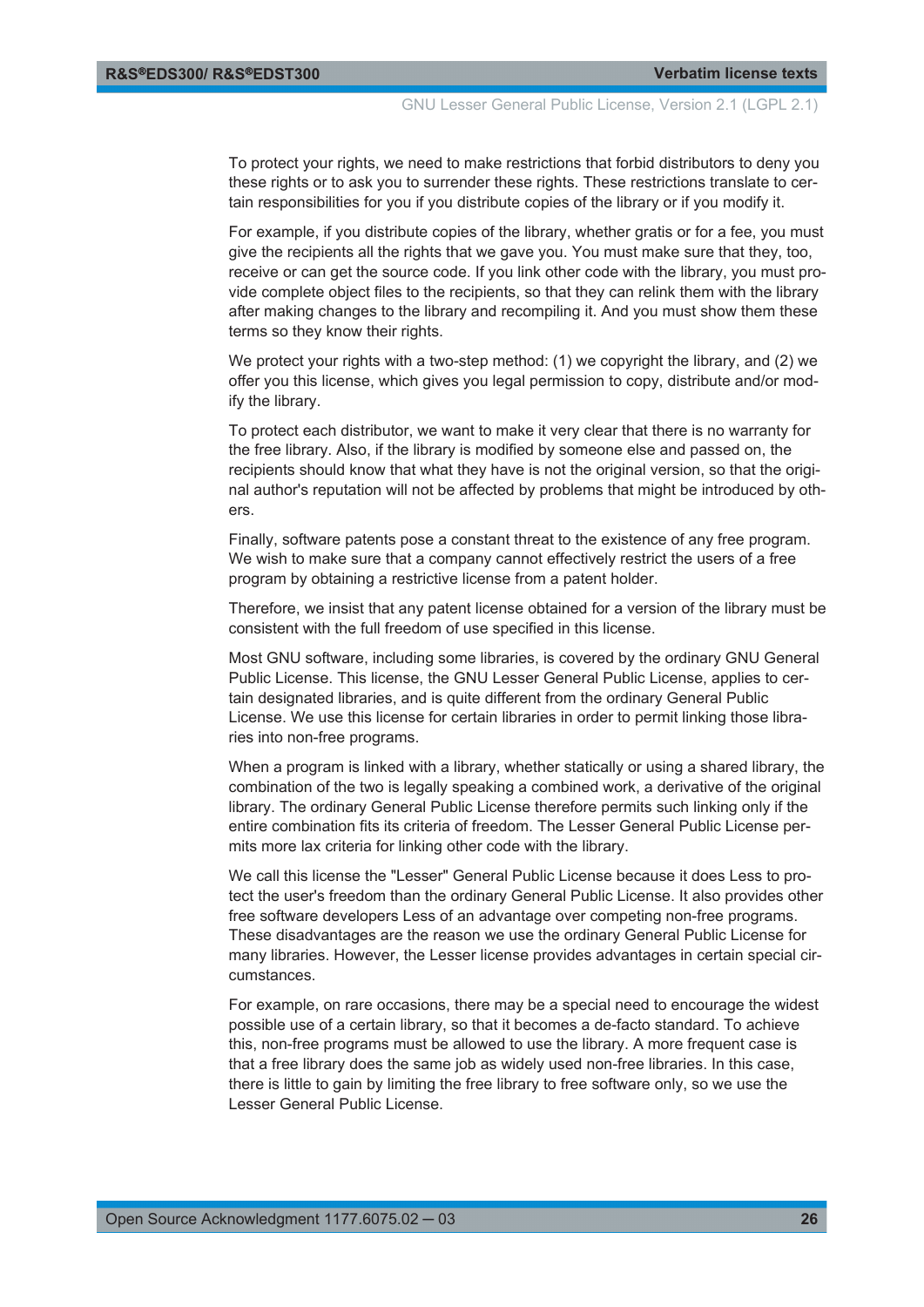To protect your rights, we need to make restrictions that forbid distributors to deny you these rights or to ask you to surrender these rights. These restrictions translate to certain responsibilities for you if you distribute copies of the library or if you modify it.

For example, if you distribute copies of the library, whether gratis or for a fee, you must give the recipients all the rights that we gave you. You must make sure that they, too, receive or can get the source code. If you link other code with the library, you must provide complete object files to the recipients, so that they can relink them with the library after making changes to the library and recompiling it. And you must show them these terms so they know their rights.

We protect your rights with a two-step method: (1) we copyright the library, and (2) we offer you this license, which gives you legal permission to copy, distribute and/or modify the library.

To protect each distributor, we want to make it very clear that there is no warranty for the free library. Also, if the library is modified by someone else and passed on, the recipients should know that what they have is not the original version, so that the original author's reputation will not be affected by problems that might be introduced by others.

Finally, software patents pose a constant threat to the existence of any free program. We wish to make sure that a company cannot effectively restrict the users of a free program by obtaining a restrictive license from a patent holder.

Therefore, we insist that any patent license obtained for a version of the library must be consistent with the full freedom of use specified in this license.

Most GNU software, including some libraries, is covered by the ordinary GNU General Public License. This license, the GNU Lesser General Public License, applies to certain designated libraries, and is quite different from the ordinary General Public License. We use this license for certain libraries in order to permit linking those libraries into non-free programs.

When a program is linked with a library, whether statically or using a shared library, the combination of the two is legally speaking a combined work, a derivative of the original library. The ordinary General Public License therefore permits such linking only if the entire combination fits its criteria of freedom. The Lesser General Public License permits more lax criteria for linking other code with the library.

We call this license the "Lesser" General Public License because it does Less to protect the user's freedom than the ordinary General Public License. It also provides other free software developers Less of an advantage over competing non-free programs. These disadvantages are the reason we use the ordinary General Public License for many libraries. However, the Lesser license provides advantages in certain special circumstances.

For example, on rare occasions, there may be a special need to encourage the widest possible use of a certain library, so that it becomes a de-facto standard. To achieve this, non-free programs must be allowed to use the library. A more frequent case is that a free library does the same job as widely used non-free libraries. In this case, there is little to gain by limiting the free library to free software only, so we use the Lesser General Public License.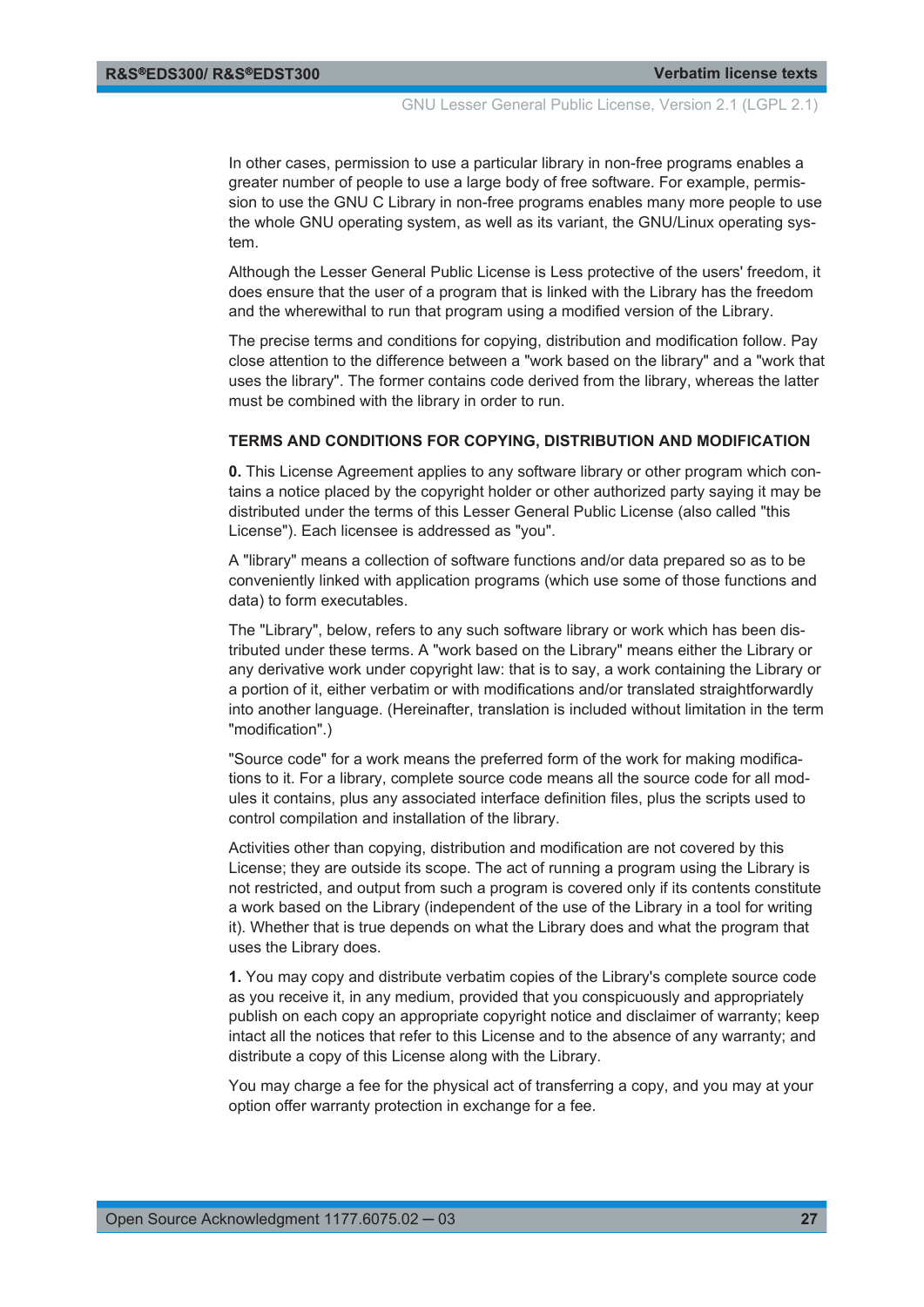In other cases, permission to use a particular library in non-free programs enables a greater number of people to use a large body of free software. For example, permission to use the GNU C Library in non-free programs enables many more people to use the whole GNU operating system, as well as its variant, the GNU/Linux operating system.

Although the Lesser General Public License is Less protective of the users' freedom, it does ensure that the user of a program that is linked with the Library has the freedom and the wherewithal to run that program using a modified version of the Library.

The precise terms and conditions for copying, distribution and modification follow. Pay close attention to the difference between a "work based on the library" and a "work that uses the library". The former contains code derived from the library, whereas the latter must be combined with the library in order to run.

#### **TERMS AND CONDITIONS FOR COPYING, DISTRIBUTION AND MODIFICATION**

**0.** This License Agreement applies to any software library or other program which contains a notice placed by the copyright holder or other authorized party saying it may be distributed under the terms of this Lesser General Public License (also called "this License"). Each licensee is addressed as "you".

A "library" means a collection of software functions and/or data prepared so as to be conveniently linked with application programs (which use some of those functions and data) to form executables.

The "Library", below, refers to any such software library or work which has been distributed under these terms. A "work based on the Library" means either the Library or any derivative work under copyright law: that is to say, a work containing the Library or a portion of it, either verbatim or with modifications and/or translated straightforwardly into another language. (Hereinafter, translation is included without limitation in the term "modification".)

"Source code" for a work means the preferred form of the work for making modifications to it. For a library, complete source code means all the source code for all modules it contains, plus any associated interface definition files, plus the scripts used to control compilation and installation of the library.

Activities other than copying, distribution and modification are not covered by this License; they are outside its scope. The act of running a program using the Library is not restricted, and output from such a program is covered only if its contents constitute a work based on the Library (independent of the use of the Library in a tool for writing it). Whether that is true depends on what the Library does and what the program that uses the Library does.

**1.** You may copy and distribute verbatim copies of the Library's complete source code as you receive it, in any medium, provided that you conspicuously and appropriately publish on each copy an appropriate copyright notice and disclaimer of warranty; keep intact all the notices that refer to this License and to the absence of any warranty; and distribute a copy of this License along with the Library.

You may charge a fee for the physical act of transferring a copy, and you may at your option offer warranty protection in exchange for a fee.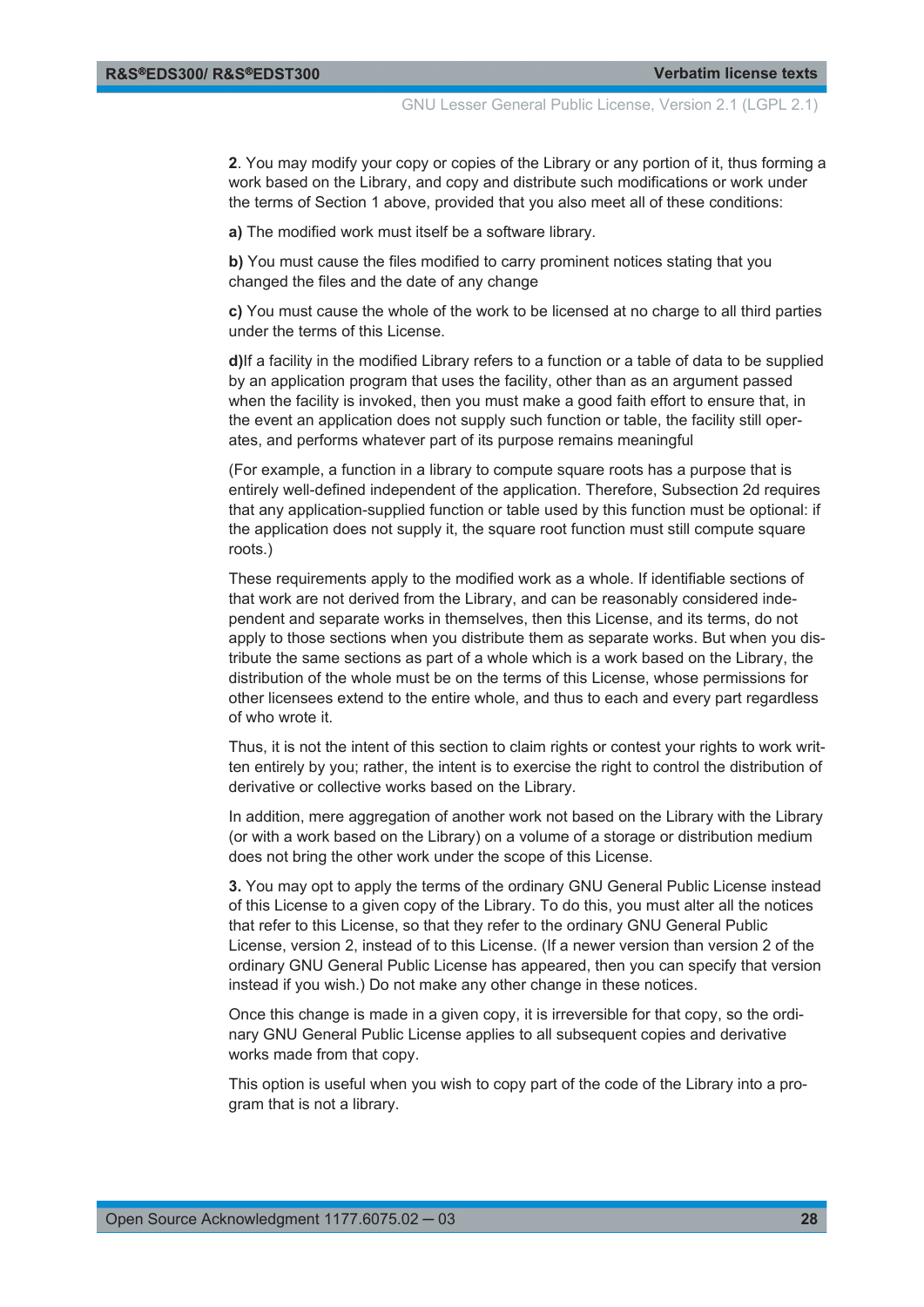**2**. You may modify your copy or copies of the Library or any portion of it, thus forming a work based on the Library, and copy and distribute such modifications or work under the terms of Section 1 above, provided that you also meet all of these conditions:

**a)** The modified work must itself be a software library.

**b)** You must cause the files modified to carry prominent notices stating that you changed the files and the date of any change

**c)** You must cause the whole of the work to be licensed at no charge to all third parties under the terms of this License.

**d)**If a facility in the modified Library refers to a function or a table of data to be supplied by an application program that uses the facility, other than as an argument passed when the facility is invoked, then you must make a good faith effort to ensure that, in the event an application does not supply such function or table, the facility still operates, and performs whatever part of its purpose remains meaningful

(For example, a function in a library to compute square roots has a purpose that is entirely well-defined independent of the application. Therefore, Subsection 2d requires that any application-supplied function or table used by this function must be optional: if the application does not supply it, the square root function must still compute square roots.)

These requirements apply to the modified work as a whole. If identifiable sections of that work are not derived from the Library, and can be reasonably considered independent and separate works in themselves, then this License, and its terms, do not apply to those sections when you distribute them as separate works. But when you distribute the same sections as part of a whole which is a work based on the Library, the distribution of the whole must be on the terms of this License, whose permissions for other licensees extend to the entire whole, and thus to each and every part regardless of who wrote it.

Thus, it is not the intent of this section to claim rights or contest your rights to work written entirely by you; rather, the intent is to exercise the right to control the distribution of derivative or collective works based on the Library.

In addition, mere aggregation of another work not based on the Library with the Library (or with a work based on the Library) on a volume of a storage or distribution medium does not bring the other work under the scope of this License.

**3.** You may opt to apply the terms of the ordinary GNU General Public License instead of this License to a given copy of the Library. To do this, you must alter all the notices that refer to this License, so that they refer to the ordinary GNU General Public License, version 2, instead of to this License. (If a newer version than version 2 of the ordinary GNU General Public License has appeared, then you can specify that version instead if you wish.) Do not make any other change in these notices.

Once this change is made in a given copy, it is irreversible for that copy, so the ordinary GNU General Public License applies to all subsequent copies and derivative works made from that copy.

This option is useful when you wish to copy part of the code of the Library into a program that is not a library.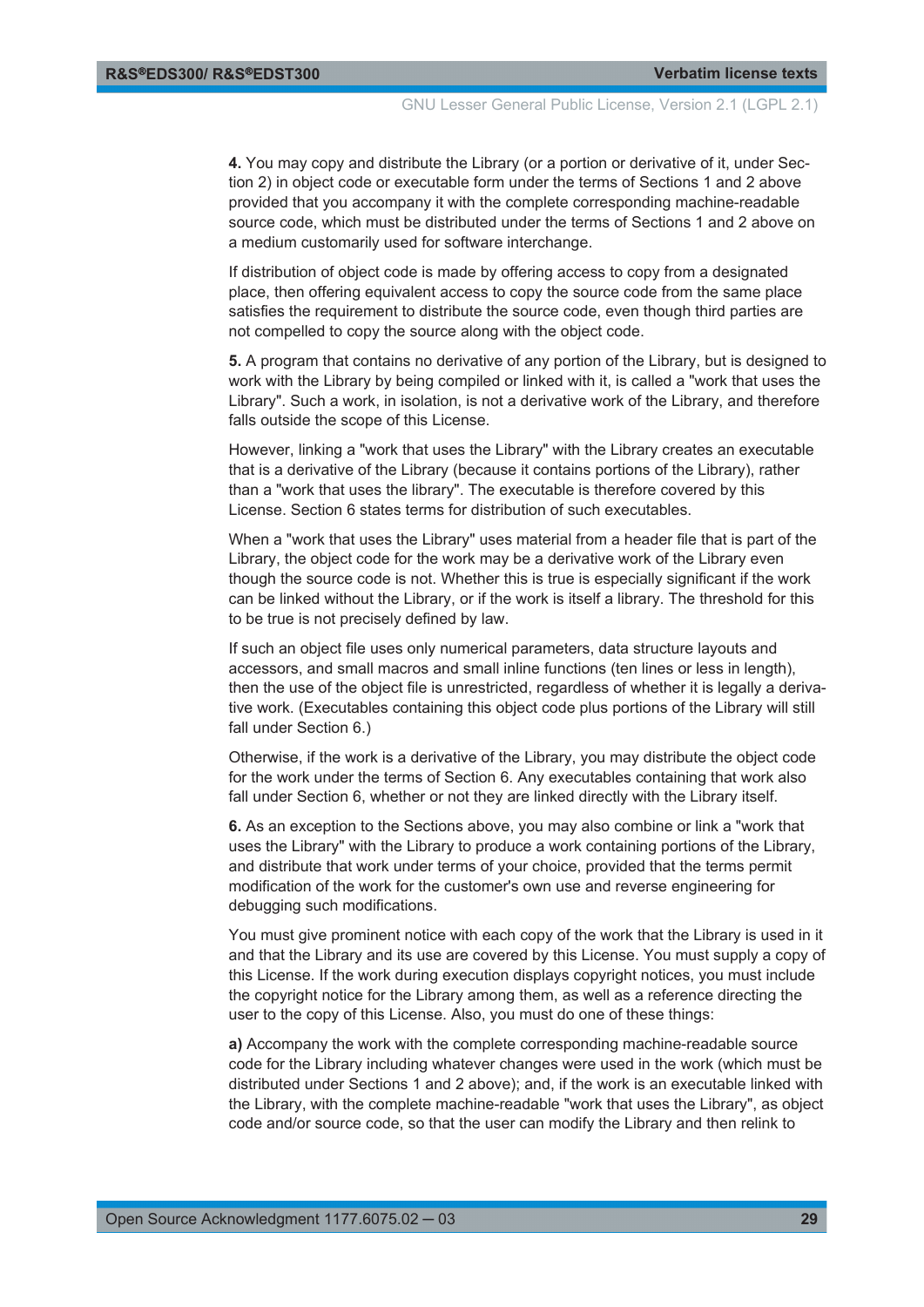**4.** You may copy and distribute the Library (or a portion or derivative of it, under Section 2) in object code or executable form under the terms of Sections 1 and 2 above provided that you accompany it with the complete corresponding machine-readable source code, which must be distributed under the terms of Sections 1 and 2 above on a medium customarily used for software interchange.

If distribution of object code is made by offering access to copy from a designated place, then offering equivalent access to copy the source code from the same place satisfies the requirement to distribute the source code, even though third parties are not compelled to copy the source along with the object code.

**5.** A program that contains no derivative of any portion of the Library, but is designed to work with the Library by being compiled or linked with it, is called a "work that uses the Library". Such a work, in isolation, is not a derivative work of the Library, and therefore falls outside the scope of this License.

However, linking a "work that uses the Library" with the Library creates an executable that is a derivative of the Library (because it contains portions of the Library), rather than a "work that uses the library". The executable is therefore covered by this License. Section 6 states terms for distribution of such executables.

When a "work that uses the Library" uses material from a header file that is part of the Library, the object code for the work may be a derivative work of the Library even though the source code is not. Whether this is true is especially significant if the work can be linked without the Library, or if the work is itself a library. The threshold for this to be true is not precisely defined by law.

If such an object file uses only numerical parameters, data structure layouts and accessors, and small macros and small inline functions (ten lines or less in length), then the use of the object file is unrestricted, regardless of whether it is legally a derivative work. (Executables containing this object code plus portions of the Library will still fall under Section 6.)

Otherwise, if the work is a derivative of the Library, you may distribute the object code for the work under the terms of Section 6. Any executables containing that work also fall under Section 6, whether or not they are linked directly with the Library itself.

**6.** As an exception to the Sections above, you may also combine or link a "work that uses the Library" with the Library to produce a work containing portions of the Library, and distribute that work under terms of your choice, provided that the terms permit modification of the work for the customer's own use and reverse engineering for debugging such modifications.

You must give prominent notice with each copy of the work that the Library is used in it and that the Library and its use are covered by this License. You must supply a copy of this License. If the work during execution displays copyright notices, you must include the copyright notice for the Library among them, as well as a reference directing the user to the copy of this License. Also, you must do one of these things:

**a)** Accompany the work with the complete corresponding machine-readable source code for the Library including whatever changes were used in the work (which must be distributed under Sections 1 and 2 above); and, if the work is an executable linked with the Library, with the complete machine-readable "work that uses the Library", as object code and/or source code, so that the user can modify the Library and then relink to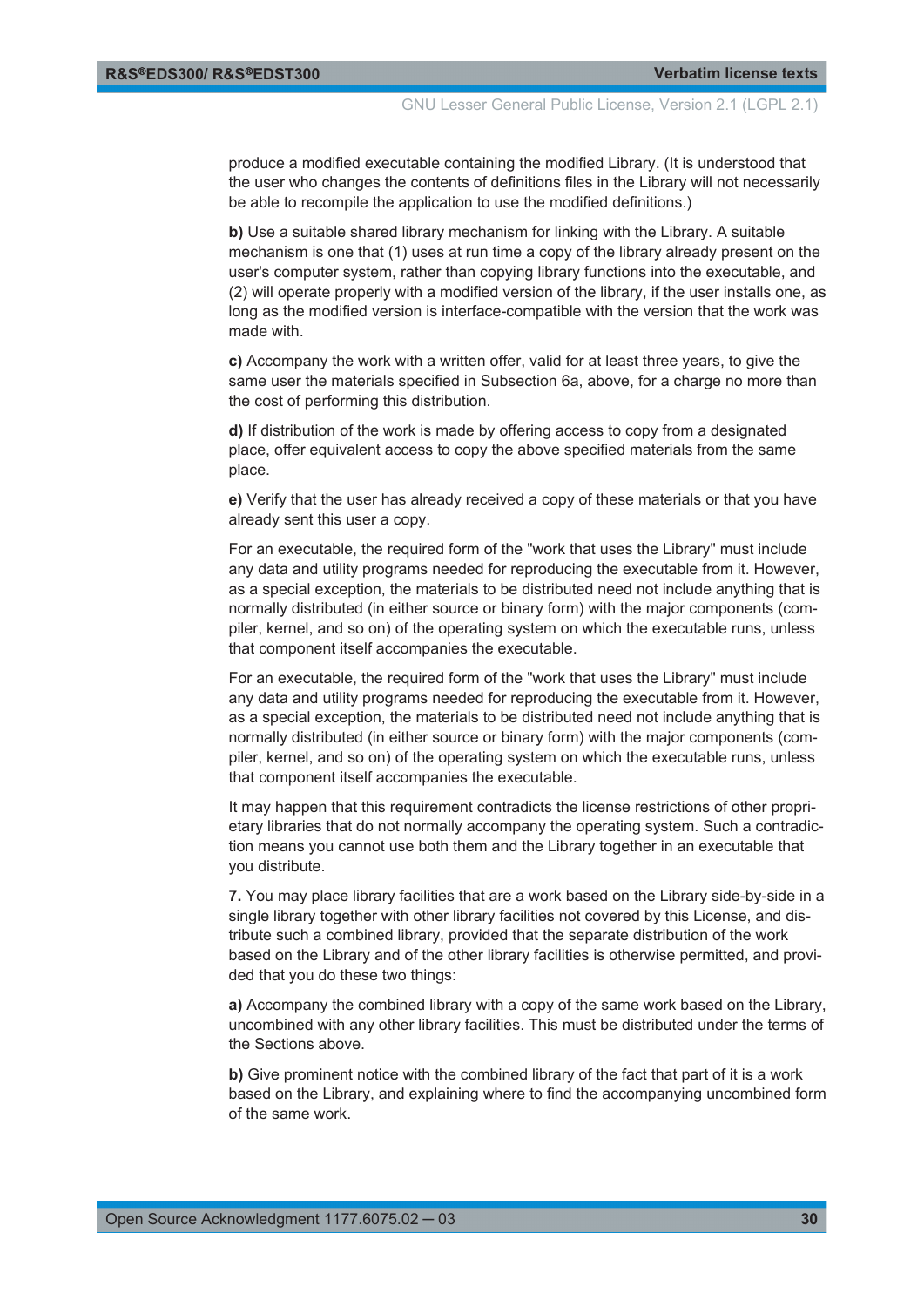produce a modified executable containing the modified Library. (It is understood that the user who changes the contents of definitions files in the Library will not necessarily be able to recompile the application to use the modified definitions.)

**b)** Use a suitable shared library mechanism for linking with the Library. A suitable mechanism is one that (1) uses at run time a copy of the library already present on the user's computer system, rather than copying library functions into the executable, and (2) will operate properly with a modified version of the library, if the user installs one, as long as the modified version is interface-compatible with the version that the work was made with.

**c)** Accompany the work with a written offer, valid for at least three years, to give the same user the materials specified in Subsection 6a, above, for a charge no more than the cost of performing this distribution.

**d)** If distribution of the work is made by offering access to copy from a designated place, offer equivalent access to copy the above specified materials from the same place.

**e)** Verify that the user has already received a copy of these materials or that you have already sent this user a copy.

For an executable, the required form of the "work that uses the Library" must include any data and utility programs needed for reproducing the executable from it. However, as a special exception, the materials to be distributed need not include anything that is normally distributed (in either source or binary form) with the major components (compiler, kernel, and so on) of the operating system on which the executable runs, unless that component itself accompanies the executable.

For an executable, the required form of the "work that uses the Library" must include any data and utility programs needed for reproducing the executable from it. However, as a special exception, the materials to be distributed need not include anything that is normally distributed (in either source or binary form) with the major components (compiler, kernel, and so on) of the operating system on which the executable runs, unless that component itself accompanies the executable.

It may happen that this requirement contradicts the license restrictions of other proprietary libraries that do not normally accompany the operating system. Such a contradiction means you cannot use both them and the Library together in an executable that you distribute.

**7.** You may place library facilities that are a work based on the Library side-by-side in a single library together with other library facilities not covered by this License, and distribute such a combined library, provided that the separate distribution of the work based on the Library and of the other library facilities is otherwise permitted, and provided that you do these two things:

**a)** Accompany the combined library with a copy of the same work based on the Library, uncombined with any other library facilities. This must be distributed under the terms of the Sections above.

**b)** Give prominent notice with the combined library of the fact that part of it is a work based on the Library, and explaining where to find the accompanying uncombined form of the same work.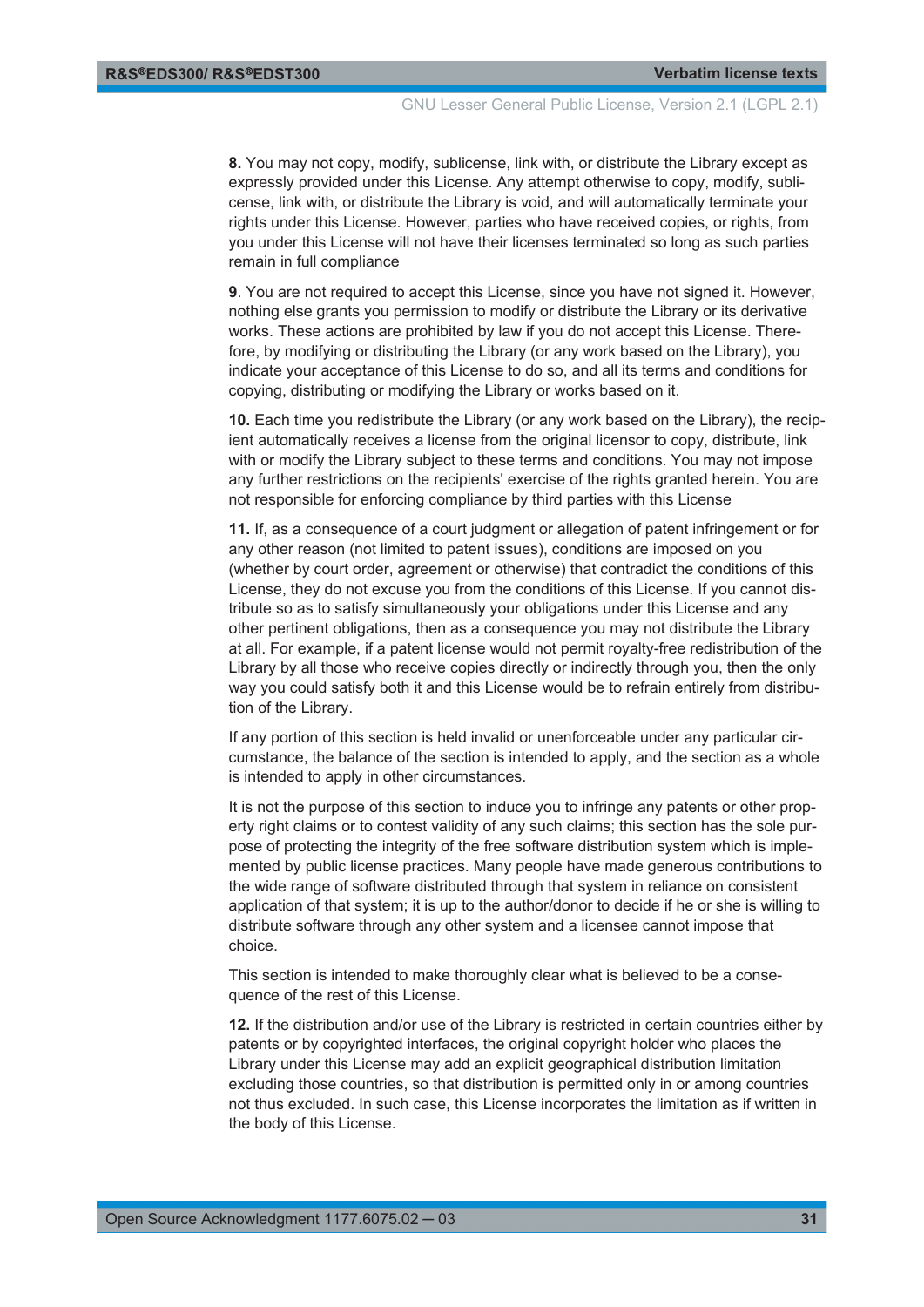GNU Lesser General Public License, Version 2.1 (LGPL 2.1)

**8.** You may not copy, modify, sublicense, link with, or distribute the Library except as expressly provided under this License. Any attempt otherwise to copy, modify, sublicense, link with, or distribute the Library is void, and will automatically terminate your rights under this License. However, parties who have received copies, or rights, from you under this License will not have their licenses terminated so long as such parties remain in full compliance

**9**. You are not required to accept this License, since you have not signed it. However, nothing else grants you permission to modify or distribute the Library or its derivative works. These actions are prohibited by law if you do not accept this License. Therefore, by modifying or distributing the Library (or any work based on the Library), you indicate your acceptance of this License to do so, and all its terms and conditions for copying, distributing or modifying the Library or works based on it.

**10.** Each time you redistribute the Library (or any work based on the Library), the recipient automatically receives a license from the original licensor to copy, distribute, link with or modify the Library subject to these terms and conditions. You may not impose any further restrictions on the recipients' exercise of the rights granted herein. You are not responsible for enforcing compliance by third parties with this License

**11.** If, as a consequence of a court judgment or allegation of patent infringement or for any other reason (not limited to patent issues), conditions are imposed on you (whether by court order, agreement or otherwise) that contradict the conditions of this License, they do not excuse you from the conditions of this License. If you cannot distribute so as to satisfy simultaneously your obligations under this License and any other pertinent obligations, then as a consequence you may not distribute the Library at all. For example, if a patent license would not permit royalty-free redistribution of the Library by all those who receive copies directly or indirectly through you, then the only way you could satisfy both it and this License would be to refrain entirely from distribution of the Library.

If any portion of this section is held invalid or unenforceable under any particular circumstance, the balance of the section is intended to apply, and the section as a whole is intended to apply in other circumstances.

It is not the purpose of this section to induce you to infringe any patents or other property right claims or to contest validity of any such claims; this section has the sole purpose of protecting the integrity of the free software distribution system which is implemented by public license practices. Many people have made generous contributions to the wide range of software distributed through that system in reliance on consistent application of that system; it is up to the author/donor to decide if he or she is willing to distribute software through any other system and a licensee cannot impose that choice.

This section is intended to make thoroughly clear what is believed to be a consequence of the rest of this License.

**12.** If the distribution and/or use of the Library is restricted in certain countries either by patents or by copyrighted interfaces, the original copyright holder who places the Library under this License may add an explicit geographical distribution limitation excluding those countries, so that distribution is permitted only in or among countries not thus excluded. In such case, this License incorporates the limitation as if written in the body of this License.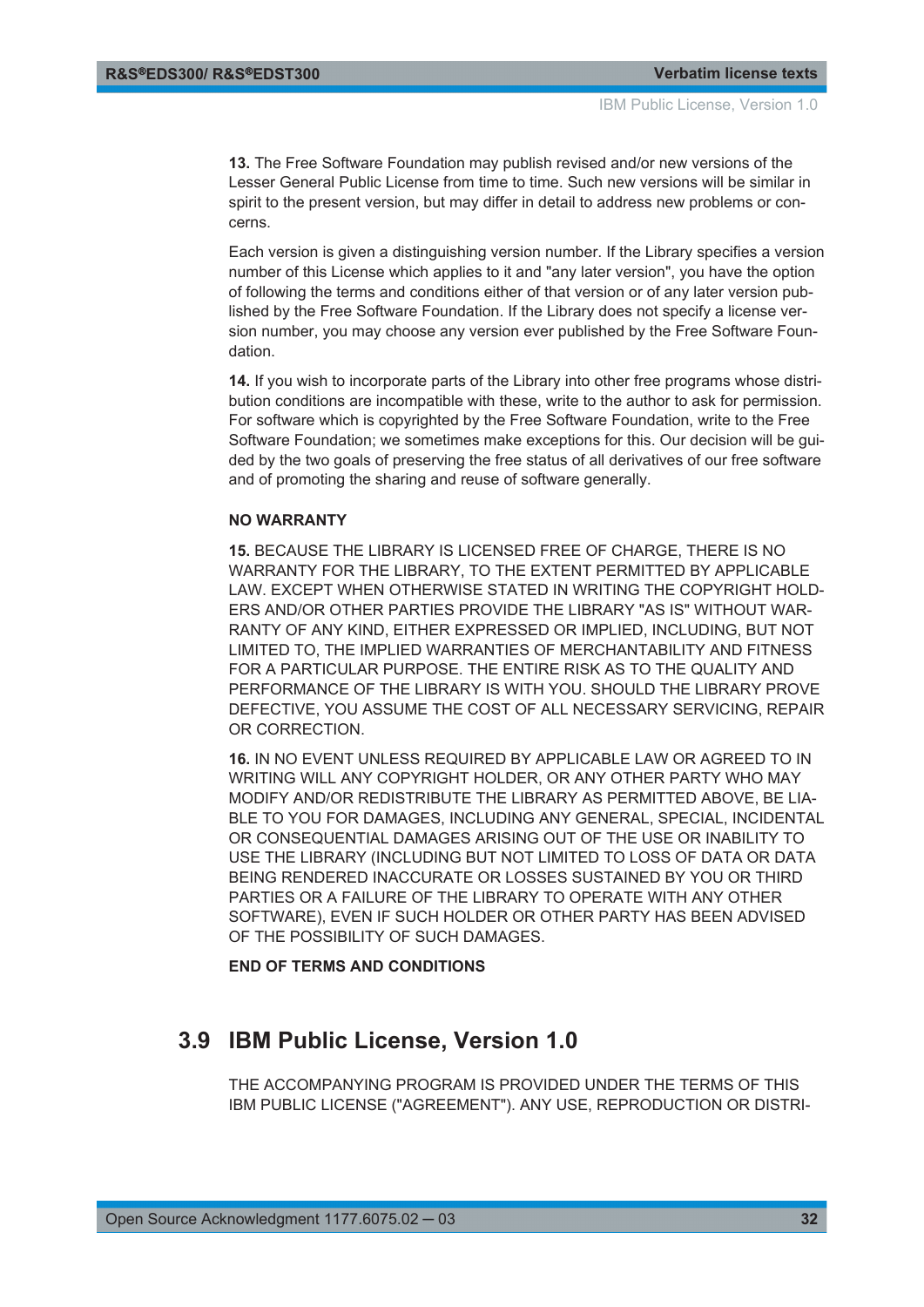<span id="page-31-0"></span>**13.** The Free Software Foundation may publish revised and/or new versions of the Lesser General Public License from time to time. Such new versions will be similar in spirit to the present version, but may differ in detail to address new problems or concerns.

Each version is given a distinguishing version number. If the Library specifies a version number of this License which applies to it and "any later version", you have the option of following the terms and conditions either of that version or of any later version published by the Free Software Foundation. If the Library does not specify a license version number, you may choose any version ever published by the Free Software Foundation.

**14.** If you wish to incorporate parts of the Library into other free programs whose distribution conditions are incompatible with these, write to the author to ask for permission. For software which is copyrighted by the Free Software Foundation, write to the Free Software Foundation; we sometimes make exceptions for this. Our decision will be guided by the two goals of preserving the free status of all derivatives of our free software and of promoting the sharing and reuse of software generally.

#### **NO WARRANTY**

**15.** BECAUSE THE LIBRARY IS LICENSED FREE OF CHARGE, THERE IS NO WARRANTY FOR THE LIBRARY, TO THE EXTENT PERMITTED BY APPLICABLE LAW. EXCEPT WHEN OTHERWISE STATED IN WRITING THE COPYRIGHT HOLD-ERS AND/OR OTHER PARTIES PROVIDE THE LIBRARY "AS IS" WITHOUT WAR-RANTY OF ANY KIND, EITHER EXPRESSED OR IMPLIED, INCLUDING, BUT NOT LIMITED TO, THE IMPLIED WARRANTIES OF MERCHANTABILITY AND FITNESS FOR A PARTICULAR PURPOSE. THE ENTIRE RISK AS TO THE QUALITY AND PERFORMANCE OF THE LIBRARY IS WITH YOU. SHOULD THE LIBRARY PROVE DEFECTIVE, YOU ASSUME THE COST OF ALL NECESSARY SERVICING, REPAIR OR CORRECTION.

**16.** IN NO EVENT UNLESS REQUIRED BY APPLICABLE LAW OR AGREED TO IN WRITING WILL ANY COPYRIGHT HOLDER, OR ANY OTHER PARTY WHO MAY MODIFY AND/OR REDISTRIBUTE THE LIBRARY AS PERMITTED ABOVE, BE LIA-BLE TO YOU FOR DAMAGES, INCLUDING ANY GENERAL, SPECIAL, INCIDENTAL OR CONSEQUENTIAL DAMAGES ARISING OUT OF THE USE OR INABILITY TO USE THE LIBRARY (INCLUDING BUT NOT LIMITED TO LOSS OF DATA OR DATA BEING RENDERED INACCURATE OR LOSSES SUSTAINED BY YOU OR THIRD PARTIES OR A FAILURE OF THE LIBRARY TO OPERATE WITH ANY OTHER SOFTWARE), EVEN IF SUCH HOLDER OR OTHER PARTY HAS BEEN ADVISED OF THE POSSIBILITY OF SUCH DAMAGES.

#### **END OF TERMS AND CONDITIONS**

### **3.9 IBM Public License, Version 1.0**

THE ACCOMPANYING PROGRAM IS PROVIDED UNDER THE TERMS OF THIS IBM PUBLIC LICENSE ("AGREEMENT"). ANY USE, REPRODUCTION OR DISTRI-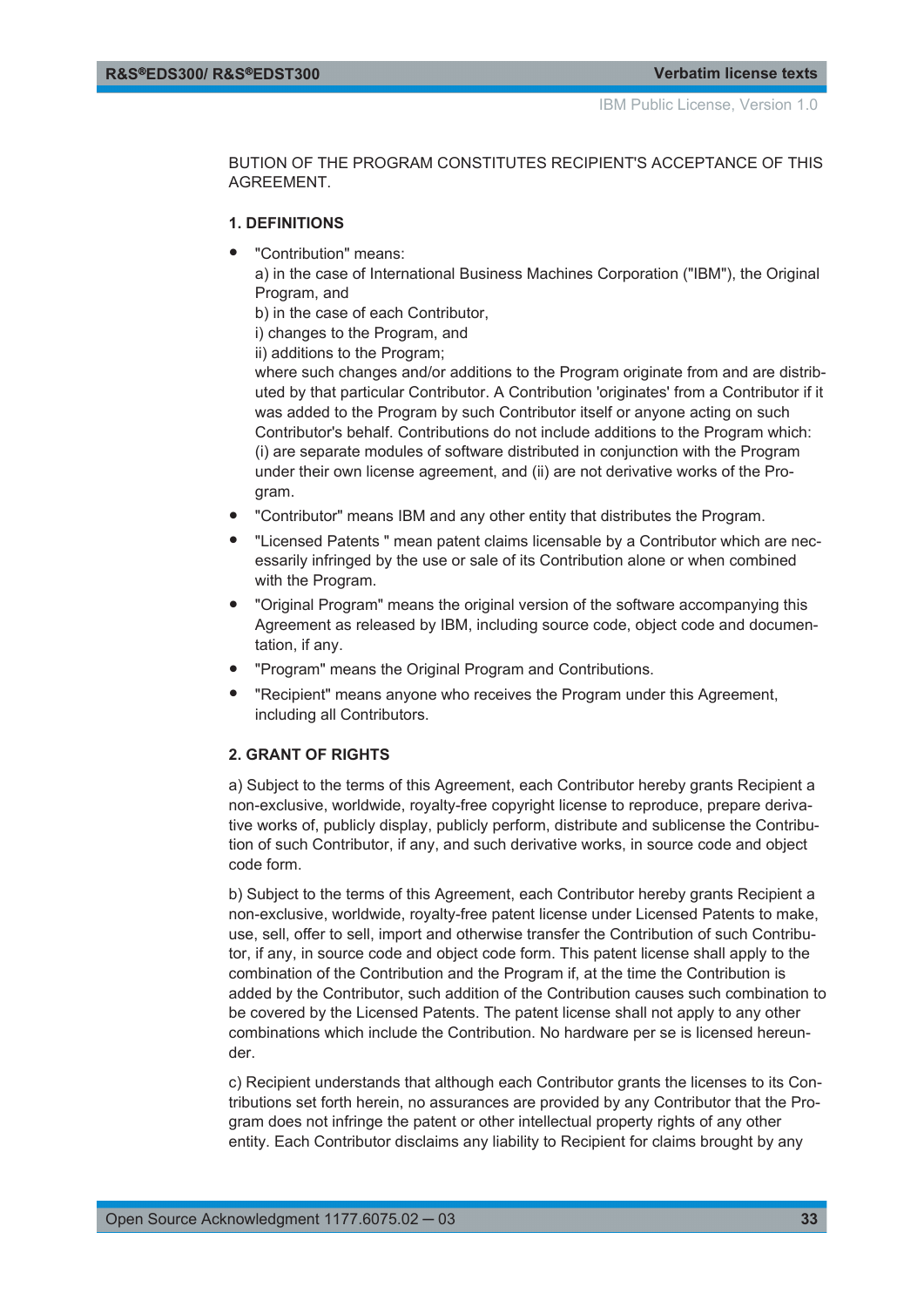BUTION OF THE PROGRAM CONSTITUTES RECIPIENT'S ACCEPTANCE OF THIS AGREEMENT.

#### **1. DEFINITIONS**

"Contribution" means:

a) in the case of International Business Machines Corporation ("IBM"), the Original Program, and

b) in the case of each Contributor,

i) changes to the Program, and

ii) additions to the Program;

where such changes and/or additions to the Program originate from and are distributed by that particular Contributor. A Contribution 'originates' from a Contributor if it was added to the Program by such Contributor itself or anyone acting on such Contributor's behalf. Contributions do not include additions to the Program which: (i) are separate modules of software distributed in conjunction with the Program under their own license agreement, and (ii) are not derivative works of the Program.

- "Contributor" means IBM and any other entity that distributes the Program.
- "Licensed Patents " mean patent claims licensable by a Contributor which are necessarily infringed by the use or sale of its Contribution alone or when combined with the Program.
- "Original Program" means the original version of the software accompanying this Agreement as released by IBM, including source code, object code and documentation, if any.
- "Program" means the Original Program and Contributions.
- "Recipient" means anyone who receives the Program under this Agreement, including all Contributors.

#### **2. GRANT OF RIGHTS**

a) Subject to the terms of this Agreement, each Contributor hereby grants Recipient a non-exclusive, worldwide, royalty-free copyright license to reproduce, prepare derivative works of, publicly display, publicly perform, distribute and sublicense the Contribution of such Contributor, if any, and such derivative works, in source code and object code form.

b) Subject to the terms of this Agreement, each Contributor hereby grants Recipient a non-exclusive, worldwide, royalty-free patent license under Licensed Patents to make, use, sell, offer to sell, import and otherwise transfer the Contribution of such Contributor, if any, in source code and object code form. This patent license shall apply to the combination of the Contribution and the Program if, at the time the Contribution is added by the Contributor, such addition of the Contribution causes such combination to be covered by the Licensed Patents. The patent license shall not apply to any other combinations which include the Contribution. No hardware per se is licensed hereunder.

c) Recipient understands that although each Contributor grants the licenses to its Contributions set forth herein, no assurances are provided by any Contributor that the Program does not infringe the patent or other intellectual property rights of any other entity. Each Contributor disclaims any liability to Recipient for claims brought by any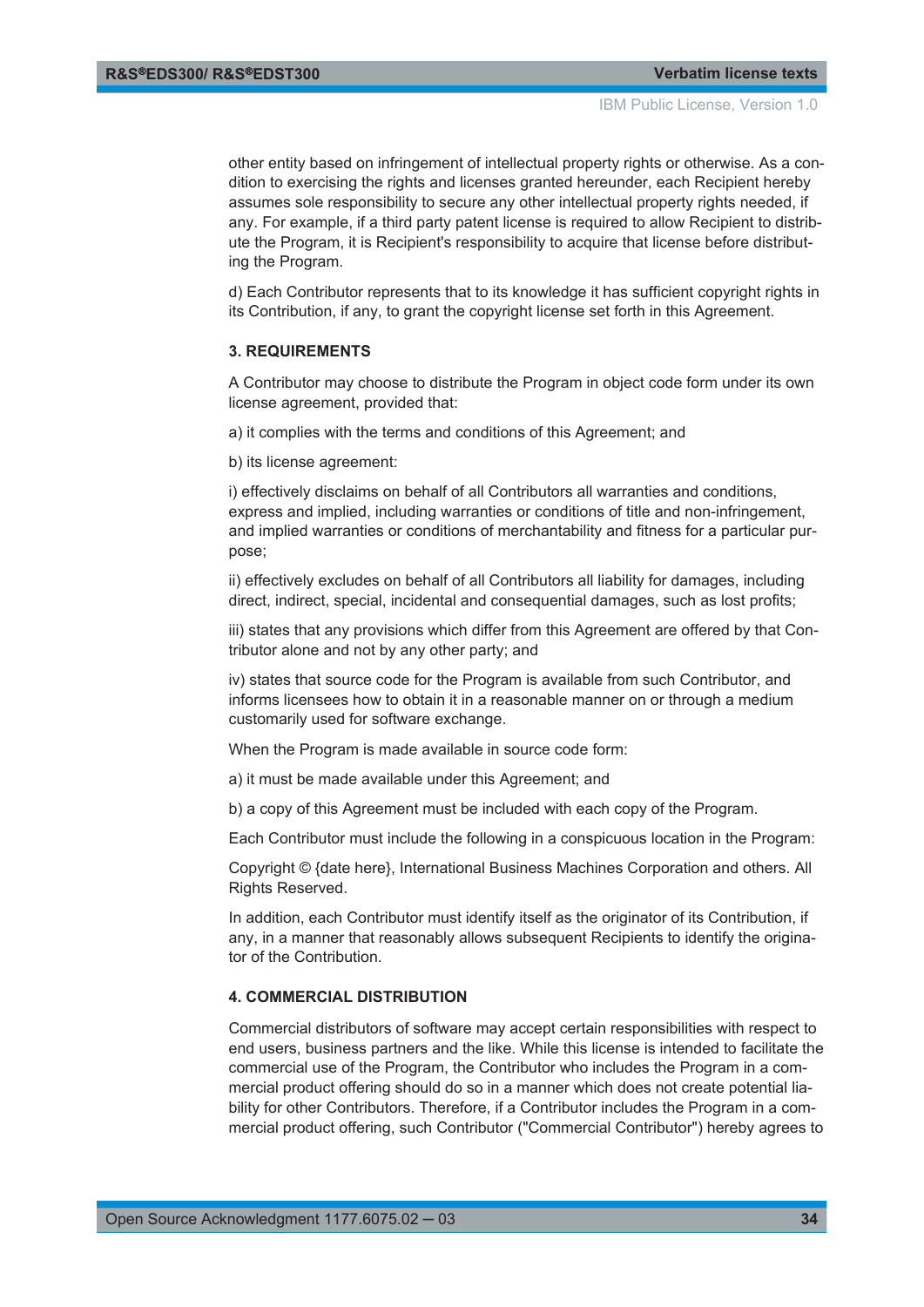other entity based on infringement of intellectual property rights or otherwise. As a condition to exercising the rights and licenses granted hereunder, each Recipient hereby assumes sole responsibility to secure any other intellectual property rights needed, if any. For example, if a third party patent license is required to allow Recipient to distribute the Program, it is Recipient's responsibility to acquire that license before distributing the Program.

d) Each Contributor represents that to its knowledge it has sufficient copyright rights in its Contribution, if any, to grant the copyright license set forth in this Agreement.

#### **3. REQUIREMENTS**

A Contributor may choose to distribute the Program in object code form under its own license agreement, provided that:

a) it complies with the terms and conditions of this Agreement; and

b) its license agreement:

i) effectively disclaims on behalf of all Contributors all warranties and conditions, express and implied, including warranties or conditions of title and non-infringement, and implied warranties or conditions of merchantability and fitness for a particular purpose;

ii) effectively excludes on behalf of all Contributors all liability for damages, including direct, indirect, special, incidental and consequential damages, such as lost profits;

iii) states that any provisions which differ from this Agreement are offered by that Contributor alone and not by any other party; and

iv) states that source code for the Program is available from such Contributor, and informs licensees how to obtain it in a reasonable manner on or through a medium customarily used for software exchange.

When the Program is made available in source code form:

a) it must be made available under this Agreement; and

b) a copy of this Agreement must be included with each copy of the Program.

Each Contributor must include the following in a conspicuous location in the Program:

Copyright © {date here}, International Business Machines Corporation and others. All Rights Reserved.

In addition, each Contributor must identify itself as the originator of its Contribution, if any, in a manner that reasonably allows subsequent Recipients to identify the originator of the Contribution.

#### **4. COMMERCIAL DISTRIBUTION**

Commercial distributors of software may accept certain responsibilities with respect to end users, business partners and the like. While this license is intended to facilitate the commercial use of the Program, the Contributor who includes the Program in a commercial product offering should do so in a manner which does not create potential liability for other Contributors. Therefore, if a Contributor includes the Program in a commercial product offering, such Contributor ("Commercial Contributor") hereby agrees to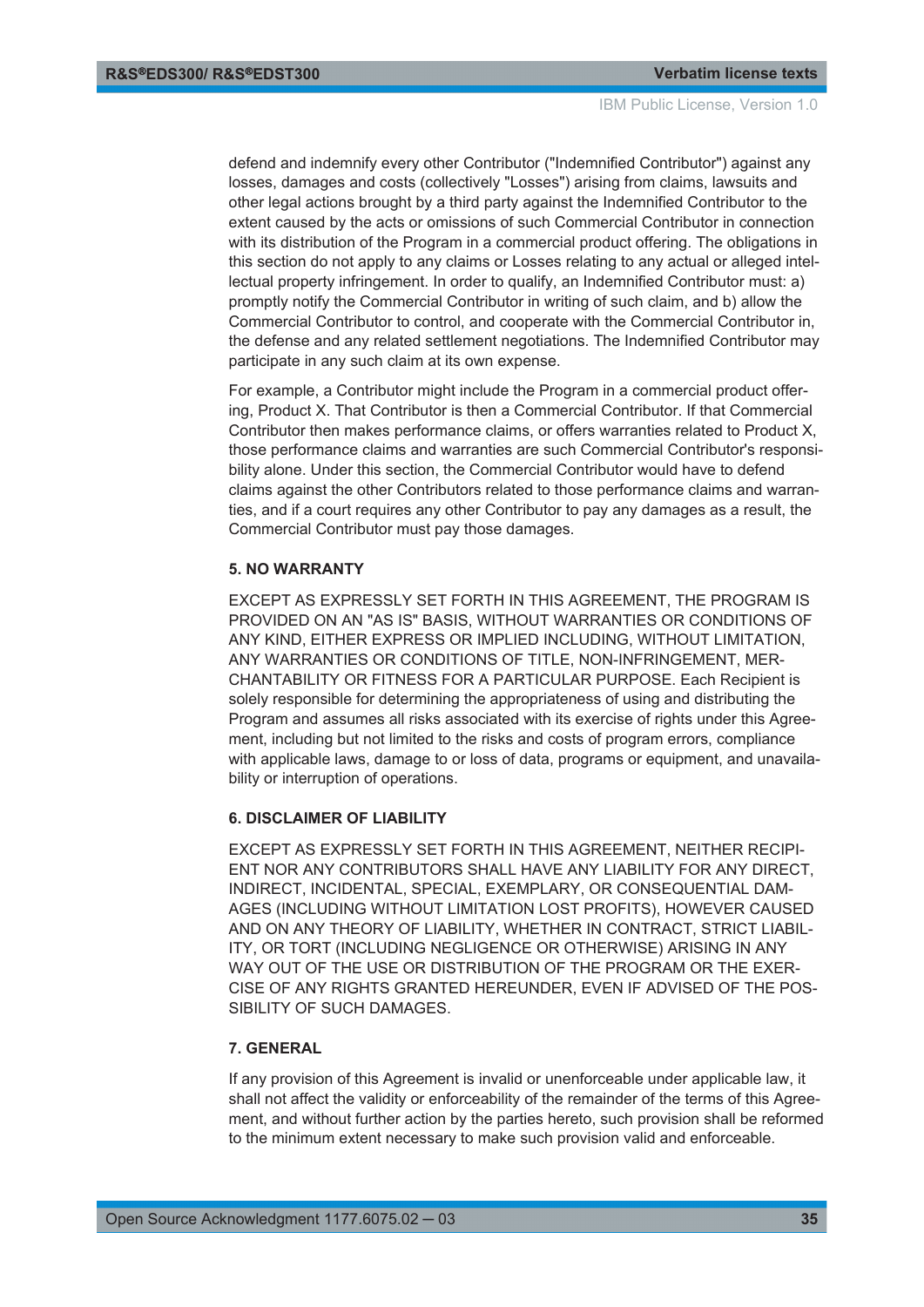defend and indemnify every other Contributor ("Indemnified Contributor") against any losses, damages and costs (collectively "Losses") arising from claims, lawsuits and other legal actions brought by a third party against the Indemnified Contributor to the extent caused by the acts or omissions of such Commercial Contributor in connection with its distribution of the Program in a commercial product offering. The obligations in this section do not apply to any claims or Losses relating to any actual or alleged intellectual property infringement. In order to qualify, an Indemnified Contributor must: a) promptly notify the Commercial Contributor in writing of such claim, and b) allow the Commercial Contributor to control, and cooperate with the Commercial Contributor in, the defense and any related settlement negotiations. The Indemnified Contributor may participate in any such claim at its own expense.

For example, a Contributor might include the Program in a commercial product offering, Product X. That Contributor is then a Commercial Contributor. If that Commercial Contributor then makes performance claims, or offers warranties related to Product X, those performance claims and warranties are such Commercial Contributor's responsibility alone. Under this section, the Commercial Contributor would have to defend claims against the other Contributors related to those performance claims and warranties, and if a court requires any other Contributor to pay any damages as a result, the Commercial Contributor must pay those damages.

#### **5. NO WARRANTY**

EXCEPT AS EXPRESSLY SET FORTH IN THIS AGREEMENT, THE PROGRAM IS PROVIDED ON AN "AS IS" BASIS, WITHOUT WARRANTIES OR CONDITIONS OF ANY KIND, EITHER EXPRESS OR IMPLIED INCLUDING, WITHOUT LIMITATION, ANY WARRANTIES OR CONDITIONS OF TITLE, NON-INFRINGEMENT, MER-CHANTABILITY OR FITNESS FOR A PARTICULAR PURPOSE. Each Recipient is solely responsible for determining the appropriateness of using and distributing the Program and assumes all risks associated with its exercise of rights under this Agreement, including but not limited to the risks and costs of program errors, compliance with applicable laws, damage to or loss of data, programs or equipment, and unavailability or interruption of operations.

#### **6. DISCLAIMER OF LIABILITY**

EXCEPT AS EXPRESSLY SET FORTH IN THIS AGREEMENT, NEITHER RECIPI-ENT NOR ANY CONTRIBUTORS SHALL HAVE ANY LIABILITY FOR ANY DIRECT, INDIRECT, INCIDENTAL, SPECIAL, EXEMPLARY, OR CONSEQUENTIAL DAM-AGES (INCLUDING WITHOUT LIMITATION LOST PROFITS), HOWEVER CAUSED AND ON ANY THEORY OF LIABILITY, WHETHER IN CONTRACT, STRICT LIABIL-ITY, OR TORT (INCLUDING NEGLIGENCE OR OTHERWISE) ARISING IN ANY WAY OUT OF THE USE OR DISTRIBUTION OF THE PROGRAM OR THE EXER-CISE OF ANY RIGHTS GRANTED HEREUNDER, EVEN IF ADVISED OF THE POS-SIBILITY OF SUCH DAMAGES.

#### **7. GENERAL**

If any provision of this Agreement is invalid or unenforceable under applicable law, it shall not affect the validity or enforceability of the remainder of the terms of this Agreement, and without further action by the parties hereto, such provision shall be reformed to the minimum extent necessary to make such provision valid and enforceable.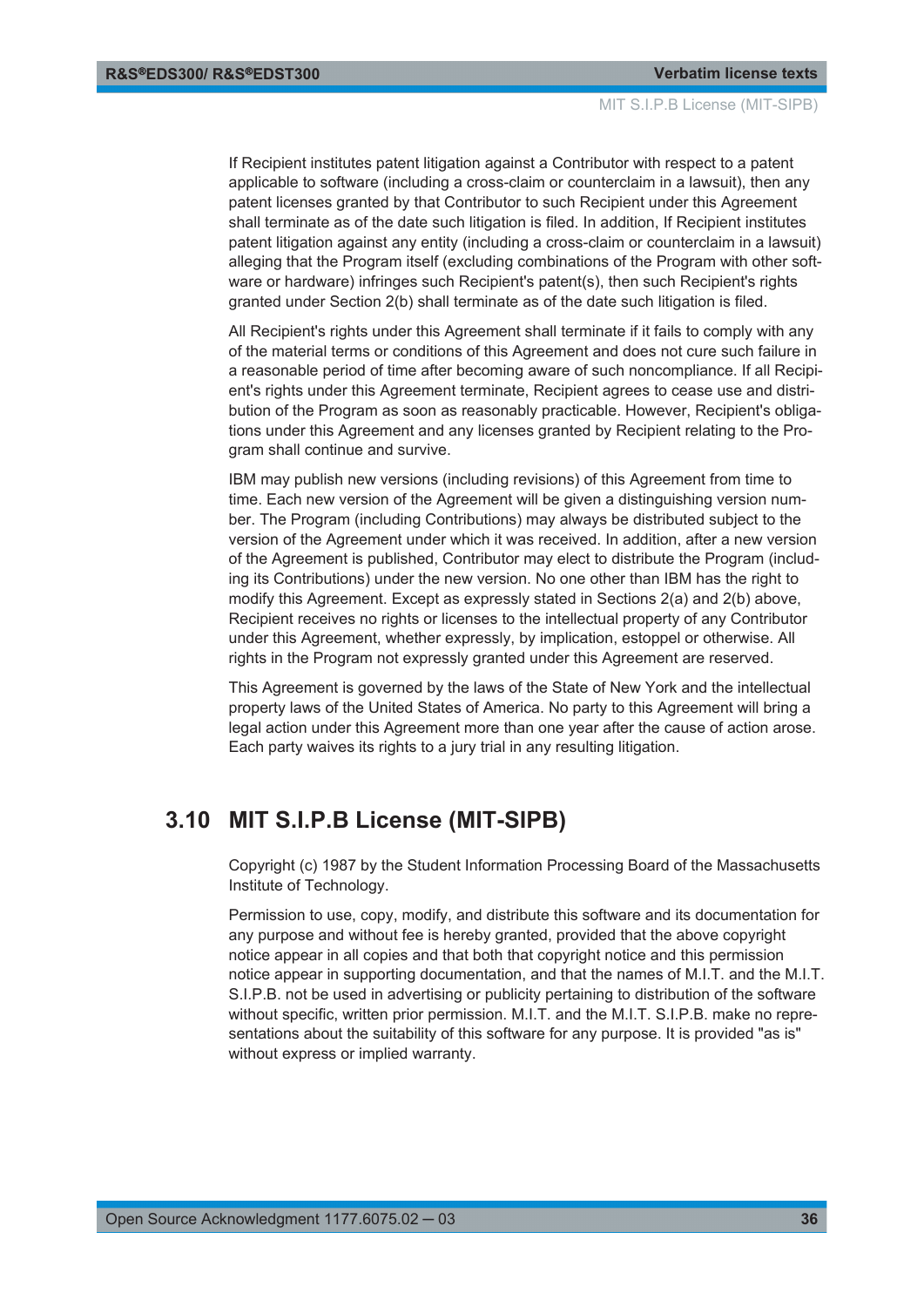<span id="page-35-0"></span>If Recipient institutes patent litigation against a Contributor with respect to a patent applicable to software (including a cross-claim or counterclaim in a lawsuit), then any patent licenses granted by that Contributor to such Recipient under this Agreement shall terminate as of the date such litigation is filed. In addition, If Recipient institutes patent litigation against any entity (including a cross-claim or counterclaim in a lawsuit) alleging that the Program itself (excluding combinations of the Program with other software or hardware) infringes such Recipient's patent(s), then such Recipient's rights granted under Section 2(b) shall terminate as of the date such litigation is filed.

All Recipient's rights under this Agreement shall terminate if it fails to comply with any of the material terms or conditions of this Agreement and does not cure such failure in a reasonable period of time after becoming aware of such noncompliance. If all Recipient's rights under this Agreement terminate, Recipient agrees to cease use and distribution of the Program as soon as reasonably practicable. However, Recipient's obligations under this Agreement and any licenses granted by Recipient relating to the Program shall continue and survive.

IBM may publish new versions (including revisions) of this Agreement from time to time. Each new version of the Agreement will be given a distinguishing version number. The Program (including Contributions) may always be distributed subject to the version of the Agreement under which it was received. In addition, after a new version of the Agreement is published, Contributor may elect to distribute the Program (including its Contributions) under the new version. No one other than IBM has the right to modify this Agreement. Except as expressly stated in Sections 2(a) and 2(b) above, Recipient receives no rights or licenses to the intellectual property of any Contributor under this Agreement, whether expressly, by implication, estoppel or otherwise. All rights in the Program not expressly granted under this Agreement are reserved.

This Agreement is governed by the laws of the State of New York and the intellectual property laws of the United States of America. No party to this Agreement will bring a legal action under this Agreement more than one year after the cause of action arose. Each party waives its rights to a jury trial in any resulting litigation.

### **3.10 MIT S.I.P.B License (MIT-SIPB)**

Copyright (c) 1987 by the Student Information Processing Board of the Massachusetts Institute of Technology.

Permission to use, copy, modify, and distribute this software and its documentation for any purpose and without fee is hereby granted, provided that the above copyright notice appear in all copies and that both that copyright notice and this permission notice appear in supporting documentation, and that the names of M.I.T. and the M.I.T. S.I.P.B. not be used in advertising or publicity pertaining to distribution of the software without specific, written prior permission. M.I.T. and the M.I.T. S.I.P.B. make no representations about the suitability of this software for any purpose. It is provided "as is" without express or implied warranty.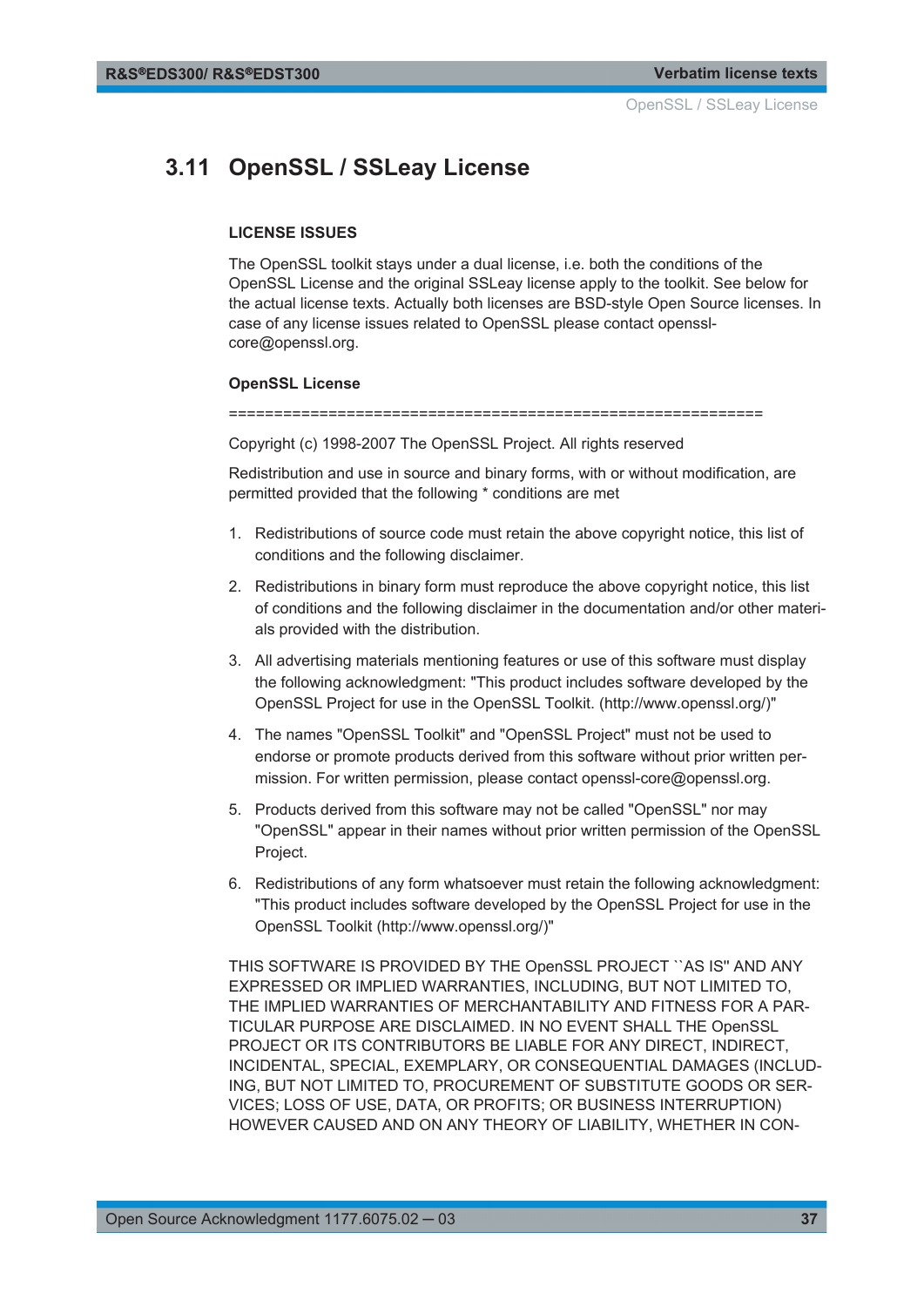## <span id="page-36-0"></span>**3.11 OpenSSL / SSLeay License**

#### **LICENSE ISSUES**

The OpenSSL toolkit stays under a dual license, i.e. both the conditions of the OpenSSL License and the original SSLeay license apply to the toolkit. See below for the actual license texts. Actually both licenses are BSD-style Open Source licenses. In case of any license issues related to OpenSSL please contact opensslcore@openssl.org.

#### **OpenSSL License**

===========================================================

Copyright (c) 1998-2007 The OpenSSL Project. All rights reserved

Redistribution and use in source and binary forms, with or without modification, are permitted provided that the following \* conditions are met

- 1. Redistributions of source code must retain the above copyright notice, this list of conditions and the following disclaimer.
- 2. Redistributions in binary form must reproduce the above copyright notice, this list of conditions and the following disclaimer in the documentation and/or other materials provided with the distribution.
- 3. All advertising materials mentioning features or use of this software must display the following acknowledgment: "This product includes software developed by the OpenSSL Project for use in the OpenSSL Toolkit. (http://www.openssl.org/)"
- 4. The names "OpenSSL Toolkit" and "OpenSSL Project" must not be used to endorse or promote products derived from this software without prior written permission. For written permission, please contact openssl-core@openssl.org.
- 5. Products derived from this software may not be called "OpenSSL" nor may "OpenSSL" appear in their names without prior written permission of the OpenSSL Project.
- 6. Redistributions of any form whatsoever must retain the following acknowledgment: "This product includes software developed by the OpenSSL Project for use in the OpenSSL Toolkit (http://www.openssl.org/)"

THIS SOFTWARE IS PROVIDED BY THE OpenSSL PROJECT ``AS IS'' AND ANY EXPRESSED OR IMPLIED WARRANTIES, INCLUDING, BUT NOT LIMITED TO, THE IMPLIED WARRANTIES OF MERCHANTABILITY AND FITNESS FOR A PAR-TICULAR PURPOSE ARE DISCLAIMED. IN NO EVENT SHALL THE OpenSSL PROJECT OR ITS CONTRIBUTORS BE LIABLE FOR ANY DIRECT, INDIRECT, INCIDENTAL, SPECIAL, EXEMPLARY, OR CONSEQUENTIAL DAMAGES (INCLUD-ING, BUT NOT LIMITED TO, PROCUREMENT OF SUBSTITUTE GOODS OR SER-VICES; LOSS OF USE, DATA, OR PROFITS; OR BUSINESS INTERRUPTION) HOWEVER CAUSED AND ON ANY THEORY OF LIABILITY, WHETHER IN CON-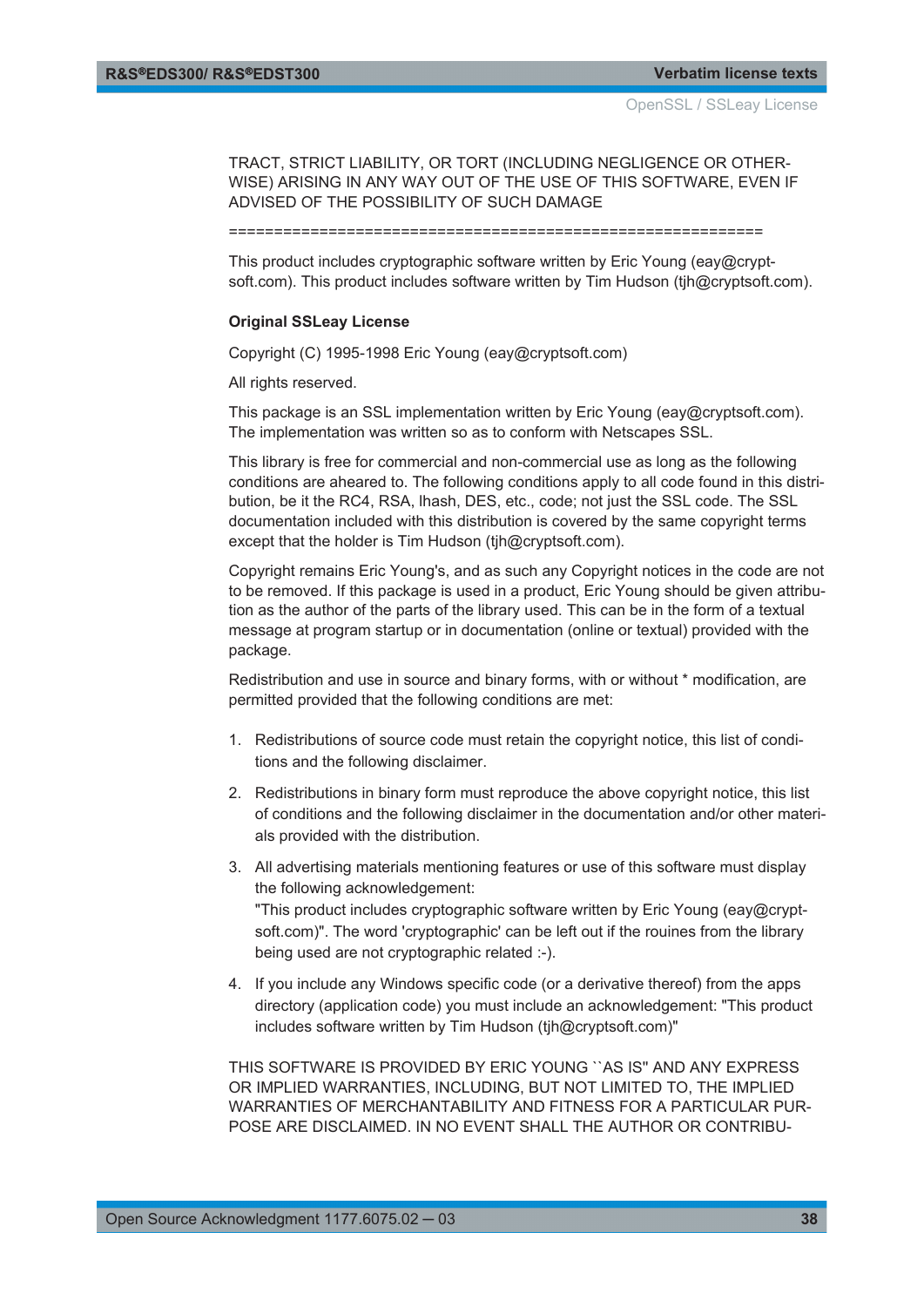TRACT, STRICT LIABILITY, OR TORT (INCLUDING NEGLIGENCE OR OTHER-WISE) ARISING IN ANY WAY OUT OF THE USE OF THIS SOFTWARE, EVEN IF ADVISED OF THE POSSIBILITY OF SUCH DAMAGE

===========================================================

This product includes cryptographic software written by Eric Young (eay@cryptsoft.com). This product includes software written by Tim Hudson (tjh@cryptsoft.com).

#### **Original SSLeay License**

Copyright (C) 1995-1998 Eric Young (eay@cryptsoft.com)

All rights reserved.

This package is an SSL implementation written by Eric Young (eay@cryptsoft.com). The implementation was written so as to conform with Netscapes SSL.

This library is free for commercial and non-commercial use as long as the following conditions are aheared to. The following conditions apply to all code found in this distribution, be it the RC4, RSA, lhash, DES, etc., code; not just the SSL code. The SSL documentation included with this distribution is covered by the same copyright terms except that the holder is Tim Hudson (tjh@cryptsoft.com).

Copyright remains Eric Young's, and as such any Copyright notices in the code are not to be removed. If this package is used in a product, Eric Young should be given attribution as the author of the parts of the library used. This can be in the form of a textual message at program startup or in documentation (online or textual) provided with the package.

Redistribution and use in source and binary forms, with or without \* modification, are permitted provided that the following conditions are met:

- 1. Redistributions of source code must retain the copyright notice, this list of conditions and the following disclaimer.
- 2. Redistributions in binary form must reproduce the above copyright notice, this list of conditions and the following disclaimer in the documentation and/or other materials provided with the distribution.
- 3. All advertising materials mentioning features or use of this software must display the following acknowledgement: "This product includes cryptographic software written by Eric Young (eay@cryptsoft.com)". The word 'cryptographic' can be left out if the rouines from the library being used are not cryptographic related :-).
- 4. If you include any Windows specific code (or a derivative thereof) from the apps directory (application code) you must include an acknowledgement: "This product includes software written by Tim Hudson (tjh@cryptsoft.com)"

THIS SOFTWARE IS PROVIDED BY ERIC YOUNG ``AS IS'' AND ANY EXPRESS OR IMPLIED WARRANTIES, INCLUDING, BUT NOT LIMITED TO, THE IMPLIED WARRANTIES OF MERCHANTABILITY AND FITNESS FOR A PARTICULAR PUR-POSE ARE DISCLAIMED. IN NO EVENT SHALL THE AUTHOR OR CONTRIBU-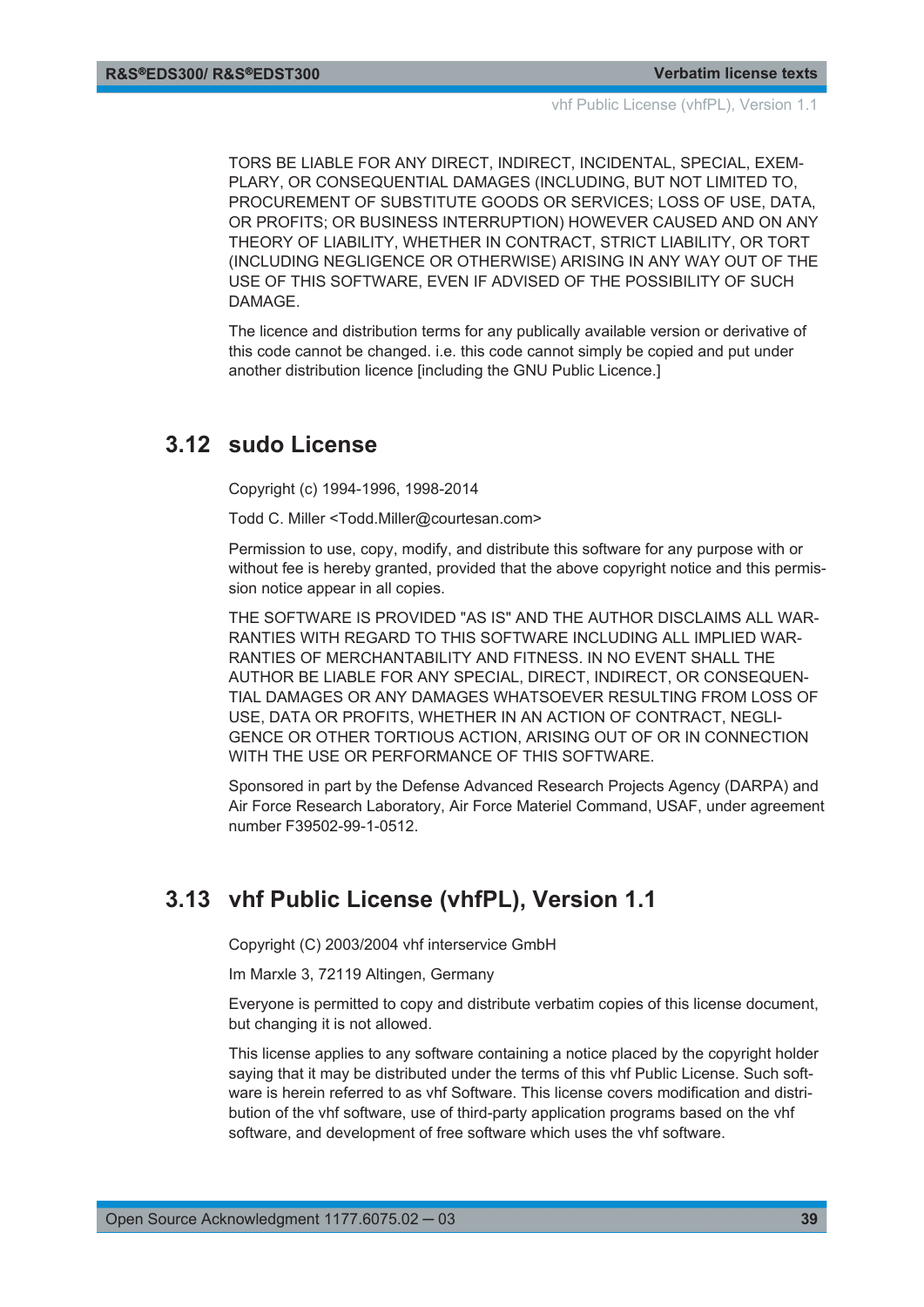<span id="page-38-0"></span>TORS BE LIABLE FOR ANY DIRECT, INDIRECT, INCIDENTAL, SPECIAL, EXEM-PLARY, OR CONSEQUENTIAL DAMAGES (INCLUDING, BUT NOT LIMITED TO, PROCUREMENT OF SUBSTITUTE GOODS OR SERVICES; LOSS OF USE, DATA, OR PROFITS; OR BUSINESS INTERRUPTION) HOWEVER CAUSED AND ON ANY THEORY OF LIABILITY, WHETHER IN CONTRACT, STRICT LIABILITY, OR TORT (INCLUDING NEGLIGENCE OR OTHERWISE) ARISING IN ANY WAY OUT OF THE USE OF THIS SOFTWARE, EVEN IF ADVISED OF THE POSSIBILITY OF SUCH DAMAGE.

The licence and distribution terms for any publically available version or derivative of this code cannot be changed. i.e. this code cannot simply be copied and put under another distribution licence lincluding the GNU Public Licence.

### **3.12 sudo License**

Copyright (c) 1994-1996, 1998-2014

Todd C. Miller <Todd.Miller@courtesan.com>

Permission to use, copy, modify, and distribute this software for any purpose with or without fee is hereby granted, provided that the above copyright notice and this permission notice appear in all copies.

THE SOFTWARE IS PROVIDED "AS IS" AND THE AUTHOR DISCLAIMS ALL WAR-RANTIES WITH REGARD TO THIS SOFTWARE INCLUDING ALL IMPLIED WAR-RANTIES OF MERCHANTABILITY AND FITNESS. IN NO EVENT SHALL THE AUTHOR BE LIABLE FOR ANY SPECIAL, DIRECT, INDIRECT, OR CONSEQUEN-TIAL DAMAGES OR ANY DAMAGES WHATSOEVER RESULTING FROM LOSS OF USE, DATA OR PROFITS, WHETHER IN AN ACTION OF CONTRACT, NEGLI-GENCE OR OTHER TORTIOUS ACTION, ARISING OUT OF OR IN CONNECTION WITH THE USE OR PERFORMANCE OF THIS SOFTWARE.

Sponsored in part by the Defense Advanced Research Projects Agency (DARPA) and Air Force Research Laboratory, Air Force Materiel Command, USAF, under agreement number F39502-99-1-0512.

## **3.13 vhf Public License (vhfPL), Version 1.1**

Copyright (C) 2003/2004 vhf interservice GmbH

Im Marxle 3, 72119 Altingen, Germany

Everyone is permitted to copy and distribute verbatim copies of this license document, but changing it is not allowed.

This license applies to any software containing a notice placed by the copyright holder saying that it may be distributed under the terms of this vhf Public License. Such software is herein referred to as vhf Software. This license covers modification and distribution of the vhf software, use of third-party application programs based on the vhf software, and development of free software which uses the vhf software.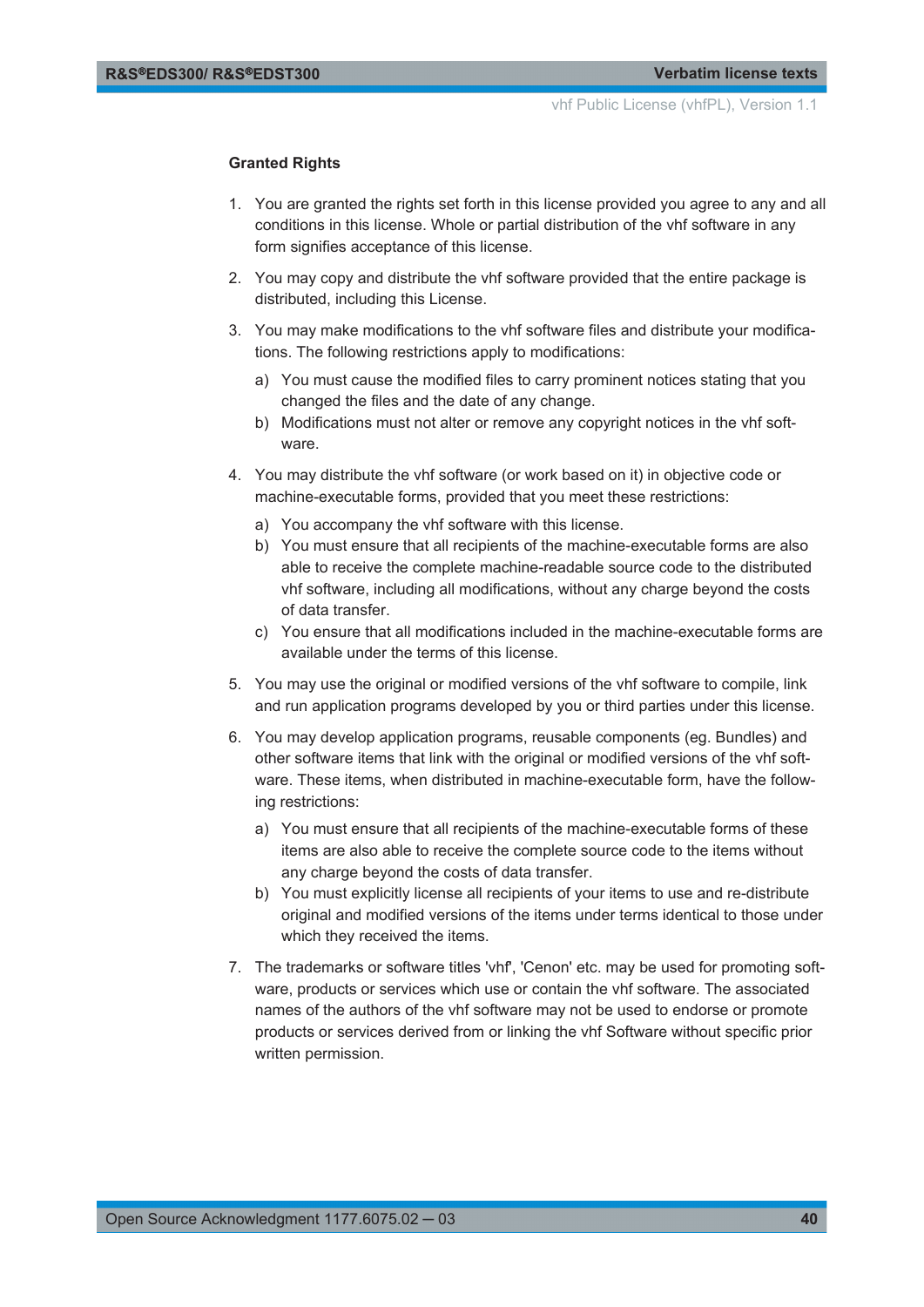#### **Granted Rights**

- 1. You are granted the rights set forth in this license provided you agree to any and all conditions in this license. Whole or partial distribution of the vhf software in any form signifies acceptance of this license.
- 2. You may copy and distribute the vhf software provided that the entire package is distributed, including this License.
- 3. You may make modifications to the vhf software files and distribute your modifications. The following restrictions apply to modifications:
	- a) You must cause the modified files to carry prominent notices stating that you changed the files and the date of any change.
	- b) Modifications must not alter or remove any copyright notices in the vhf software.
- 4. You may distribute the vhf software (or work based on it) in objective code or machine-executable forms, provided that you meet these restrictions:
	- a) You accompany the vhf software with this license.
	- b) You must ensure that all recipients of the machine-executable forms are also able to receive the complete machine-readable source code to the distributed vhf software, including all modifications, without any charge beyond the costs of data transfer.
	- c) You ensure that all modifications included in the machine-executable forms are available under the terms of this license.
- 5. You may use the original or modified versions of the vhf software to compile, link and run application programs developed by you or third parties under this license.
- 6. You may develop application programs, reusable components (eg. Bundles) and other software items that link with the original or modified versions of the vhf software. These items, when distributed in machine-executable form, have the following restrictions:
	- a) You must ensure that all recipients of the machine-executable forms of these items are also able to receive the complete source code to the items without any charge beyond the costs of data transfer.
	- b) You must explicitly license all recipients of your items to use and re-distribute original and modified versions of the items under terms identical to those under which they received the items.
- 7. The trademarks or software titles 'vhf', 'Cenon' etc. may be used for promoting software, products or services which use or contain the vhf software. The associated names of the authors of the vhf software may not be used to endorse or promote products or services derived from or linking the vhf Software without specific prior written permission.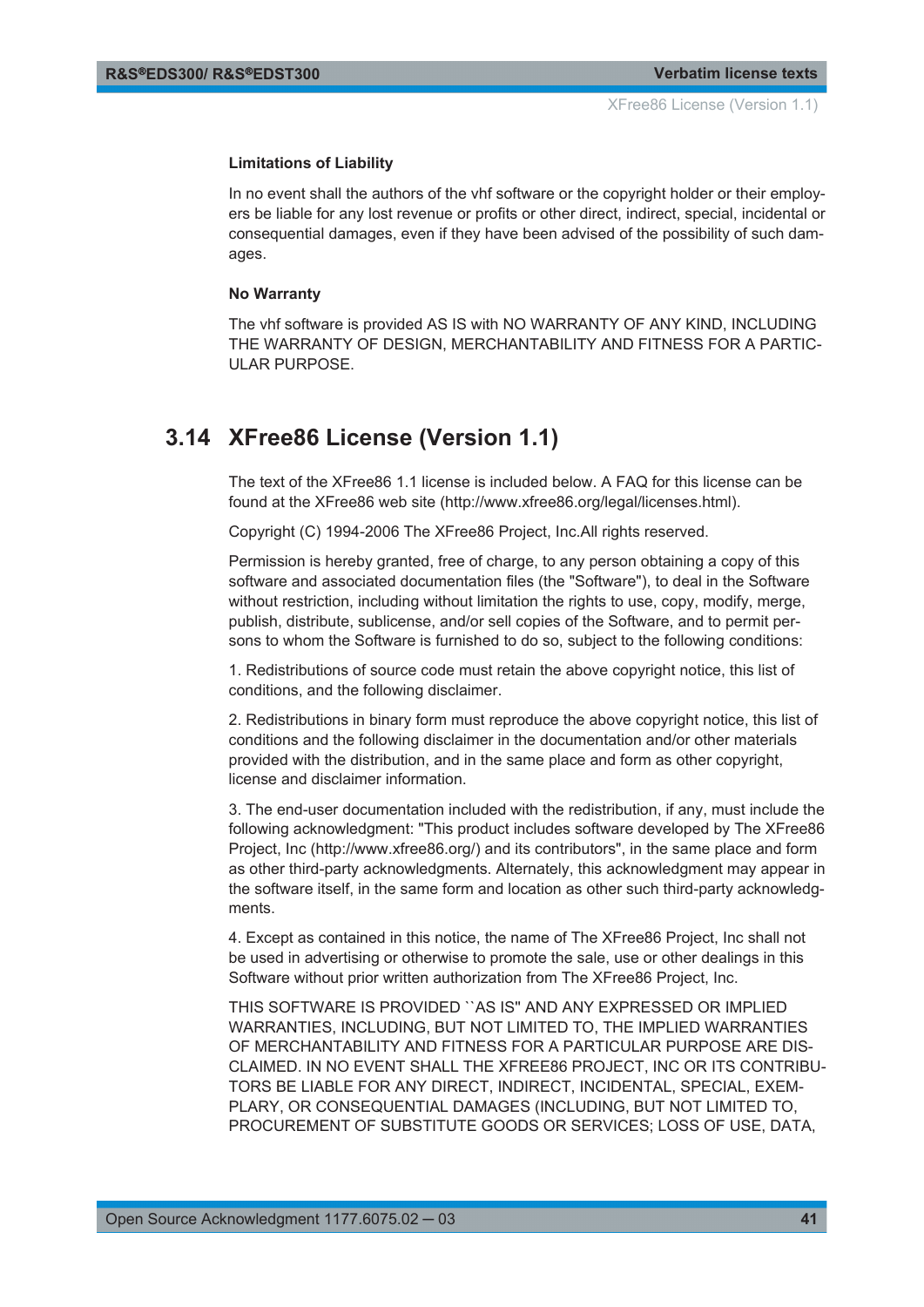#### <span id="page-40-0"></span>**Limitations of Liability**

In no event shall the authors of the vhf software or the copyright holder or their employers be liable for any lost revenue or profits or other direct, indirect, special, incidental or consequential damages, even if they have been advised of the possibility of such damages.

#### **No Warranty**

The vhf software is provided AS IS with NO WARRANTY OF ANY KIND, INCLUDING THE WARRANTY OF DESIGN, MERCHANTABILITY AND FITNESS FOR A PARTIC-ULAR PURPOSE.

## **3.14 XFree86 License (Version 1.1)**

The text of the XFree86 1.1 license is included below. A FAQ for this license can be found at the XFree86 web site (http://www.xfree86.org/legal/licenses.html).

Copyright (C) 1994-2006 The XFree86 Project, Inc.All rights reserved.

Permission is hereby granted, free of charge, to any person obtaining a copy of this software and associated documentation files (the "Software"), to deal in the Software without restriction, including without limitation the rights to use, copy, modify, merge, publish, distribute, sublicense, and/or sell copies of the Software, and to permit persons to whom the Software is furnished to do so, subject to the following conditions:

1. Redistributions of source code must retain the above copyright notice, this list of conditions, and the following disclaimer.

2. Redistributions in binary form must reproduce the above copyright notice, this list of conditions and the following disclaimer in the documentation and/or other materials provided with the distribution, and in the same place and form as other copyright, license and disclaimer information.

3. The end-user documentation included with the redistribution, if any, must include the following acknowledgment: "This product includes software developed by The XFree86 Project, Inc (http://www.xfree86.org/) and its contributors", in the same place and form as other third-party acknowledgments. Alternately, this acknowledgment may appear in the software itself, in the same form and location as other such third-party acknowledgments.

4. Except as contained in this notice, the name of The XFree86 Project, Inc shall not be used in advertising or otherwise to promote the sale, use or other dealings in this Software without prior written authorization from The XFree86 Project, Inc.

THIS SOFTWARE IS PROVIDED ``AS IS'' AND ANY EXPRESSED OR IMPLIED WARRANTIES, INCLUDING, BUT NOT LIMITED TO, THE IMPLIED WARRANTIES OF MERCHANTABILITY AND FITNESS FOR A PARTICULAR PURPOSE ARE DIS-CLAIMED. IN NO EVENT SHALL THE XFREE86 PROJECT, INC OR ITS CONTRIBU-TORS BE LIABLE FOR ANY DIRECT, INDIRECT, INCIDENTAL, SPECIAL, EXEM-PLARY, OR CONSEQUENTIAL DAMAGES (INCLUDING, BUT NOT LIMITED TO, PROCUREMENT OF SUBSTITUTE GOODS OR SERVICES; LOSS OF USE, DATA,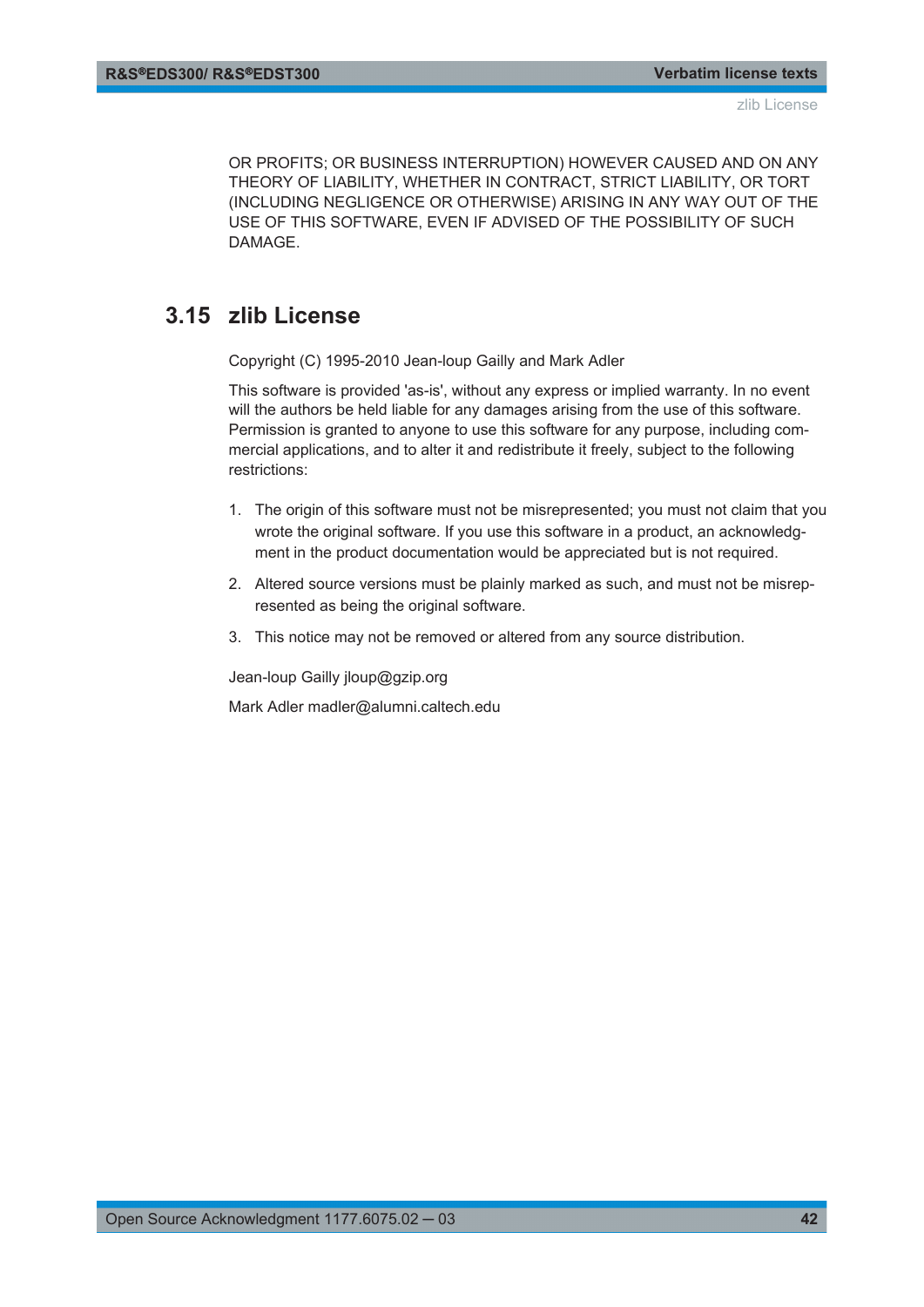<span id="page-41-0"></span>OR PROFITS; OR BUSINESS INTERRUPTION) HOWEVER CAUSED AND ON ANY THEORY OF LIABILITY, WHETHER IN CONTRACT, STRICT LIABILITY, OR TORT (INCLUDING NEGLIGENCE OR OTHERWISE) ARISING IN ANY WAY OUT OF THE USE OF THIS SOFTWARE, EVEN IF ADVISED OF THE POSSIBILITY OF SUCH DAMAGE.

## **3.15 zlib License**

Copyright (C) 1995-2010 Jean-loup Gailly and Mark Adler

This software is provided 'as-is', without any express or implied warranty. In no event will the authors be held liable for any damages arising from the use of this software. Permission is granted to anyone to use this software for any purpose, including commercial applications, and to alter it and redistribute it freely, subject to the following restrictions:

- 1. The origin of this software must not be misrepresented; you must not claim that you wrote the original software. If you use this software in a product, an acknowledgment in the product documentation would be appreciated but is not required.
- 2. Altered source versions must be plainly marked as such, and must not be misrepresented as being the original software.
- 3. This notice may not be removed or altered from any source distribution.

Jean-loup Gailly jloup@gzip.org

Mark Adler madler@alumni.caltech.edu